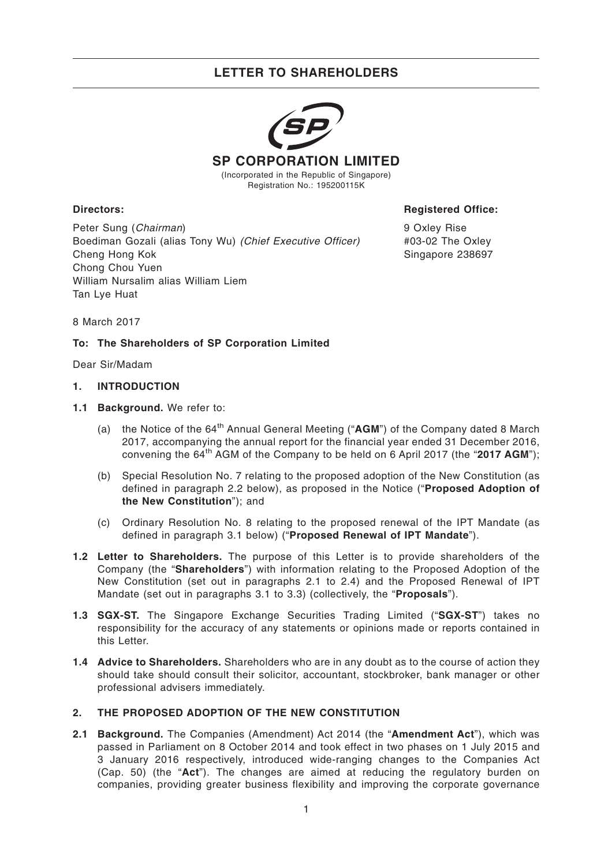

Registration No.: 195200115K

Peter Sung (Chairman) Boediman Gozali (alias Tony Wu) (Chief Executive Officer) Cheng Hong Kok Chong Chou Yuen William Nursalim alias William Liem Tan Lye Huat

**Directors: Registered Office:**

9 Oxley Rise #03-02 The Oxley Singapore 238697

8 March 2017

## **To: The Shareholders of SP Corporation Limited**

Dear Sir/Madam

#### **1. INTRODUCTION**

- **1.1 Background.** We refer to:
	- (a) the Notice of the 64<sup>th</sup> Annual General Meeting ("**AGM**") of the Company dated 8 March 2017, accompanying the annual report for the financial year ended 31 December 2016, convening the 64th AGM of the Company to be held on 6 April 2017 (the "**2017 AGM**");
	- (b) Special Resolution No. 7 relating to the proposed adoption of the New Constitution (as defined in paragraph 2.2 below), as proposed in the Notice ("**Proposed Adoption of the New Constitution**"); and
	- (c) Ordinary Resolution No. 8 relating to the proposed renewal of the IPT Mandate (as defined in paragraph 3.1 below) ("**Proposed Renewal of IPT Mandate**").
- **1.2 Letter to Shareholders.** The purpose of this Letter is to provide shareholders of the Company (the "**Shareholders**") with information relating to the Proposed Adoption of the New Constitution (set out in paragraphs 2.1 to 2.4) and the Proposed Renewal of IPT Mandate (set out in paragraphs 3.1 to 3.3) (collectively, the "**Proposals**").
- **1.3 SGX-ST.** The Singapore Exchange Securities Trading Limited ("**SGX-ST**") takes no responsibility for the accuracy of any statements or opinions made or reports contained in this Letter.
- **1.4 Advice to Shareholders.** Shareholders who are in any doubt as to the course of action they should take should consult their solicitor, accountant, stockbroker, bank manager or other professional advisers immediately.

## **2. THE PROPOSED ADOPTION OF THE NEW CONSTITUTION**

**2.1 Background.** The Companies (Amendment) Act 2014 (the "**Amendment Act**"), which was passed in Parliament on 8 October 2014 and took effect in two phases on 1 July 2015 and 3 January 2016 respectively, introduced wide-ranging changes to the Companies Act (Cap. 50) (the "**Act**"). The changes are aimed at reducing the regulatory burden on companies, providing greater business flexibility and improving the corporate governance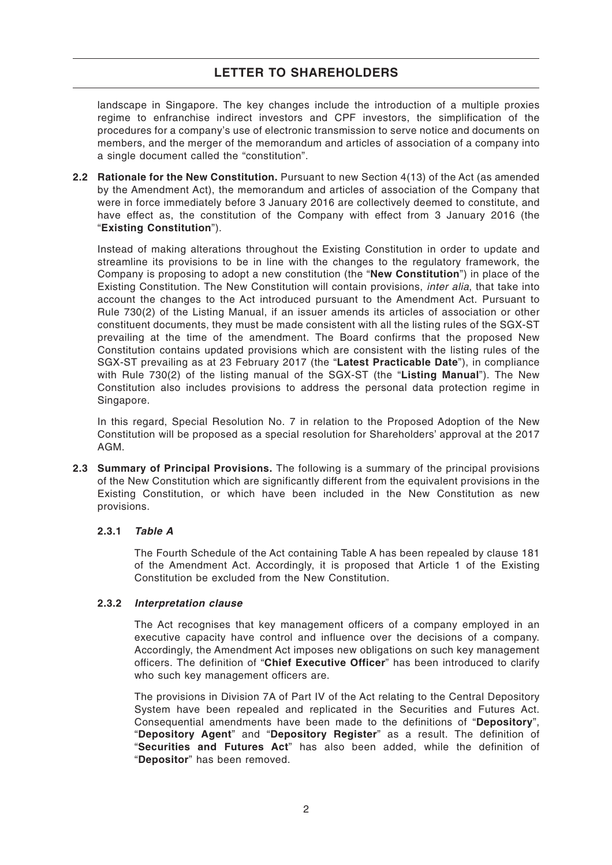landscape in Singapore. The key changes include the introduction of a multiple proxies regime to enfranchise indirect investors and CPF investors, the simplification of the procedures for a company's use of electronic transmission to serve notice and documents on members, and the merger of the memorandum and articles of association of a company into a single document called the "constitution".

**2.2 Rationale for the New Constitution.** Pursuant to new Section 4(13) of the Act (as amended by the Amendment Act), the memorandum and articles of association of the Company that were in force immediately before 3 January 2016 are collectively deemed to constitute, and have effect as, the constitution of the Company with effect from 3 January 2016 (the "**Existing Constitution**").

Instead of making alterations throughout the Existing Constitution in order to update and streamline its provisions to be in line with the changes to the regulatory framework, the Company is proposing to adopt a new constitution (the "**New Constitution**") in place of the Existing Constitution. The New Constitution will contain provisions, inter alia, that take into account the changes to the Act introduced pursuant to the Amendment Act. Pursuant to Rule 730(2) of the Listing Manual, if an issuer amends its articles of association or other constituent documents, they must be made consistent with all the listing rules of the SGX-ST prevailing at the time of the amendment. The Board confirms that the proposed New Constitution contains updated provisions which are consistent with the listing rules of the SGX-ST prevailing as at 23 February 2017 (the "**Latest Practicable Date**"), in compliance with Rule 730(2) of the listing manual of the SGX-ST (the "**Listing Manual**"). The New Constitution also includes provisions to address the personal data protection regime in Singapore.

In this regard, Special Resolution No. 7 in relation to the Proposed Adoption of the New Constitution will be proposed as a special resolution for Shareholders' approval at the 2017 AGM.

**2.3 Summary of Principal Provisions.** The following is a summary of the principal provisions of the New Constitution which are significantly different from the equivalent provisions in the Existing Constitution, or which have been included in the New Constitution as new provisions.

## **2.3.1 Table A**

The Fourth Schedule of the Act containing Table A has been repealed by clause 181 of the Amendment Act. Accordingly, it is proposed that Article 1 of the Existing Constitution be excluded from the New Constitution.

## **2.3.2 Interpretation clause**

The Act recognises that key management officers of a company employed in an executive capacity have control and influence over the decisions of a company. Accordingly, the Amendment Act imposes new obligations on such key management officers. The definition of "**Chief Executive Officer**" has been introduced to clarify who such key management officers are.

The provisions in Division 7A of Part IV of the Act relating to the Central Depository System have been repealed and replicated in the Securities and Futures Act. Consequential amendments have been made to the definitions of "**Depository**", "**Depository Agent**" and "**Depository Register**" as a result. The definition of "**Securities and Futures Act**" has also been added, while the definition of "**Depositor**" has been removed.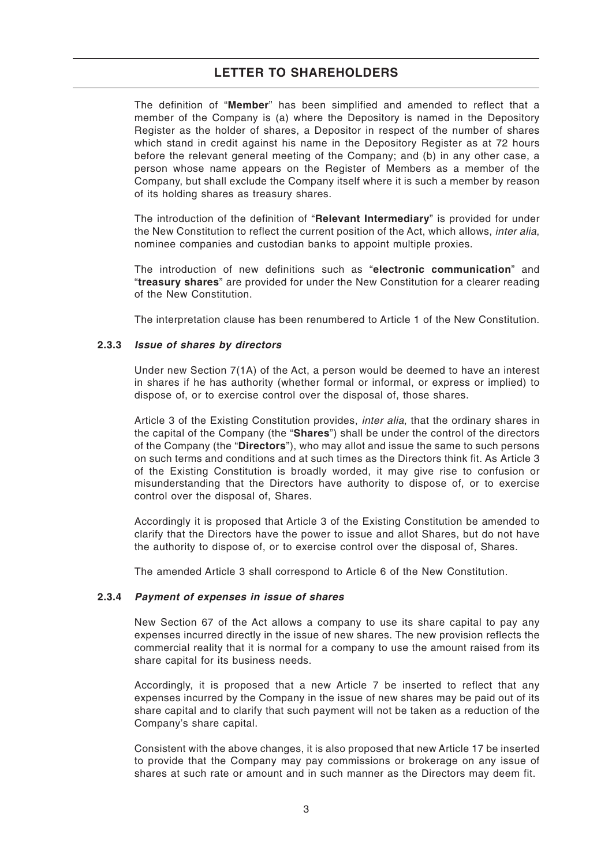The definition of "**Member**" has been simplified and amended to reflect that a member of the Company is (a) where the Depository is named in the Depository Register as the holder of shares, a Depositor in respect of the number of shares which stand in credit against his name in the Depository Register as at 72 hours before the relevant general meeting of the Company; and (b) in any other case, a person whose name appears on the Register of Members as a member of the Company, but shall exclude the Company itself where it is such a member by reason of its holding shares as treasury shares.

The introduction of the definition of "**Relevant Intermediary**" is provided for under the New Constitution to reflect the current position of the Act, which allows, *inter alia*, nominee companies and custodian banks to appoint multiple proxies.

The introduction of new definitions such as "**electronic communication**" and "**treasury shares**" are provided for under the New Constitution for a clearer reading of the New Constitution.

The interpretation clause has been renumbered to Article 1 of the New Constitution.

#### **2.3.3 Issue of shares by directors**

Under new Section 7(1A) of the Act, a person would be deemed to have an interest in shares if he has authority (whether formal or informal, or express or implied) to dispose of, or to exercise control over the disposal of, those shares.

Article 3 of the Existing Constitution provides, *inter alia*, that the ordinary shares in the capital of the Company (the "**Shares**") shall be under the control of the directors of the Company (the "**Directors**"), who may allot and issue the same to such persons on such terms and conditions and at such times as the Directors think fit. As Article 3 of the Existing Constitution is broadly worded, it may give rise to confusion or misunderstanding that the Directors have authority to dispose of, or to exercise control over the disposal of, Shares.

Accordingly it is proposed that Article 3 of the Existing Constitution be amended to clarify that the Directors have the power to issue and allot Shares, but do not have the authority to dispose of, or to exercise control over the disposal of, Shares.

The amended Article 3 shall correspond to Article 6 of the New Constitution.

#### **2.3.4 Payment of expenses in issue of shares**

New Section 67 of the Act allows a company to use its share capital to pay any expenses incurred directly in the issue of new shares. The new provision reflects the commercial reality that it is normal for a company to use the amount raised from its share capital for its business needs.

Accordingly, it is proposed that a new Article 7 be inserted to reflect that any expenses incurred by the Company in the issue of new shares may be paid out of its share capital and to clarify that such payment will not be taken as a reduction of the Company's share capital.

Consistent with the above changes, it is also proposed that new Article 17 be inserted to provide that the Company may pay commissions or brokerage on any issue of shares at such rate or amount and in such manner as the Directors may deem fit.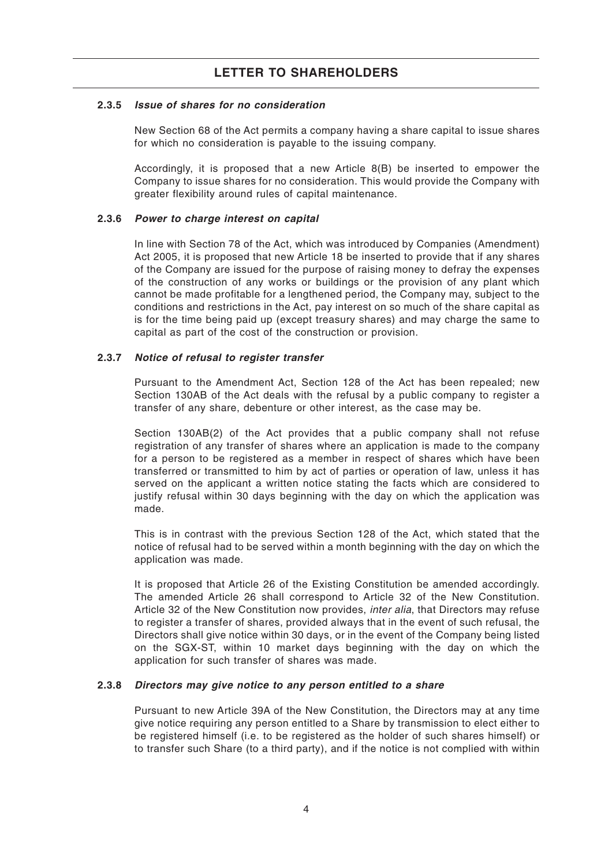#### **2.3.5 Issue of shares for no consideration**

New Section 68 of the Act permits a company having a share capital to issue shares for which no consideration is payable to the issuing company.

Accordingly, it is proposed that a new Article 8(B) be inserted to empower the Company to issue shares for no consideration. This would provide the Company with greater flexibility around rules of capital maintenance.

#### **2.3.6 Power to charge interest on capital**

In line with Section 78 of the Act, which was introduced by Companies (Amendment) Act 2005, it is proposed that new Article 18 be inserted to provide that if any shares of the Company are issued for the purpose of raising money to defray the expenses of the construction of any works or buildings or the provision of any plant which cannot be made profitable for a lengthened period, the Company may, subject to the conditions and restrictions in the Act, pay interest on so much of the share capital as is for the time being paid up (except treasury shares) and may charge the same to capital as part of the cost of the construction or provision.

#### **2.3.7 Notice of refusal to register transfer**

Pursuant to the Amendment Act, Section 128 of the Act has been repealed; new Section 130AB of the Act deals with the refusal by a public company to register a transfer of any share, debenture or other interest, as the case may be.

Section 130AB(2) of the Act provides that a public company shall not refuse registration of any transfer of shares where an application is made to the company for a person to be registered as a member in respect of shares which have been transferred or transmitted to him by act of parties or operation of law, unless it has served on the applicant a written notice stating the facts which are considered to justify refusal within 30 days beginning with the day on which the application was made.

This is in contrast with the previous Section 128 of the Act, which stated that the notice of refusal had to be served within a month beginning with the day on which the application was made.

It is proposed that Article 26 of the Existing Constitution be amended accordingly. The amended Article 26 shall correspond to Article 32 of the New Constitution. Article 32 of the New Constitution now provides, *inter alia*, that Directors may refuse to register a transfer of shares, provided always that in the event of such refusal, the Directors shall give notice within 30 days, or in the event of the Company being listed on the SGX-ST, within 10 market days beginning with the day on which the application for such transfer of shares was made.

#### **2.3.8 Directors may give notice to any person entitled to a share**

Pursuant to new Article 39A of the New Constitution, the Directors may at any time give notice requiring any person entitled to a Share by transmission to elect either to be registered himself (i.e. to be registered as the holder of such shares himself) or to transfer such Share (to a third party), and if the notice is not complied with within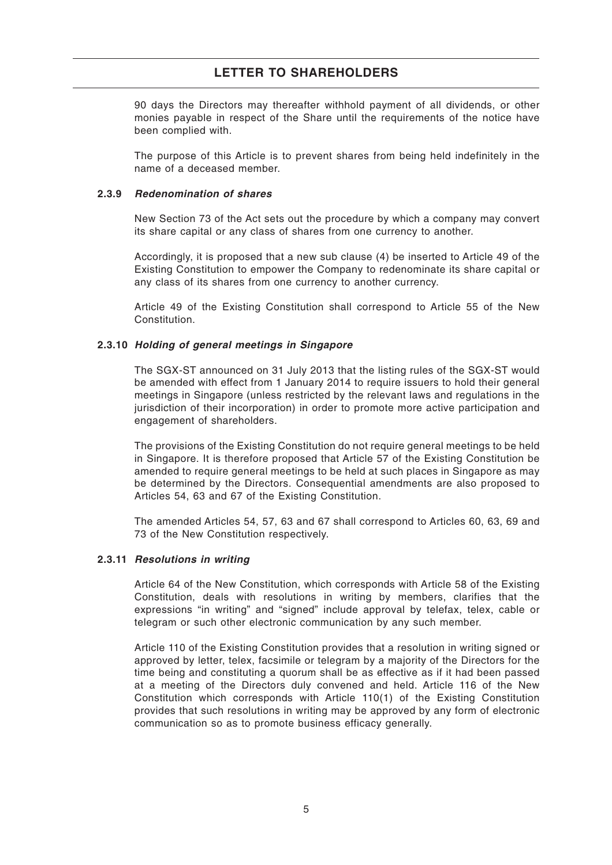90 days the Directors may thereafter withhold payment of all dividends, or other monies payable in respect of the Share until the requirements of the notice have been complied with.

The purpose of this Article is to prevent shares from being held indefinitely in the name of a deceased member.

#### **2.3.9 Redenomination of shares**

New Section 73 of the Act sets out the procedure by which a company may convert its share capital or any class of shares from one currency to another.

Accordingly, it is proposed that a new sub clause (4) be inserted to Article 49 of the Existing Constitution to empower the Company to redenominate its share capital or any class of its shares from one currency to another currency.

Article 49 of the Existing Constitution shall correspond to Article 55 of the New Constitution.

## **2.3.10 Holding of general meetings in Singapore**

The SGX-ST announced on 31 July 2013 that the listing rules of the SGX-ST would be amended with effect from 1 January 2014 to require issuers to hold their general meetings in Singapore (unless restricted by the relevant laws and regulations in the jurisdiction of their incorporation) in order to promote more active participation and engagement of shareholders.

The provisions of the Existing Constitution do not require general meetings to be held in Singapore. It is therefore proposed that Article 57 of the Existing Constitution be amended to require general meetings to be held at such places in Singapore as may be determined by the Directors. Consequential amendments are also proposed to Articles 54, 63 and 67 of the Existing Constitution.

The amended Articles 54, 57, 63 and 67 shall correspond to Articles 60, 63, 69 and 73 of the New Constitution respectively.

## **2.3.11 Resolutions in writing**

Article 64 of the New Constitution, which corresponds with Article 58 of the Existing Constitution, deals with resolutions in writing by members, clarifies that the expressions "in writing" and "signed" include approval by telefax, telex, cable or telegram or such other electronic communication by any such member.

Article 110 of the Existing Constitution provides that a resolution in writing signed or approved by letter, telex, facsimile or telegram by a majority of the Directors for the time being and constituting a quorum shall be as effective as if it had been passed at a meeting of the Directors duly convened and held. Article 116 of the New Constitution which corresponds with Article 110(1) of the Existing Constitution provides that such resolutions in writing may be approved by any form of electronic communication so as to promote business efficacy generally.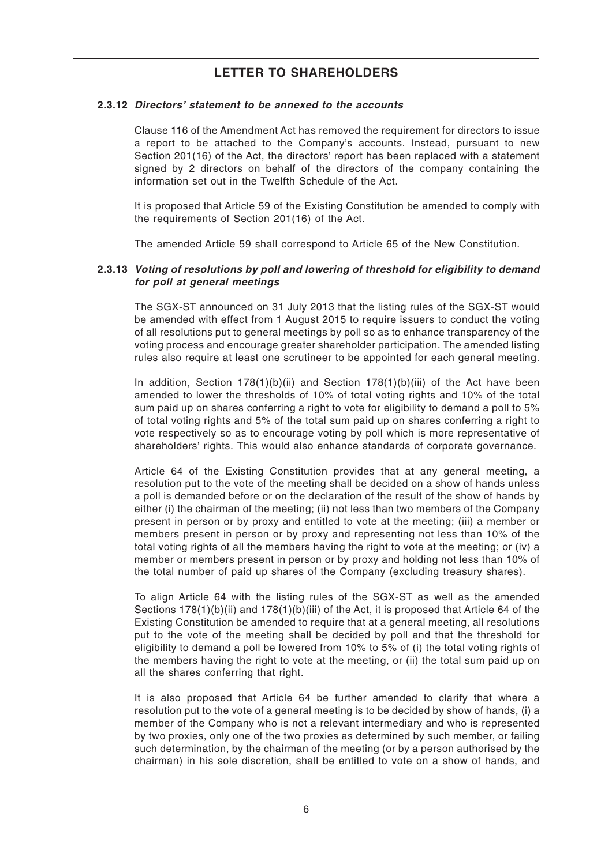## **2.3.12 Directors' statement to be annexed to the accounts**

Clause 116 of the Amendment Act has removed the requirement for directors to issue a report to be attached to the Company's accounts. Instead, pursuant to new Section 201(16) of the Act, the directors' report has been replaced with a statement signed by 2 directors on behalf of the directors of the company containing the information set out in the Twelfth Schedule of the Act.

It is proposed that Article 59 of the Existing Constitution be amended to comply with the requirements of Section 201(16) of the Act.

The amended Article 59 shall correspond to Article 65 of the New Constitution.

## **2.3.13 Voting of resolutions by poll and lowering of threshold for eligibility to demand for poll at general meetings**

The SGX-ST announced on 31 July 2013 that the listing rules of the SGX-ST would be amended with effect from 1 August 2015 to require issuers to conduct the voting of all resolutions put to general meetings by poll so as to enhance transparency of the voting process and encourage greater shareholder participation. The amended listing rules also require at least one scrutineer to be appointed for each general meeting.

In addition, Section  $178(1)(b)(ii)$  and Section  $178(1)(b)(iii)$  of the Act have been amended to lower the thresholds of 10% of total voting rights and 10% of the total sum paid up on shares conferring a right to vote for eligibility to demand a poll to 5% of total voting rights and 5% of the total sum paid up on shares conferring a right to vote respectively so as to encourage voting by poll which is more representative of shareholders' rights. This would also enhance standards of corporate governance.

Article 64 of the Existing Constitution provides that at any general meeting, a resolution put to the vote of the meeting shall be decided on a show of hands unless a poll is demanded before or on the declaration of the result of the show of hands by either (i) the chairman of the meeting; (ii) not less than two members of the Company present in person or by proxy and entitled to vote at the meeting; (iii) a member or members present in person or by proxy and representing not less than 10% of the total voting rights of all the members having the right to vote at the meeting; or (iv) a member or members present in person or by proxy and holding not less than 10% of the total number of paid up shares of the Company (excluding treasury shares).

To align Article 64 with the listing rules of the SGX-ST as well as the amended Sections 178(1)(b)(ii) and 178(1)(b)(iii) of the Act, it is proposed that Article 64 of the Existing Constitution be amended to require that at a general meeting, all resolutions put to the vote of the meeting shall be decided by poll and that the threshold for eligibility to demand a poll be lowered from 10% to 5% of (i) the total voting rights of the members having the right to vote at the meeting, or (ii) the total sum paid up on all the shares conferring that right.

It is also proposed that Article 64 be further amended to clarify that where a resolution put to the vote of a general meeting is to be decided by show of hands, (i) a member of the Company who is not a relevant intermediary and who is represented by two proxies, only one of the two proxies as determined by such member, or failing such determination, by the chairman of the meeting (or by a person authorised by the chairman) in his sole discretion, shall be entitled to vote on a show of hands, and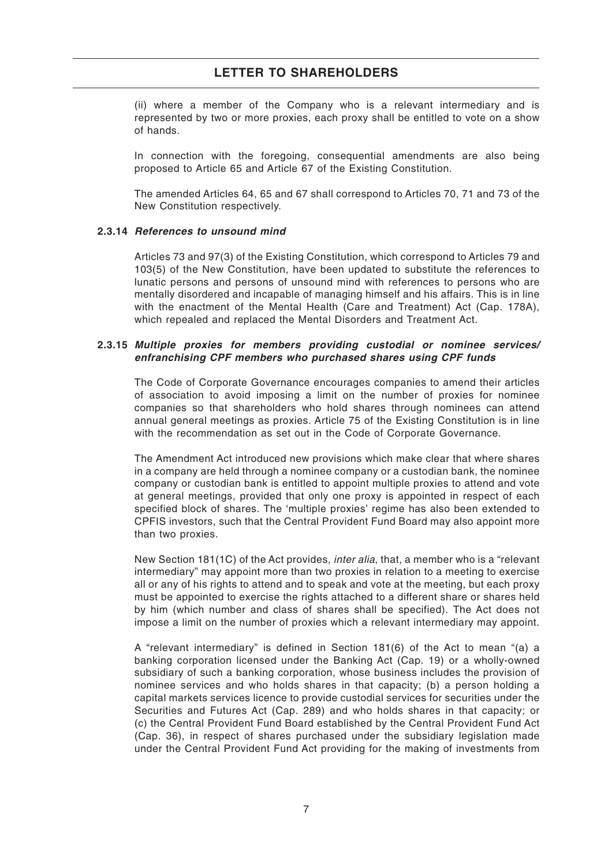(ii) where a member of the Company who is a relevant intermediary and is represented by two or more proxies, each proxy shall be entitled to vote on a show of hands.

In connection with the foregoing, consequential amendments are also being proposed to Article 65 and Article 67 of the Existing Constitution.

The amended Articles 64, 65 and 67 shall correspond to Articles 70, 71 and 73 of the New Constitution respectively.

## **2.3.14 References to unsound mind**

Articles 73 and 97(3) of the Existing Constitution, which correspond to Articles 79 and 103(5) of the New Constitution, have been updated to substitute the references to lunatic persons and persons of unsound mind with references to persons who are mentally disordered and incapable of managing himself and his affairs. This is in line with the enactment of the Mental Health (Care and Treatment) Act (Cap. 178A), which repealed and replaced the Mental Disorders and Treatment Act.

## **2.3.15 Multiple proxies for members providing custodial or nominee services/ enfranchising CPF members who purchased shares using CPF funds**

The Code of Corporate Governance encourages companies to amend their articles of association to avoid imposing a limit on the number of proxies for nominee companies so that shareholders who hold shares through nominees can attend annual general meetings as proxies. Article 75 of the Existing Constitution is in line with the recommendation as set out in the Code of Corporate Governance.

The Amendment Act introduced new provisions which make clear that where shares in a company are held through a nominee company or a custodian bank, the nominee company or custodian bank is entitled to appoint multiple proxies to attend and vote at general meetings, provided that only one proxy is appointed in respect of each specified block of shares. The 'multiple proxies' regime has also been extended to CPFIS investors, such that the Central Provident Fund Board may also appoint more than two proxies.

New Section 181(1C) of the Act provides, *inter alia*, that, a member who is a "relevant intermediary" may appoint more than two proxies in relation to a meeting to exercise all or any of his rights to attend and to speak and vote at the meeting, but each proxy must be appointed to exercise the rights attached to a different share or shares held by him (which number and class of shares shall be specified). The Act does not impose a limit on the number of proxies which a relevant intermediary may appoint.

A "relevant intermediary" is defined in Section 181(6) of the Act to mean "(a) a banking corporation licensed under the Banking Act (Cap. 19) or a wholly-owned subsidiary of such a banking corporation, whose business includes the provision of nominee services and who holds shares in that capacity; (b) a person holding a capital markets services licence to provide custodial services for securities under the Securities and Futures Act (Cap. 289) and who holds shares in that capacity; or (c) the Central Provident Fund Board established by the Central Provident Fund Act (Cap. 36), in respect of shares purchased under the subsidiary legislation made under the Central Provident Fund Act providing for the making of investments from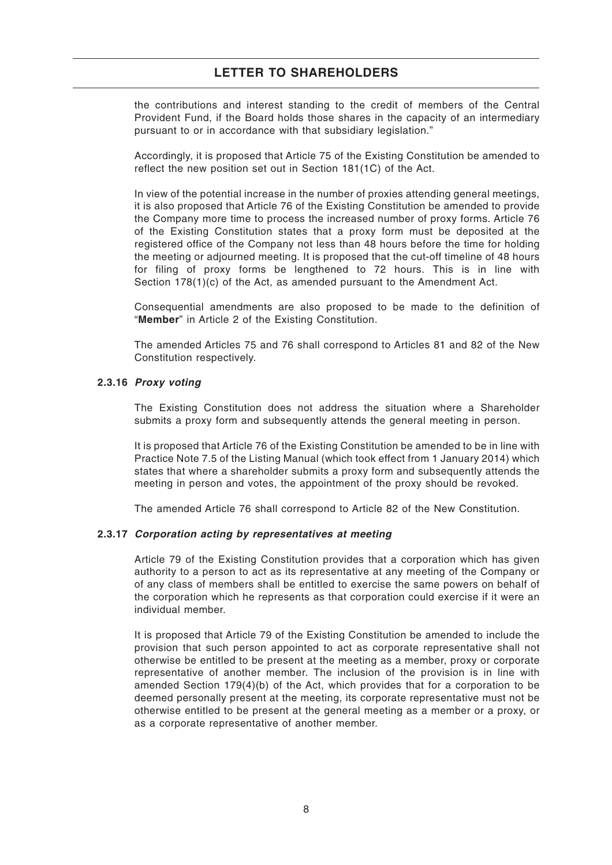the contributions and interest standing to the credit of members of the Central Provident Fund, if the Board holds those shares in the capacity of an intermediary pursuant to or in accordance with that subsidiary legislation."

Accordingly, it is proposed that Article 75 of the Existing Constitution be amended to reflect the new position set out in Section 181(1C) of the Act.

In view of the potential increase in the number of proxies attending general meetings, it is also proposed that Article 76 of the Existing Constitution be amended to provide the Company more time to process the increased number of proxy forms. Article 76 of the Existing Constitution states that a proxy form must be deposited at the registered office of the Company not less than 48 hours before the time for holding the meeting or adjourned meeting. It is proposed that the cut-off timeline of 48 hours for filing of proxy forms be lengthened to 72 hours. This is in line with Section 178(1)(c) of the Act, as amended pursuant to the Amendment Act.

Consequential amendments are also proposed to be made to the definition of "**Member**" in Article 2 of the Existing Constitution.

The amended Articles 75 and 76 shall correspond to Articles 81 and 82 of the New Constitution respectively.

#### **2.3.16 Proxy voting**

The Existing Constitution does not address the situation where a Shareholder submits a proxy form and subsequently attends the general meeting in person.

It is proposed that Article 76 of the Existing Constitution be amended to be in line with Practice Note 7.5 of the Listing Manual (which took effect from 1 January 2014) which states that where a shareholder submits a proxy form and subsequently attends the meeting in person and votes, the appointment of the proxy should be revoked.

The amended Article 76 shall correspond to Article 82 of the New Constitution.

## **2.3.17 Corporation acting by representatives at meeting**

Article 79 of the Existing Constitution provides that a corporation which has given authority to a person to act as its representative at any meeting of the Company or of any class of members shall be entitled to exercise the same powers on behalf of the corporation which he represents as that corporation could exercise if it were an individual member.

It is proposed that Article 79 of the Existing Constitution be amended to include the provision that such person appointed to act as corporate representative shall not otherwise be entitled to be present at the meeting as a member, proxy or corporate representative of another member. The inclusion of the provision is in line with amended Section 179(4)(b) of the Act, which provides that for a corporation to be deemed personally present at the meeting, its corporate representative must not be otherwise entitled to be present at the general meeting as a member or a proxy, or as a corporate representative of another member.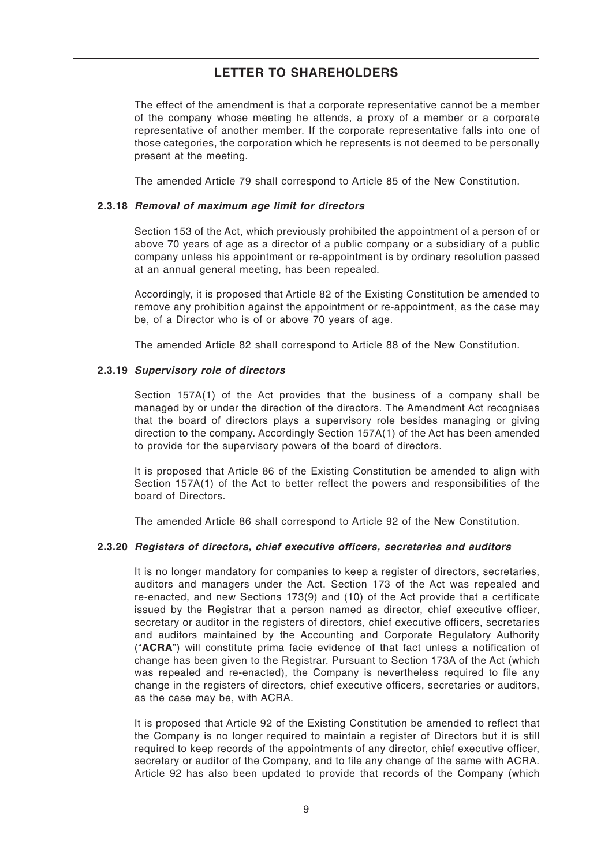The effect of the amendment is that a corporate representative cannot be a member of the company whose meeting he attends, a proxy of a member or a corporate representative of another member. If the corporate representative falls into one of those categories, the corporation which he represents is not deemed to be personally present at the meeting.

The amended Article 79 shall correspond to Article 85 of the New Constitution.

#### **2.3.18 Removal of maximum age limit for directors**

Section 153 of the Act, which previously prohibited the appointment of a person of or above 70 years of age as a director of a public company or a subsidiary of a public company unless his appointment or re-appointment is by ordinary resolution passed at an annual general meeting, has been repealed.

Accordingly, it is proposed that Article 82 of the Existing Constitution be amended to remove any prohibition against the appointment or re-appointment, as the case may be, of a Director who is of or above 70 years of age.

The amended Article 82 shall correspond to Article 88 of the New Constitution.

#### **2.3.19 Supervisory role of directors**

Section 157A(1) of the Act provides that the business of a company shall be managed by or under the direction of the directors. The Amendment Act recognises that the board of directors plays a supervisory role besides managing or giving direction to the company. Accordingly Section 157A(1) of the Act has been amended to provide for the supervisory powers of the board of directors.

It is proposed that Article 86 of the Existing Constitution be amended to align with Section 157A(1) of the Act to better reflect the powers and responsibilities of the board of Directors.

The amended Article 86 shall correspond to Article 92 of the New Constitution.

#### **2.3.20 Registers of directors, chief executive officers, secretaries and auditors**

It is no longer mandatory for companies to keep a register of directors, secretaries, auditors and managers under the Act. Section 173 of the Act was repealed and re-enacted, and new Sections 173(9) and (10) of the Act provide that a certificate issued by the Registrar that a person named as director, chief executive officer, secretary or auditor in the registers of directors, chief executive officers, secretaries and auditors maintained by the Accounting and Corporate Regulatory Authority ("**ACRA**") will constitute prima facie evidence of that fact unless a notification of change has been given to the Registrar. Pursuant to Section 173A of the Act (which was repealed and re-enacted), the Company is nevertheless required to file any change in the registers of directors, chief executive officers, secretaries or auditors, as the case may be, with ACRA.

It is proposed that Article 92 of the Existing Constitution be amended to reflect that the Company is no longer required to maintain a register of Directors but it is still required to keep records of the appointments of any director, chief executive officer, secretary or auditor of the Company, and to file any change of the same with ACRA. Article 92 has also been updated to provide that records of the Company (which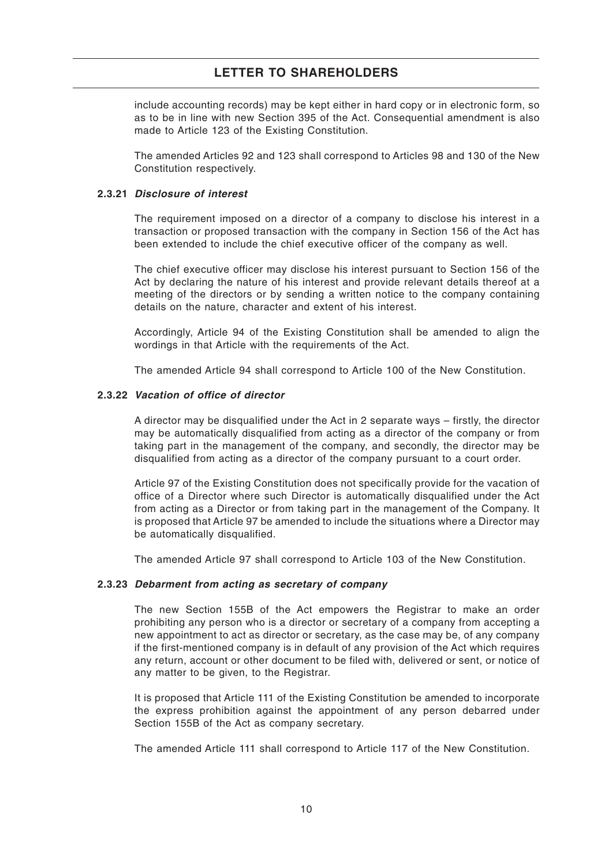include accounting records) may be kept either in hard copy or in electronic form, so as to be in line with new Section 395 of the Act. Consequential amendment is also made to Article 123 of the Existing Constitution.

The amended Articles 92 and 123 shall correspond to Articles 98 and 130 of the New Constitution respectively.

#### **2.3.21 Disclosure of interest**

The requirement imposed on a director of a company to disclose his interest in a transaction or proposed transaction with the company in Section 156 of the Act has been extended to include the chief executive officer of the company as well.

The chief executive officer may disclose his interest pursuant to Section 156 of the Act by declaring the nature of his interest and provide relevant details thereof at a meeting of the directors or by sending a written notice to the company containing details on the nature, character and extent of his interest.

Accordingly, Article 94 of the Existing Constitution shall be amended to align the wordings in that Article with the requirements of the Act.

The amended Article 94 shall correspond to Article 100 of the New Constitution.

#### **2.3.22 Vacation of office of director**

A director may be disqualified under the Act in 2 separate ways – firstly, the director may be automatically disqualified from acting as a director of the company or from taking part in the management of the company, and secondly, the director may be disqualified from acting as a director of the company pursuant to a court order.

Article 97 of the Existing Constitution does not specifically provide for the vacation of office of a Director where such Director is automatically disqualified under the Act from acting as a Director or from taking part in the management of the Company. It is proposed that Article 97 be amended to include the situations where a Director may be automatically disqualified.

The amended Article 97 shall correspond to Article 103 of the New Constitution.

#### **2.3.23 Debarment from acting as secretary of company**

The new Section 155B of the Act empowers the Registrar to make an order prohibiting any person who is a director or secretary of a company from accepting a new appointment to act as director or secretary, as the case may be, of any company if the first-mentioned company is in default of any provision of the Act which requires any return, account or other document to be filed with, delivered or sent, or notice of any matter to be given, to the Registrar.

It is proposed that Article 111 of the Existing Constitution be amended to incorporate the express prohibition against the appointment of any person debarred under Section 155B of the Act as company secretary.

The amended Article 111 shall correspond to Article 117 of the New Constitution.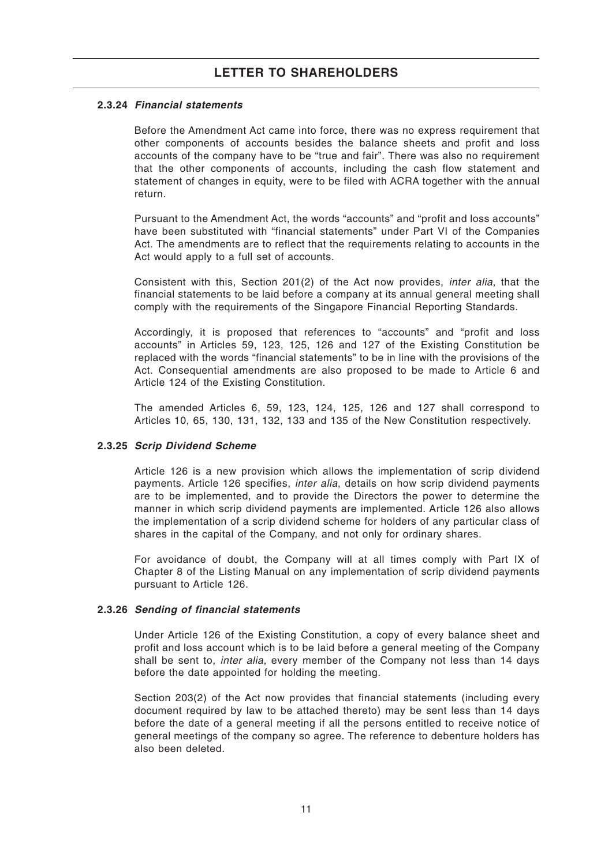## **2.3.24 Financial statements**

Before the Amendment Act came into force, there was no express requirement that other components of accounts besides the balance sheets and profit and loss accounts of the company have to be "true and fair". There was also no requirement that the other components of accounts, including the cash flow statement and statement of changes in equity, were to be filed with ACRA together with the annual return.

Pursuant to the Amendment Act, the words "accounts" and "profit and loss accounts" have been substituted with "financial statements" under Part VI of the Companies Act. The amendments are to reflect that the requirements relating to accounts in the Act would apply to a full set of accounts.

Consistent with this, Section 201(2) of the Act now provides, *inter alia*, that the financial statements to be laid before a company at its annual general meeting shall comply with the requirements of the Singapore Financial Reporting Standards.

Accordingly, it is proposed that references to "accounts" and "profit and loss accounts" in Articles 59, 123, 125, 126 and 127 of the Existing Constitution be replaced with the words "financial statements" to be in line with the provisions of the Act. Consequential amendments are also proposed to be made to Article 6 and Article 124 of the Existing Constitution.

The amended Articles 6, 59, 123, 124, 125, 126 and 127 shall correspond to Articles 10, 65, 130, 131, 132, 133 and 135 of the New Constitution respectively.

#### **2.3.25 Scrip Dividend Scheme**

Article 126 is a new provision which allows the implementation of scrip dividend payments. Article 126 specifies, *inter alia*, details on how scrip dividend payments are to be implemented, and to provide the Directors the power to determine the manner in which scrip dividend payments are implemented. Article 126 also allows the implementation of a scrip dividend scheme for holders of any particular class of shares in the capital of the Company, and not only for ordinary shares.

For avoidance of doubt, the Company will at all times comply with Part IX of Chapter 8 of the Listing Manual on any implementation of scrip dividend payments pursuant to Article 126.

#### **2.3.26 Sending of financial statements**

Under Article 126 of the Existing Constitution, a copy of every balance sheet and profit and loss account which is to be laid before a general meeting of the Company shall be sent to, *inter alia*, every member of the Company not less than 14 days before the date appointed for holding the meeting.

Section 203(2) of the Act now provides that financial statements (including every document required by law to be attached thereto) may be sent less than 14 days before the date of a general meeting if all the persons entitled to receive notice of general meetings of the company so agree. The reference to debenture holders has also been deleted.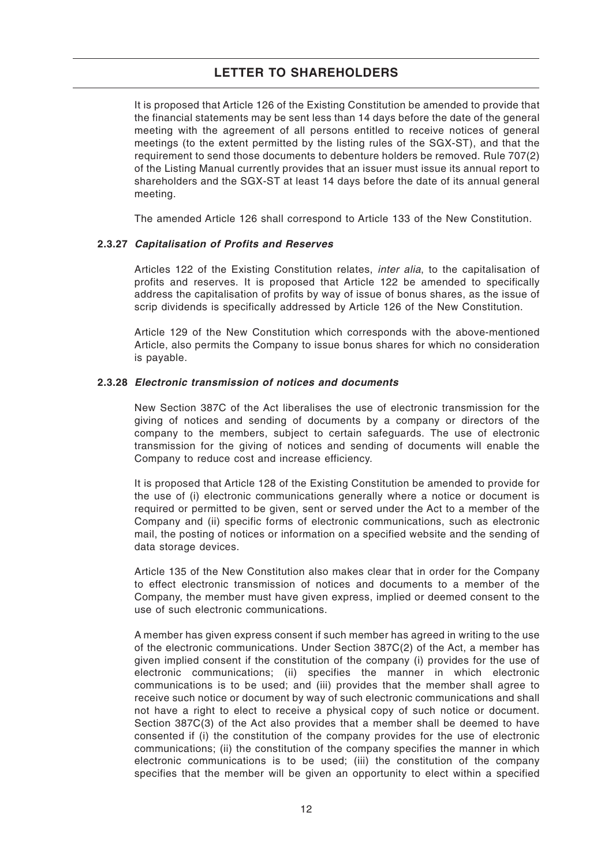It is proposed that Article 126 of the Existing Constitution be amended to provide that the financial statements may be sent less than 14 days before the date of the general meeting with the agreement of all persons entitled to receive notices of general meetings (to the extent permitted by the listing rules of the SGX-ST), and that the requirement to send those documents to debenture holders be removed. Rule 707(2) of the Listing Manual currently provides that an issuer must issue its annual report to shareholders and the SGX-ST at least 14 days before the date of its annual general meeting.

The amended Article 126 shall correspond to Article 133 of the New Constitution.

## **2.3.27 Capitalisation of Profits and Reserves**

Articles 122 of the Existing Constitution relates, *inter alia*, to the capitalisation of profits and reserves. It is proposed that Article 122 be amended to specifically address the capitalisation of profits by way of issue of bonus shares, as the issue of scrip dividends is specifically addressed by Article 126 of the New Constitution.

Article 129 of the New Constitution which corresponds with the above-mentioned Article, also permits the Company to issue bonus shares for which no consideration is payable.

#### **2.3.28 Electronic transmission of notices and documents**

New Section 387C of the Act liberalises the use of electronic transmission for the giving of notices and sending of documents by a company or directors of the company to the members, subject to certain safeguards. The use of electronic transmission for the giving of notices and sending of documents will enable the Company to reduce cost and increase efficiency.

It is proposed that Article 128 of the Existing Constitution be amended to provide for the use of (i) electronic communications generally where a notice or document is required or permitted to be given, sent or served under the Act to a member of the Company and (ii) specific forms of electronic communications, such as electronic mail, the posting of notices or information on a specified website and the sending of data storage devices.

Article 135 of the New Constitution also makes clear that in order for the Company to effect electronic transmission of notices and documents to a member of the Company, the member must have given express, implied or deemed consent to the use of such electronic communications.

A member has given express consent if such member has agreed in writing to the use of the electronic communications. Under Section 387C(2) of the Act, a member has given implied consent if the constitution of the company (i) provides for the use of electronic communications; (ii) specifies the manner in which electronic communications is to be used; and (iii) provides that the member shall agree to receive such notice or document by way of such electronic communications and shall not have a right to elect to receive a physical copy of such notice or document. Section 387C(3) of the Act also provides that a member shall be deemed to have consented if (i) the constitution of the company provides for the use of electronic communications; (ii) the constitution of the company specifies the manner in which electronic communications is to be used; (iii) the constitution of the company specifies that the member will be given an opportunity to elect within a specified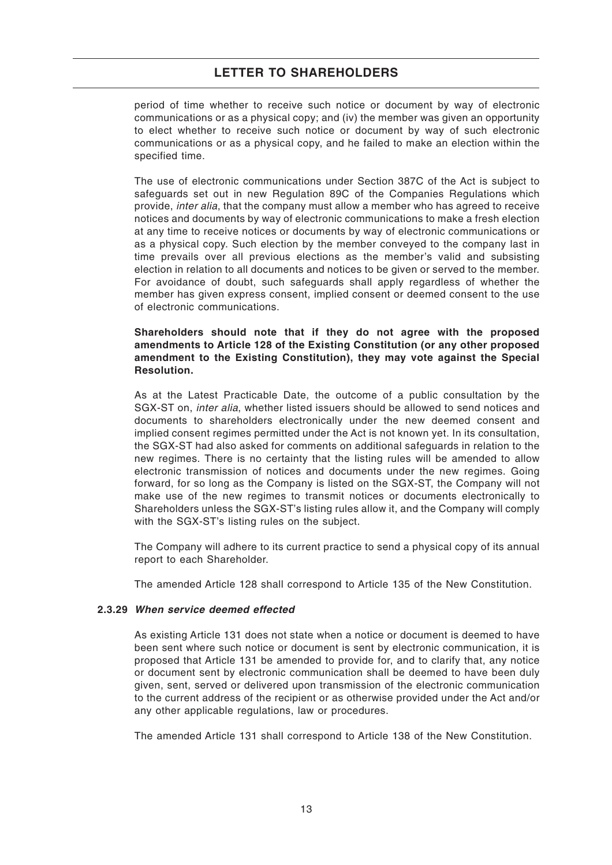period of time whether to receive such notice or document by way of electronic communications or as a physical copy; and (iv) the member was given an opportunity to elect whether to receive such notice or document by way of such electronic communications or as a physical copy, and he failed to make an election within the specified time.

The use of electronic communications under Section 387C of the Act is subject to safeguards set out in new Regulation 89C of the Companies Regulations which provide, inter alia, that the company must allow a member who has agreed to receive notices and documents by way of electronic communications to make a fresh election at any time to receive notices or documents by way of electronic communications or as a physical copy. Such election by the member conveyed to the company last in time prevails over all previous elections as the member's valid and subsisting election in relation to all documents and notices to be given or served to the member. For avoidance of doubt, such safeguards shall apply regardless of whether the member has given express consent, implied consent or deemed consent to the use of electronic communications.

#### **Shareholders should note that if they do not agree with the proposed amendments to Article 128 of the Existing Constitution (or any other proposed amendment to the Existing Constitution), they may vote against the Special Resolution.**

As at the Latest Practicable Date, the outcome of a public consultation by the SGX-ST on, inter alia, whether listed issuers should be allowed to send notices and documents to shareholders electronically under the new deemed consent and implied consent regimes permitted under the Act is not known yet. In its consultation, the SGX-ST had also asked for comments on additional safeguards in relation to the new regimes. There is no certainty that the listing rules will be amended to allow electronic transmission of notices and documents under the new regimes. Going forward, for so long as the Company is listed on the SGX-ST, the Company will not make use of the new regimes to transmit notices or documents electronically to Shareholders unless the SGX-ST's listing rules allow it, and the Company will comply with the SGX-ST's listing rules on the subject.

The Company will adhere to its current practice to send a physical copy of its annual report to each Shareholder.

The amended Article 128 shall correspond to Article 135 of the New Constitution.

## **2.3.29 When service deemed effected**

As existing Article 131 does not state when a notice or document is deemed to have been sent where such notice or document is sent by electronic communication, it is proposed that Article 131 be amended to provide for, and to clarify that, any notice or document sent by electronic communication shall be deemed to have been duly given, sent, served or delivered upon transmission of the electronic communication to the current address of the recipient or as otherwise provided under the Act and/or any other applicable regulations, law or procedures.

The amended Article 131 shall correspond to Article 138 of the New Constitution.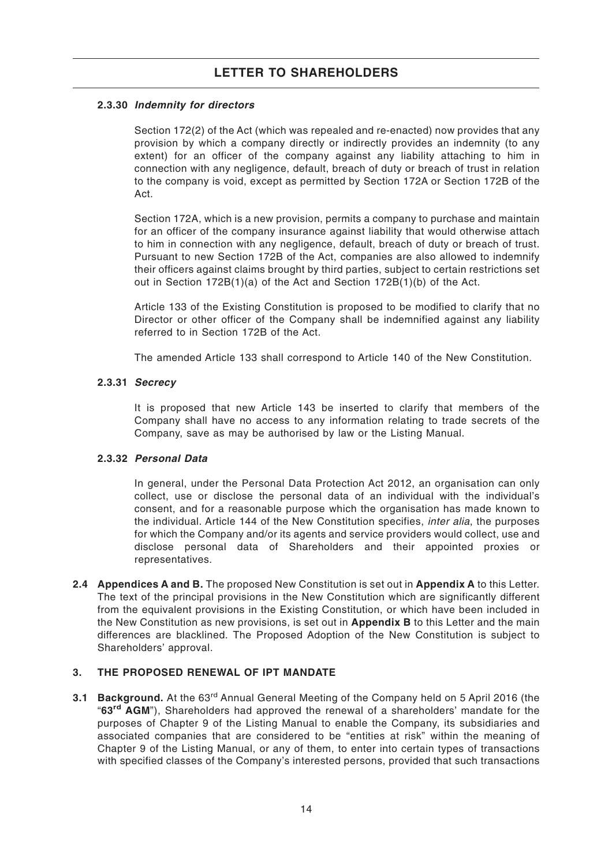# **2.3.30 Indemnity for directors**

Section 172(2) of the Act (which was repealed and re-enacted) now provides that any provision by which a company directly or indirectly provides an indemnity (to any extent) for an officer of the company against any liability attaching to him in connection with any negligence, default, breach of duty or breach of trust in relation to the company is void, except as permitted by Section 172A or Section 172B of the Act.

Section 172A, which is a new provision, permits a company to purchase and maintain for an officer of the company insurance against liability that would otherwise attach to him in connection with any negligence, default, breach of duty or breach of trust. Pursuant to new Section 172B of the Act, companies are also allowed to indemnify their officers against claims brought by third parties, subject to certain restrictions set out in Section 172B(1)(a) of the Act and Section 172B(1)(b) of the Act.

Article 133 of the Existing Constitution is proposed to be modified to clarify that no Director or other officer of the Company shall be indemnified against any liability referred to in Section 172B of the Act.

The amended Article 133 shall correspond to Article 140 of the New Constitution.

## **2.3.31 Secrecy**

It is proposed that new Article 143 be inserted to clarify that members of the Company shall have no access to any information relating to trade secrets of the Company, save as may be authorised by law or the Listing Manual.

## **2.3.32 Personal Data**

In general, under the Personal Data Protection Act 2012, an organisation can only collect, use or disclose the personal data of an individual with the individual's consent, and for a reasonable purpose which the organisation has made known to the individual. Article 144 of the New Constitution specifies, *inter alia*, the purposes for which the Company and/or its agents and service providers would collect, use and disclose personal data of Shareholders and their appointed proxies or representatives.

**2.4 Appendices A and B.** The proposed New Constitution is set out in **Appendix A** to this Letter. The text of the principal provisions in the New Constitution which are significantly different from the equivalent provisions in the Existing Constitution, or which have been included in the New Constitution as new provisions, is set out in **Appendix B** to this Letter and the main differences are blacklined. The Proposed Adoption of the New Constitution is subject to Shareholders' approval.

## **3. THE PROPOSED RENEWAL OF IPT MANDATE**

**3.1 Background.** At the 63<sup>rd</sup> Annual General Meeting of the Company held on 5 April 2016 (the "**63rd AGM**"), Shareholders had approved the renewal of a shareholders' mandate for the purposes of Chapter 9 of the Listing Manual to enable the Company, its subsidiaries and associated companies that are considered to be "entities at risk" within the meaning of Chapter 9 of the Listing Manual, or any of them, to enter into certain types of transactions with specified classes of the Company's interested persons, provided that such transactions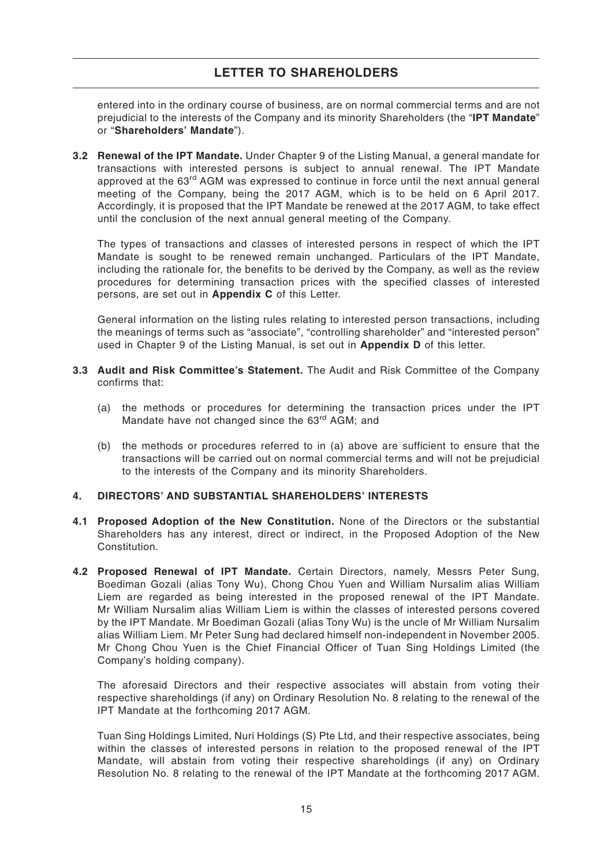entered into in the ordinary course of business, are on normal commercial terms and are not prejudicial to the interests of the Company and its minority Shareholders (the "**IPT Mandate**" or "**Shareholders' Mandate**").

**3.2 Renewal of the IPT Mandate.** Under Chapter 9 of the Listing Manual, a general mandate for transactions with interested persons is subject to annual renewal. The IPT Mandate approved at the 63<sup>rd</sup> AGM was expressed to continue in force until the next annual general meeting of the Company, being the 2017 AGM, which is to be held on 6 April 2017. Accordingly, it is proposed that the IPT Mandate be renewed at the 2017 AGM, to take effect until the conclusion of the next annual general meeting of the Company.

The types of transactions and classes of interested persons in respect of which the IPT Mandate is sought to be renewed remain unchanged. Particulars of the IPT Mandate, including the rationale for, the benefits to be derived by the Company, as well as the review procedures for determining transaction prices with the specified classes of interested persons, are set out in **Appendix C** of this Letter.

General information on the listing rules relating to interested person transactions, including the meanings of terms such as "associate", "controlling shareholder" and "interested person" used in Chapter 9 of the Listing Manual, is set out in **Appendix D** of this letter.

- **3.3 Audit and Risk Committee's Statement.** The Audit and Risk Committee of the Company confirms that:
	- (a) the methods or procedures for determining the transaction prices under the IPT Mandate have not changed since the 63<sup>rd</sup> AGM; and
	- (b) the methods or procedures referred to in (a) above are sufficient to ensure that the transactions will be carried out on normal commercial terms and will not be prejudicial to the interests of the Company and its minority Shareholders.

## **4. DIRECTORS' AND SUBSTANTIAL SHAREHOLDERS' INTERESTS**

- **4.1 Proposed Adoption of the New Constitution.** None of the Directors or the substantial Shareholders has any interest, direct or indirect, in the Proposed Adoption of the New Constitution.
- **4.2 Proposed Renewal of IPT Mandate.** Certain Directors, namely, Messrs Peter Sung, Boediman Gozali (alias Tony Wu), Chong Chou Yuen and William Nursalim alias William Liem are regarded as being interested in the proposed renewal of the IPT Mandate. Mr William Nursalim alias William Liem is within the classes of interested persons covered by the IPT Mandate. Mr Boediman Gozali (alias Tony Wu) is the uncle of Mr William Nursalim alias William Liem. Mr Peter Sung had declared himself non-independent in November 2005. Mr Chong Chou Yuen is the Chief Financial Officer of Tuan Sing Holdings Limited (the Company's holding company).

The aforesaid Directors and their respective associates will abstain from voting their respective shareholdings (if any) on Ordinary Resolution No. 8 relating to the renewal of the IPT Mandate at the forthcoming 2017 AGM.

Tuan Sing Holdings Limited, Nuri Holdings (S) Pte Ltd, and their respective associates, being within the classes of interested persons in relation to the proposed renewal of the IPT Mandate, will abstain from voting their respective shareholdings (if any) on Ordinary Resolution No. 8 relating to the renewal of the IPT Mandate at the forthcoming 2017 AGM.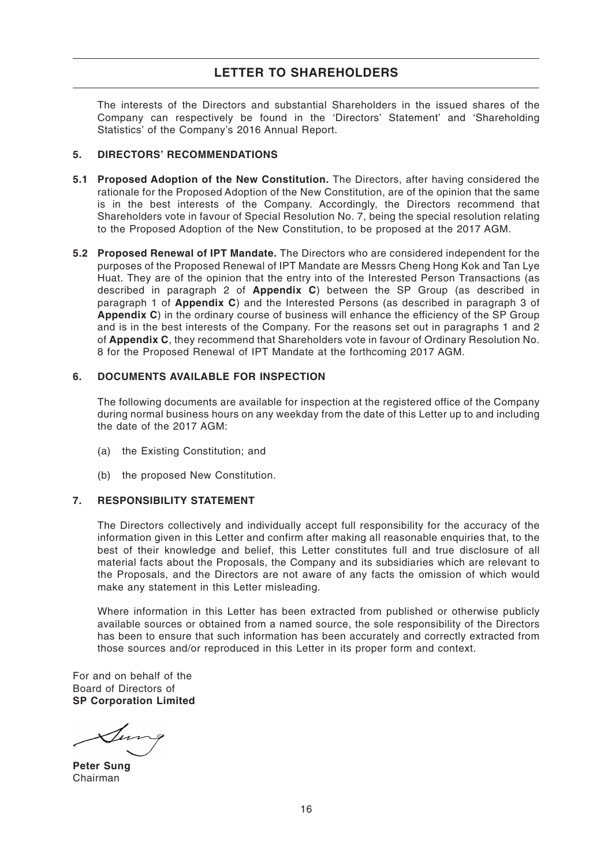The interests of the Directors and substantial Shareholders in the issued shares of the Company can respectively be found in the 'Directors' Statement' and 'Shareholding Statistics' of the Company's 2016 Annual Report.

## **5. DIRECTORS' RECOMMENDATIONS**

- **5.1 Proposed Adoption of the New Constitution.** The Directors, after having considered the rationale for the Proposed Adoption of the New Constitution, are of the opinion that the same is in the best interests of the Company. Accordingly, the Directors recommend that Shareholders vote in favour of Special Resolution No. 7, being the special resolution relating to the Proposed Adoption of the New Constitution, to be proposed at the 2017 AGM.
- **5.2 Proposed Renewal of IPT Mandate.** The Directors who are considered independent for the purposes of the Proposed Renewal of IPT Mandate are Messrs Cheng Hong Kok and Tan Lye Huat. They are of the opinion that the entry into of the Interested Person Transactions (as described in paragraph 2 of **Appendix C**) between the SP Group (as described in paragraph 1 of **Appendix C**) and the Interested Persons (as described in paragraph 3 of **Appendix C**) in the ordinary course of business will enhance the efficiency of the SP Group and is in the best interests of the Company. For the reasons set out in paragraphs 1 and 2 of **Appendix C**, they recommend that Shareholders vote in favour of Ordinary Resolution No. 8 for the Proposed Renewal of IPT Mandate at the forthcoming 2017 AGM.

# **6. DOCUMENTS AVAILABLE FOR INSPECTION**

The following documents are available for inspection at the registered office of the Company during normal business hours on any weekday from the date of this Letter up to and including the date of the 2017 AGM:

- (a) the Existing Constitution; and
- (b) the proposed New Constitution.

## **7. RESPONSIBILITY STATEMENT**

The Directors collectively and individually accept full responsibility for the accuracy of the information given in this Letter and confirm after making all reasonable enquiries that, to the best of their knowledge and belief, this Letter constitutes full and true disclosure of all material facts about the Proposals, the Company and its subsidiaries which are relevant to the Proposals, and the Directors are not aware of any facts the omission of which would make any statement in this Letter misleading.

Where information in this Letter has been extracted from published or otherwise publicly available sources or obtained from a named source, the sole responsibility of the Directors has been to ensure that such information has been accurately and correctly extracted from those sources and/or reproduced in this Letter in its proper form and context.

For and on behalf of the Board of Directors of **SP Corporation Limited**

**Peter Sung** Chairman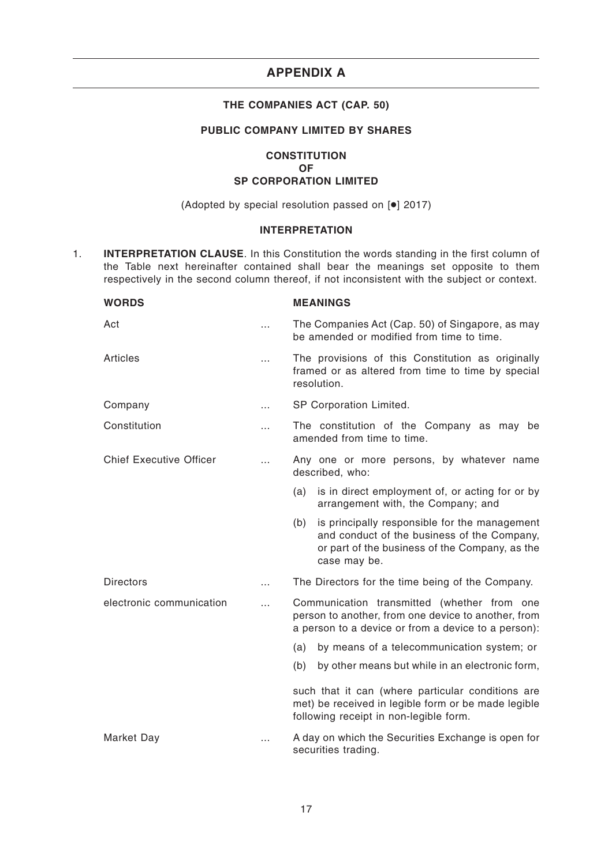# **APPENDIX A**

## **THE COMPANIES ACT (CAP. 50)**

# **PUBLIC COMPANY LIMITED BY SHARES**

## **CONSTITUTION OF SP CORPORATION LIMITED**

(Adopted by special resolution passed on [●] 2017)

## **INTERPRETATION**

1. **INTERPRETATION CLAUSE**. In this Constitution the words standing in the first column of the Table next hereinafter contained shall bear the meanings set opposite to them respectively in the second column thereof, if not inconsistent with the subject or context.

| <b>WORDS</b>                   |          | <b>MEANINGS</b>                                                                                                                                                       |
|--------------------------------|----------|-----------------------------------------------------------------------------------------------------------------------------------------------------------------------|
| Act                            |          | The Companies Act (Cap. 50) of Singapore, as may<br>be amended or modified from time to time.                                                                         |
| <b>Articles</b>                | .        | The provisions of this Constitution as originally<br>framed or as altered from time to time by special<br>resolution.                                                 |
| Company                        | .        | SP Corporation Limited.                                                                                                                                               |
| Constitution                   | $\cdots$ | The constitution of the Company as may be<br>amended from time to time.                                                                                               |
| <b>Chief Executive Officer</b> | .        | Any one or more persons, by whatever name<br>described, who:                                                                                                          |
|                                |          | is in direct employment of, or acting for or by<br>(a)<br>arrangement with, the Company; and                                                                          |
|                                |          | is principally responsible for the management<br>(b)<br>and conduct of the business of the Company,<br>or part of the business of the Company, as the<br>case may be. |
| <b>Directors</b>               | $\cdots$ | The Directors for the time being of the Company.                                                                                                                      |
| electronic communication       | .        | Communication transmitted (whether from one<br>person to another, from one device to another, from<br>a person to a device or from a device to a person):             |
|                                |          | by means of a telecommunication system; or<br>(a)                                                                                                                     |
|                                |          | by other means but while in an electronic form,<br>(b)                                                                                                                |
|                                |          | such that it can (where particular conditions are<br>met) be received in legible form or be made legible<br>following receipt in non-legible form.                    |
| Market Day                     | .        | A day on which the Securities Exchange is open for<br>securities trading.                                                                                             |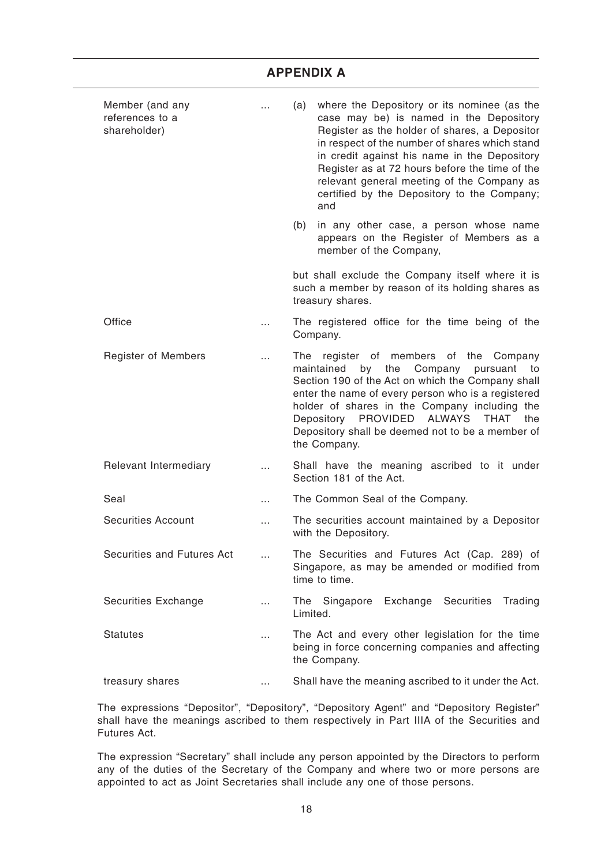| Member (and any<br>references to a<br>shareholder) | $\cdots$ | where the Depository or its nominee (as the<br>(a)<br>case may be) is named in the Depository<br>Register as the holder of shares, a Depositor<br>in respect of the number of shares which stand<br>in credit against his name in the Depository<br>Register as at 72 hours before the time of the<br>relevant general meeting of the Company as<br>certified by the Depository to the Company;<br>and |
|----------------------------------------------------|----------|--------------------------------------------------------------------------------------------------------------------------------------------------------------------------------------------------------------------------------------------------------------------------------------------------------------------------------------------------------------------------------------------------------|
|                                                    |          | in any other case, a person whose name<br>(b)<br>appears on the Register of Members as a<br>member of the Company,                                                                                                                                                                                                                                                                                     |
|                                                    |          | but shall exclude the Company itself where it is<br>such a member by reason of its holding shares as<br>treasury shares.                                                                                                                                                                                                                                                                               |
| Office                                             |          | The registered office for the time being of the<br>Company.                                                                                                                                                                                                                                                                                                                                            |
| <b>Register of Members</b>                         |          | The register of members of the<br>Company<br>maintained<br>by<br>the<br>Company<br>pursuant<br>to<br>Section 190 of the Act on which the Company shall<br>enter the name of every person who is a registered<br>holder of shares in the Company including the<br>PROVIDED ALWAYS<br>Depository<br>THAT<br>the<br>Depository shall be deemed not to be a member of<br>the Company.                      |
| Relevant Intermediary                              |          | Shall have the meaning ascribed to it under<br>Section 181 of the Act.                                                                                                                                                                                                                                                                                                                                 |
| Seal                                               | $\cdots$ | The Common Seal of the Company.                                                                                                                                                                                                                                                                                                                                                                        |
| <b>Securities Account</b>                          | $\cdots$ | The securities account maintained by a Depositor<br>with the Depository.                                                                                                                                                                                                                                                                                                                               |
| Securities and Futures Act                         |          | The Securities and Futures Act (Cap. 289) of<br>Singapore, as may be amended or modified from<br>time to time.                                                                                                                                                                                                                                                                                         |
| Securities Exchange                                | $\cdots$ | The Singapore Exchange Securities<br>Trading<br>Limited.                                                                                                                                                                                                                                                                                                                                               |
| <b>Statutes</b>                                    | $\cdots$ | The Act and every other legislation for the time<br>being in force concerning companies and affecting<br>the Company.                                                                                                                                                                                                                                                                                  |
| treasury shares                                    | $\cdots$ | Shall have the meaning ascribed to it under the Act.                                                                                                                                                                                                                                                                                                                                                   |

The expressions "Depositor", "Depository", "Depository Agent" and "Depository Register" shall have the meanings ascribed to them respectively in Part IIIA of the Securities and Futures Act.

The expression "Secretary" shall include any person appointed by the Directors to perform any of the duties of the Secretary of the Company and where two or more persons are appointed to act as Joint Secretaries shall include any one of those persons.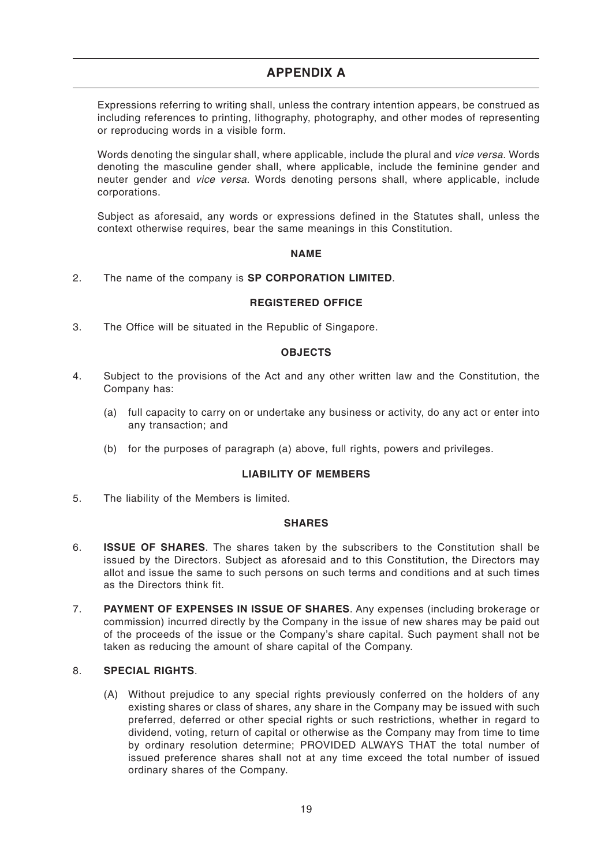# **APPENDIX A**

Expressions referring to writing shall, unless the contrary intention appears, be construed as including references to printing, lithography, photography, and other modes of representing or reproducing words in a visible form.

Words denoting the singular shall, where applicable, include the plural and vice versa. Words denoting the masculine gender shall, where applicable, include the feminine gender and neuter gender and vice versa. Words denoting persons shall, where applicable, include corporations.

Subject as aforesaid, any words or expressions defined in the Statutes shall, unless the context otherwise requires, bear the same meanings in this Constitution.

## **NAME**

2. The name of the company is **SP CORPORATION LIMITED**.

## **REGISTERED OFFICE**

3. The Office will be situated in the Republic of Singapore.

#### **OBJECTS**

- 4. Subject to the provisions of the Act and any other written law and the Constitution, the Company has:
	- (a) full capacity to carry on or undertake any business or activity, do any act or enter into any transaction; and
	- (b) for the purposes of paragraph (a) above, full rights, powers and privileges.

## **LIABILITY OF MEMBERS**

5. The liability of the Members is limited.

#### **SHARES**

- 6. **ISSUE OF SHARES**. The shares taken by the subscribers to the Constitution shall be issued by the Directors. Subject as aforesaid and to this Constitution, the Directors may allot and issue the same to such persons on such terms and conditions and at such times as the Directors think fit.
- 7. **PAYMENT OF EXPENSES IN ISSUE OF SHARES**. Any expenses (including brokerage or commission) incurred directly by the Company in the issue of new shares may be paid out of the proceeds of the issue or the Company's share capital. Such payment shall not be taken as reducing the amount of share capital of the Company.

# 8. **SPECIAL RIGHTS**.

(A) Without prejudice to any special rights previously conferred on the holders of any existing shares or class of shares, any share in the Company may be issued with such preferred, deferred or other special rights or such restrictions, whether in regard to dividend, voting, return of capital or otherwise as the Company may from time to time by ordinary resolution determine; PROVIDED ALWAYS THAT the total number of issued preference shares shall not at any time exceed the total number of issued ordinary shares of the Company.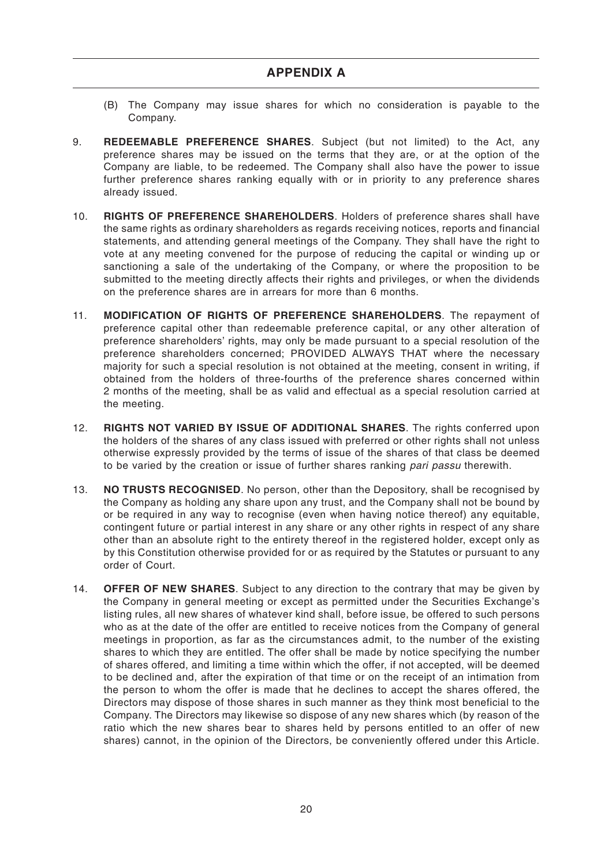- (B) The Company may issue shares for which no consideration is payable to the Company.
- 9. **REDEEMABLE PREFERENCE SHARES**. Subject (but not limited) to the Act, any preference shares may be issued on the terms that they are, or at the option of the Company are liable, to be redeemed. The Company shall also have the power to issue further preference shares ranking equally with or in priority to any preference shares already issued.
- 10. **RIGHTS OF PREFERENCE SHAREHOLDERS**. Holders of preference shares shall have the same rights as ordinary shareholders as regards receiving notices, reports and financial statements, and attending general meetings of the Company. They shall have the right to vote at any meeting convened for the purpose of reducing the capital or winding up or sanctioning a sale of the undertaking of the Company, or where the proposition to be submitted to the meeting directly affects their rights and privileges, or when the dividends on the preference shares are in arrears for more than 6 months.
- 11. **MODIFICATION OF RIGHTS OF PREFERENCE SHAREHOLDERS**. The repayment of preference capital other than redeemable preference capital, or any other alteration of preference shareholders' rights, may only be made pursuant to a special resolution of the preference shareholders concerned; PROVIDED ALWAYS THAT where the necessary majority for such a special resolution is not obtained at the meeting, consent in writing, if obtained from the holders of three-fourths of the preference shares concerned within 2 months of the meeting, shall be as valid and effectual as a special resolution carried at the meeting.
- 12. **RIGHTS NOT VARIED BY ISSUE OF ADDITIONAL SHARES**. The rights conferred upon the holders of the shares of any class issued with preferred or other rights shall not unless otherwise expressly provided by the terms of issue of the shares of that class be deemed to be varied by the creation or issue of further shares ranking pari passu therewith.
- 13. **NO TRUSTS RECOGNISED**. No person, other than the Depository, shall be recognised by the Company as holding any share upon any trust, and the Company shall not be bound by or be required in any way to recognise (even when having notice thereof) any equitable, contingent future or partial interest in any share or any other rights in respect of any share other than an absolute right to the entirety thereof in the registered holder, except only as by this Constitution otherwise provided for or as required by the Statutes or pursuant to any order of Court.
- 14. **OFFER OF NEW SHARES**. Subject to any direction to the contrary that may be given by the Company in general meeting or except as permitted under the Securities Exchange's listing rules, all new shares of whatever kind shall, before issue, be offered to such persons who as at the date of the offer are entitled to receive notices from the Company of general meetings in proportion, as far as the circumstances admit, to the number of the existing shares to which they are entitled. The offer shall be made by notice specifying the number of shares offered, and limiting a time within which the offer, if not accepted, will be deemed to be declined and, after the expiration of that time or on the receipt of an intimation from the person to whom the offer is made that he declines to accept the shares offered, the Directors may dispose of those shares in such manner as they think most beneficial to the Company. The Directors may likewise so dispose of any new shares which (by reason of the ratio which the new shares bear to shares held by persons entitled to an offer of new shares) cannot, in the opinion of the Directors, be conveniently offered under this Article.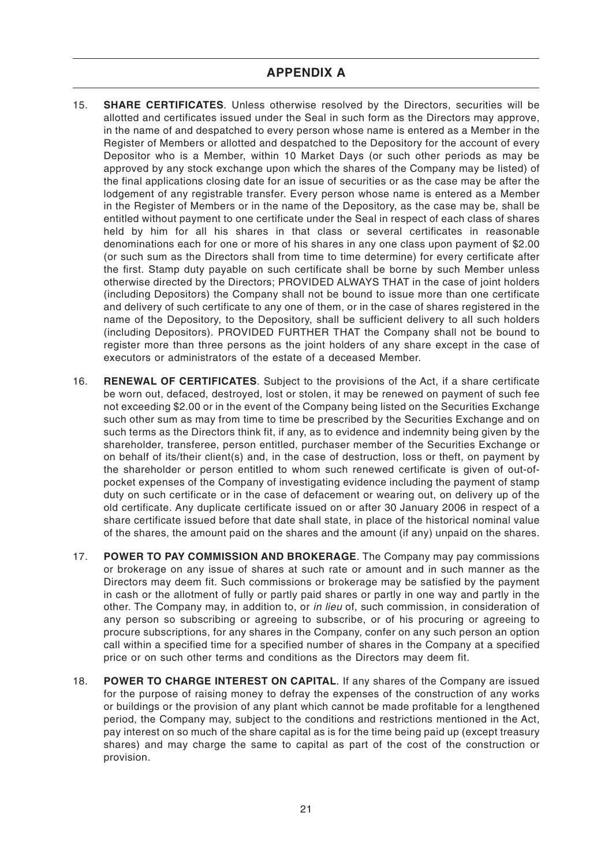- 15. **SHARE CERTIFICATES**. Unless otherwise resolved by the Directors, securities will be allotted and certificates issued under the Seal in such form as the Directors may approve, in the name of and despatched to every person whose name is entered as a Member in the Register of Members or allotted and despatched to the Depository for the account of every Depositor who is a Member, within 10 Market Days (or such other periods as may be approved by any stock exchange upon which the shares of the Company may be listed) of the final applications closing date for an issue of securities or as the case may be after the lodgement of any registrable transfer. Every person whose name is entered as a Member in the Register of Members or in the name of the Depository, as the case may be, shall be entitled without payment to one certificate under the Seal in respect of each class of shares held by him for all his shares in that class or several certificates in reasonable denominations each for one or more of his shares in any one class upon payment of \$2.00 (or such sum as the Directors shall from time to time determine) for every certificate after the first. Stamp duty payable on such certificate shall be borne by such Member unless otherwise directed by the Directors; PROVIDED ALWAYS THAT in the case of joint holders (including Depositors) the Company shall not be bound to issue more than one certificate and delivery of such certificate to any one of them, or in the case of shares registered in the name of the Depository, to the Depository, shall be sufficient delivery to all such holders (including Depositors). PROVIDED FURTHER THAT the Company shall not be bound to register more than three persons as the joint holders of any share except in the case of executors or administrators of the estate of a deceased Member.
- 16. **RENEWAL OF CERTIFICATES**. Subject to the provisions of the Act, if a share certificate be worn out, defaced, destroyed, lost or stolen, it may be renewed on payment of such fee not exceeding \$2.00 or in the event of the Company being listed on the Securities Exchange such other sum as may from time to time be prescribed by the Securities Exchange and on such terms as the Directors think fit, if any, as to evidence and indemnity being given by the shareholder, transferee, person entitled, purchaser member of the Securities Exchange or on behalf of its/their client(s) and, in the case of destruction, loss or theft, on payment by the shareholder or person entitled to whom such renewed certificate is given of out-ofpocket expenses of the Company of investigating evidence including the payment of stamp duty on such certificate or in the case of defacement or wearing out, on delivery up of the old certificate. Any duplicate certificate issued on or after 30 January 2006 in respect of a share certificate issued before that date shall state, in place of the historical nominal value of the shares, the amount paid on the shares and the amount (if any) unpaid on the shares.
- 17. **POWER TO PAY COMMISSION AND BROKERAGE**. The Company may pay commissions or brokerage on any issue of shares at such rate or amount and in such manner as the Directors may deem fit. Such commissions or brokerage may be satisfied by the payment in cash or the allotment of fully or partly paid shares or partly in one way and partly in the other. The Company may, in addition to, or in lieu of, such commission, in consideration of any person so subscribing or agreeing to subscribe, or of his procuring or agreeing to procure subscriptions, for any shares in the Company, confer on any such person an option call within a specified time for a specified number of shares in the Company at a specified price or on such other terms and conditions as the Directors may deem fit.
- 18. **POWER TO CHARGE INTEREST ON CAPITAL**. If any shares of the Company are issued for the purpose of raising money to defray the expenses of the construction of any works or buildings or the provision of any plant which cannot be made profitable for a lengthened period, the Company may, subject to the conditions and restrictions mentioned in the Act, pay interest on so much of the share capital as is for the time being paid up (except treasury shares) and may charge the same to capital as part of the cost of the construction or provision.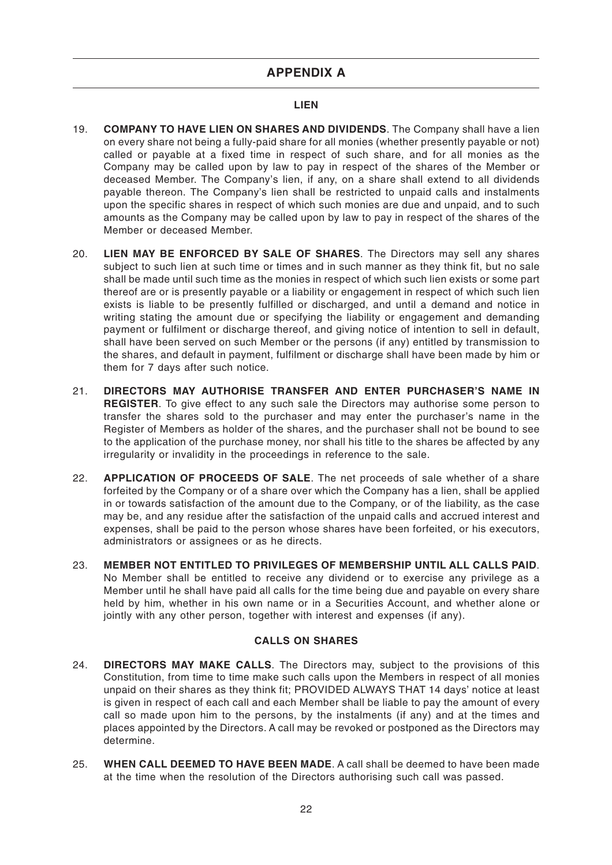# **APPENDIX A**

#### **LIEN**

- 19. **COMPANY TO HAVE LIEN ON SHARES AND DIVIDENDS**. The Company shall have a lien on every share not being a fully-paid share for all monies (whether presently payable or not) called or payable at a fixed time in respect of such share, and for all monies as the Company may be called upon by law to pay in respect of the shares of the Member or deceased Member. The Company's lien, if any, on a share shall extend to all dividends payable thereon. The Company's lien shall be restricted to unpaid calls and instalments upon the specific shares in respect of which such monies are due and unpaid, and to such amounts as the Company may be called upon by law to pay in respect of the shares of the Member or deceased Member.
- 20. **LIEN MAY BE ENFORCED BY SALE OF SHARES**. The Directors may sell any shares subject to such lien at such time or times and in such manner as they think fit, but no sale shall be made until such time as the monies in respect of which such lien exists or some part thereof are or is presently payable or a liability or engagement in respect of which such lien exists is liable to be presently fulfilled or discharged, and until a demand and notice in writing stating the amount due or specifying the liability or engagement and demanding payment or fulfilment or discharge thereof, and giving notice of intention to sell in default, shall have been served on such Member or the persons (if any) entitled by transmission to the shares, and default in payment, fulfilment or discharge shall have been made by him or them for 7 days after such notice.
- 21. **DIRECTORS MAY AUTHORISE TRANSFER AND ENTER PURCHASER'S NAME IN REGISTER**. To give effect to any such sale the Directors may authorise some person to transfer the shares sold to the purchaser and may enter the purchaser's name in the Register of Members as holder of the shares, and the purchaser shall not be bound to see to the application of the purchase money, nor shall his title to the shares be affected by any irregularity or invalidity in the proceedings in reference to the sale.
- 22. **APPLICATION OF PROCEEDS OF SALE**. The net proceeds of sale whether of a share forfeited by the Company or of a share over which the Company has a lien, shall be applied in or towards satisfaction of the amount due to the Company, or of the liability, as the case may be, and any residue after the satisfaction of the unpaid calls and accrued interest and expenses, shall be paid to the person whose shares have been forfeited, or his executors, administrators or assignees or as he directs.
- 23. **MEMBER NOT ENTITLED TO PRIVILEGES OF MEMBERSHIP UNTIL ALL CALLS PAID**. No Member shall be entitled to receive any dividend or to exercise any privilege as a Member until he shall have paid all calls for the time being due and payable on every share held by him, whether in his own name or in a Securities Account, and whether alone or jointly with any other person, together with interest and expenses (if any).

## **CALLS ON SHARES**

- 24. **DIRECTORS MAY MAKE CALLS**. The Directors may, subject to the provisions of this Constitution, from time to time make such calls upon the Members in respect of all monies unpaid on their shares as they think fit; PROVIDED ALWAYS THAT 14 days' notice at least is given in respect of each call and each Member shall be liable to pay the amount of every call so made upon him to the persons, by the instalments (if any) and at the times and places appointed by the Directors. A call may be revoked or postponed as the Directors may determine.
- 25. **WHEN CALL DEEMED TO HAVE BEEN MADE**. A call shall be deemed to have been made at the time when the resolution of the Directors authorising such call was passed.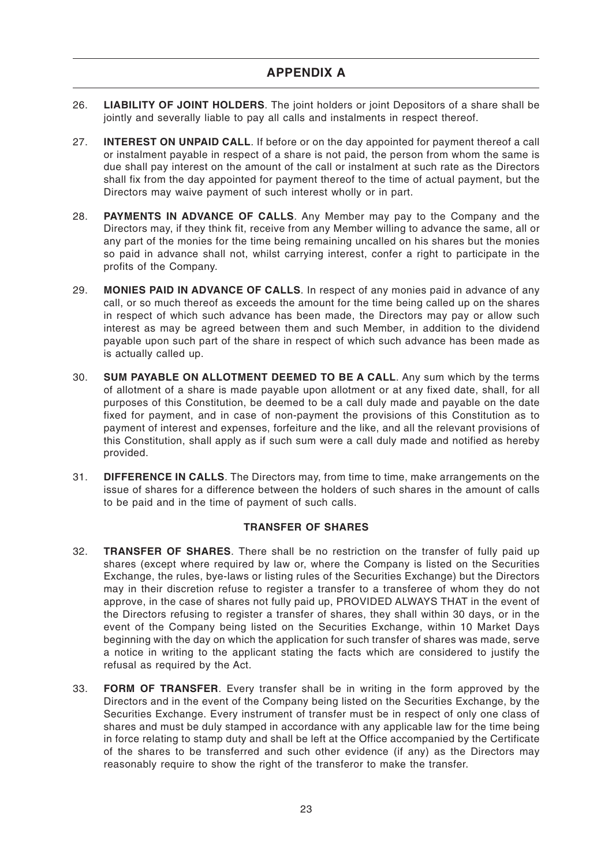- 26. **LIABILITY OF JOINT HOLDERS**. The joint holders or joint Depositors of a share shall be jointly and severally liable to pay all calls and instalments in respect thereof.
- 27. **INTEREST ON UNPAID CALL**. If before or on the day appointed for payment thereof a call or instalment payable in respect of a share is not paid, the person from whom the same is due shall pay interest on the amount of the call or instalment at such rate as the Directors shall fix from the day appointed for payment thereof to the time of actual payment, but the Directors may waive payment of such interest wholly or in part.
- 28. **PAYMENTS IN ADVANCE OF CALLS**. Any Member may pay to the Company and the Directors may, if they think fit, receive from any Member willing to advance the same, all or any part of the monies for the time being remaining uncalled on his shares but the monies so paid in advance shall not, whilst carrying interest, confer a right to participate in the profits of the Company.
- 29. **MONIES PAID IN ADVANCE OF CALLS**. In respect of any monies paid in advance of any call, or so much thereof as exceeds the amount for the time being called up on the shares in respect of which such advance has been made, the Directors may pay or allow such interest as may be agreed between them and such Member, in addition to the dividend payable upon such part of the share in respect of which such advance has been made as is actually called up.
- 30. **SUM PAYABLE ON ALLOTMENT DEEMED TO BE A CALL**. Any sum which by the terms of allotment of a share is made payable upon allotment or at any fixed date, shall, for all purposes of this Constitution, be deemed to be a call duly made and payable on the date fixed for payment, and in case of non-payment the provisions of this Constitution as to payment of interest and expenses, forfeiture and the like, and all the relevant provisions of this Constitution, shall apply as if such sum were a call duly made and notified as hereby provided.
- 31. **DIFFERENCE IN CALLS**. The Directors may, from time to time, make arrangements on the issue of shares for a difference between the holders of such shares in the amount of calls to be paid and in the time of payment of such calls.

## **TRANSFER OF SHARES**

- 32. **TRANSFER OF SHARES**. There shall be no restriction on the transfer of fully paid up shares (except where required by law or, where the Company is listed on the Securities Exchange, the rules, bye-laws or listing rules of the Securities Exchange) but the Directors may in their discretion refuse to register a transfer to a transferee of whom they do not approve, in the case of shares not fully paid up, PROVIDED ALWAYS THAT in the event of the Directors refusing to register a transfer of shares, they shall within 30 days, or in the event of the Company being listed on the Securities Exchange, within 10 Market Days beginning with the day on which the application for such transfer of shares was made, serve a notice in writing to the applicant stating the facts which are considered to justify the refusal as required by the Act.
- 33. **FORM OF TRANSFER**. Every transfer shall be in writing in the form approved by the Directors and in the event of the Company being listed on the Securities Exchange, by the Securities Exchange. Every instrument of transfer must be in respect of only one class of shares and must be duly stamped in accordance with any applicable law for the time being in force relating to stamp duty and shall be left at the Office accompanied by the Certificate of the shares to be transferred and such other evidence (if any) as the Directors may reasonably require to show the right of the transferor to make the transfer.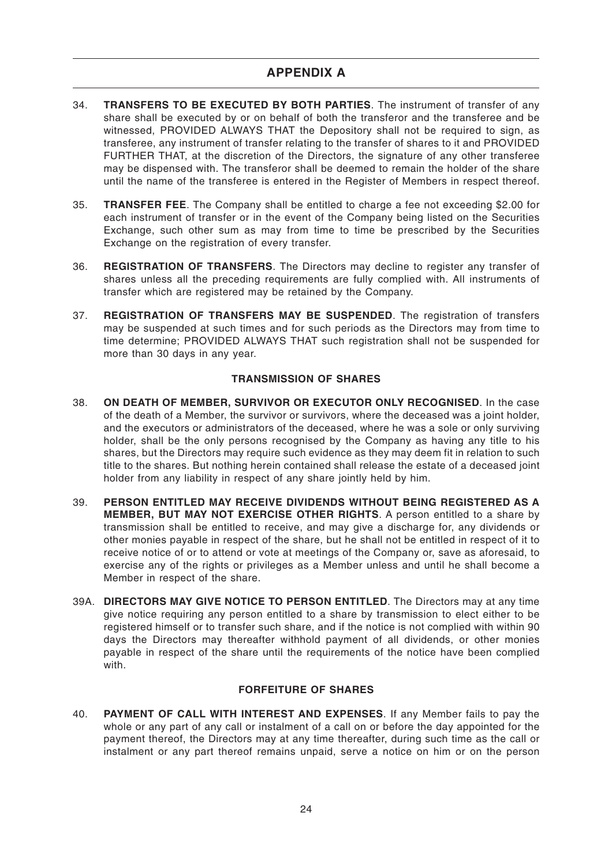- 34. **TRANSFERS TO BE EXECUTED BY BOTH PARTIES**. The instrument of transfer of any share shall be executed by or on behalf of both the transferor and the transferee and be witnessed, PROVIDED ALWAYS THAT the Depository shall not be required to sign, as transferee, any instrument of transfer relating to the transfer of shares to it and PROVIDED FURTHER THAT, at the discretion of the Directors, the signature of any other transferee may be dispensed with. The transferor shall be deemed to remain the holder of the share until the name of the transferee is entered in the Register of Members in respect thereof.
- 35. **TRANSFER FEE**. The Company shall be entitled to charge a fee not exceeding \$2.00 for each instrument of transfer or in the event of the Company being listed on the Securities Exchange, such other sum as may from time to time be prescribed by the Securities Exchange on the registration of every transfer.
- 36. **REGISTRATION OF TRANSFERS**. The Directors may decline to register any transfer of shares unless all the preceding requirements are fully complied with. All instruments of transfer which are registered may be retained by the Company.
- 37. **REGISTRATION OF TRANSFERS MAY BE SUSPENDED**. The registration of transfers may be suspended at such times and for such periods as the Directors may from time to time determine; PROVIDED ALWAYS THAT such registration shall not be suspended for more than 30 days in any year.

## **TRANSMISSION OF SHARES**

- 38. **ON DEATH OF MEMBER, SURVIVOR OR EXECUTOR ONLY RECOGNISED**. In the case of the death of a Member, the survivor or survivors, where the deceased was a joint holder, and the executors or administrators of the deceased, where he was a sole or only surviving holder, shall be the only persons recognised by the Company as having any title to his shares, but the Directors may require such evidence as they may deem fit in relation to such title to the shares. But nothing herein contained shall release the estate of a deceased joint holder from any liability in respect of any share jointly held by him.
- 39. **PERSON ENTITLED MAY RECEIVE DIVIDENDS WITHOUT BEING REGISTERED AS A MEMBER, BUT MAY NOT EXERCISE OTHER RIGHTS**. A person entitled to a share by transmission shall be entitled to receive, and may give a discharge for, any dividends or other monies payable in respect of the share, but he shall not be entitled in respect of it to receive notice of or to attend or vote at meetings of the Company or, save as aforesaid, to exercise any of the rights or privileges as a Member unless and until he shall become a Member in respect of the share.
- 39A. **DIRECTORS MAY GIVE NOTICE TO PERSON ENTITLED**. The Directors may at any time give notice requiring any person entitled to a share by transmission to elect either to be registered himself or to transfer such share, and if the notice is not complied with within 90 days the Directors may thereafter withhold payment of all dividends, or other monies payable in respect of the share until the requirements of the notice have been complied with.

## **FORFEITURE OF SHARES**

40. **PAYMENT OF CALL WITH INTEREST AND EXPENSES**. If any Member fails to pay the whole or any part of any call or instalment of a call on or before the day appointed for the payment thereof, the Directors may at any time thereafter, during such time as the call or instalment or any part thereof remains unpaid, serve a notice on him or on the person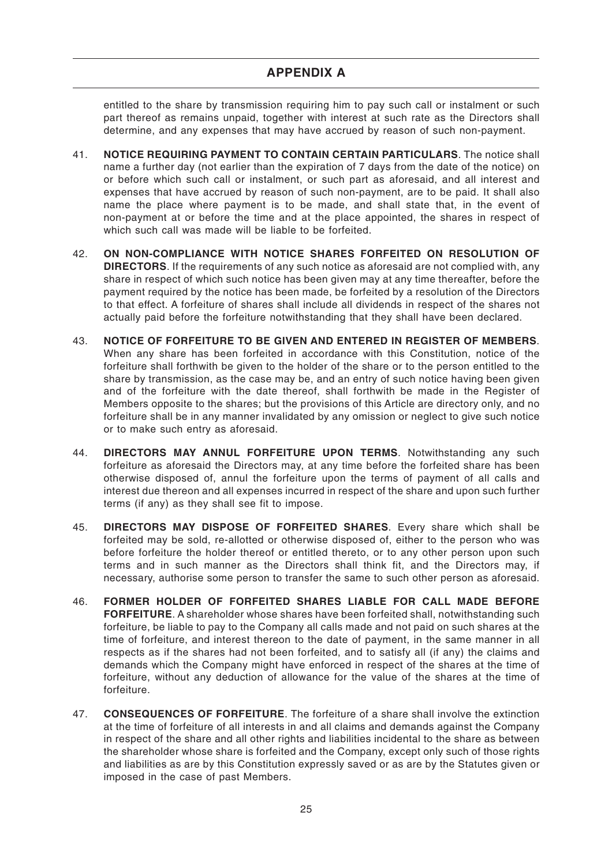# **APPENDIX A**

entitled to the share by transmission requiring him to pay such call or instalment or such part thereof as remains unpaid, together with interest at such rate as the Directors shall determine, and any expenses that may have accrued by reason of such non-payment.

- 41. **NOTICE REQUIRING PAYMENT TO CONTAIN CERTAIN PARTICULARS**. The notice shall name a further day (not earlier than the expiration of 7 days from the date of the notice) on or before which such call or instalment, or such part as aforesaid, and all interest and expenses that have accrued by reason of such non-payment, are to be paid. It shall also name the place where payment is to be made, and shall state that, in the event of non-payment at or before the time and at the place appointed, the shares in respect of which such call was made will be liable to be forfeited.
- 42. **ON NON-COMPLIANCE WITH NOTICE SHARES FORFEITED ON RESOLUTION OF DIRECTORS**. If the requirements of any such notice as aforesaid are not complied with, any share in respect of which such notice has been given may at any time thereafter, before the payment required by the notice has been made, be forfeited by a resolution of the Directors to that effect. A forfeiture of shares shall include all dividends in respect of the shares not actually paid before the forfeiture notwithstanding that they shall have been declared.
- 43. **NOTICE OF FORFEITURE TO BE GIVEN AND ENTERED IN REGISTER OF MEMBERS**. When any share has been forfeited in accordance with this Constitution, notice of the forfeiture shall forthwith be given to the holder of the share or to the person entitled to the share by transmission, as the case may be, and an entry of such notice having been given and of the forfeiture with the date thereof, shall forthwith be made in the Register of Members opposite to the shares; but the provisions of this Article are directory only, and no forfeiture shall be in any manner invalidated by any omission or neglect to give such notice or to make such entry as aforesaid.
- 44. **DIRECTORS MAY ANNUL FORFEITURE UPON TERMS**. Notwithstanding any such forfeiture as aforesaid the Directors may, at any time before the forfeited share has been otherwise disposed of, annul the forfeiture upon the terms of payment of all calls and interest due thereon and all expenses incurred in respect of the share and upon such further terms (if any) as they shall see fit to impose.
- 45. **DIRECTORS MAY DISPOSE OF FORFEITED SHARES**. Every share which shall be forfeited may be sold, re-allotted or otherwise disposed of, either to the person who was before forfeiture the holder thereof or entitled thereto, or to any other person upon such terms and in such manner as the Directors shall think fit, and the Directors may, if necessary, authorise some person to transfer the same to such other person as aforesaid.
- 46. **FORMER HOLDER OF FORFEITED SHARES LIABLE FOR CALL MADE BEFORE FORFEITURE**. A shareholder whose shares have been forfeited shall, notwithstanding such forfeiture, be liable to pay to the Company all calls made and not paid on such shares at the time of forfeiture, and interest thereon to the date of payment, in the same manner in all respects as if the shares had not been forfeited, and to satisfy all (if any) the claims and demands which the Company might have enforced in respect of the shares at the time of forfeiture, without any deduction of allowance for the value of the shares at the time of forfeiture.
- 47. **CONSEQUENCES OF FORFEITURE**. The forfeiture of a share shall involve the extinction at the time of forfeiture of all interests in and all claims and demands against the Company in respect of the share and all other rights and liabilities incidental to the share as between the shareholder whose share is forfeited and the Company, except only such of those rights and liabilities as are by this Constitution expressly saved or as are by the Statutes given or imposed in the case of past Members.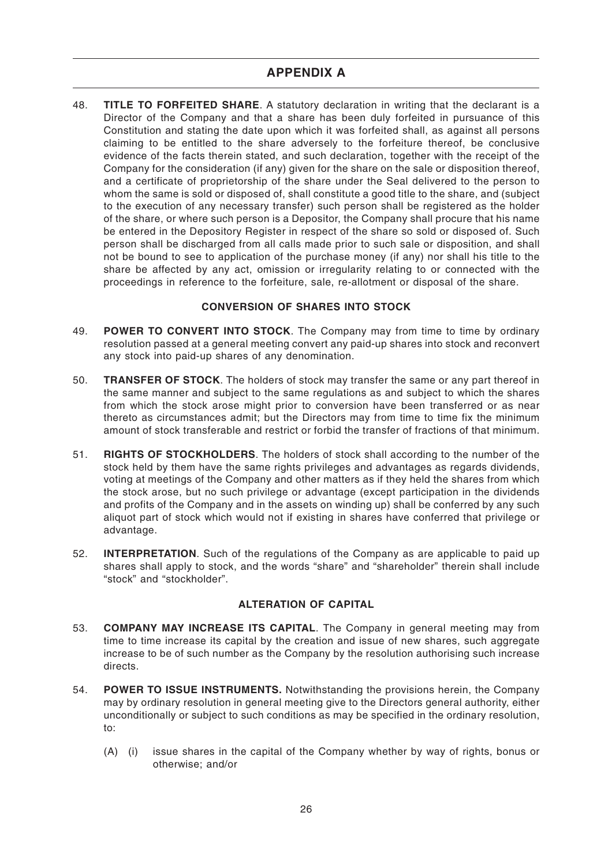48. **TITLE TO FORFEITED SHARE**. A statutory declaration in writing that the declarant is a Director of the Company and that a share has been duly forfeited in pursuance of this Constitution and stating the date upon which it was forfeited shall, as against all persons claiming to be entitled to the share adversely to the forfeiture thereof, be conclusive evidence of the facts therein stated, and such declaration, together with the receipt of the Company for the consideration (if any) given for the share on the sale or disposition thereof, and a certificate of proprietorship of the share under the Seal delivered to the person to whom the same is sold or disposed of, shall constitute a good title to the share, and (subject to the execution of any necessary transfer) such person shall be registered as the holder of the share, or where such person is a Depositor, the Company shall procure that his name be entered in the Depository Register in respect of the share so sold or disposed of. Such person shall be discharged from all calls made prior to such sale or disposition, and shall not be bound to see to application of the purchase money (if any) nor shall his title to the share be affected by any act, omission or irregularity relating to or connected with the proceedings in reference to the forfeiture, sale, re-allotment or disposal of the share.

# **CONVERSION OF SHARES INTO STOCK**

- 49. **POWER TO CONVERT INTO STOCK**. The Company may from time to time by ordinary resolution passed at a general meeting convert any paid-up shares into stock and reconvert any stock into paid-up shares of any denomination.
- 50. **TRANSFER OF STOCK**. The holders of stock may transfer the same or any part thereof in the same manner and subject to the same regulations as and subject to which the shares from which the stock arose might prior to conversion have been transferred or as near thereto as circumstances admit; but the Directors may from time to time fix the minimum amount of stock transferable and restrict or forbid the transfer of fractions of that minimum.
- 51. **RIGHTS OF STOCKHOLDERS**. The holders of stock shall according to the number of the stock held by them have the same rights privileges and advantages as regards dividends, voting at meetings of the Company and other matters as if they held the shares from which the stock arose, but no such privilege or advantage (except participation in the dividends and profits of the Company and in the assets on winding up) shall be conferred by any such aliquot part of stock which would not if existing in shares have conferred that privilege or advantage.
- 52. **INTERPRETATION**. Such of the regulations of the Company as are applicable to paid up shares shall apply to stock, and the words "share" and "shareholder" therein shall include "stock" and "stockholder".

# **ALTERATION OF CAPITAL**

- 53. **COMPANY MAY INCREASE ITS CAPITAL**. The Company in general meeting may from time to time increase its capital by the creation and issue of new shares, such aggregate increase to be of such number as the Company by the resolution authorising such increase directs.
- 54. **POWER TO ISSUE INSTRUMENTS.** Notwithstanding the provisions herein, the Company may by ordinary resolution in general meeting give to the Directors general authority, either unconditionally or subject to such conditions as may be specified in the ordinary resolution, to:
	- (A) (i) issue shares in the capital of the Company whether by way of rights, bonus or otherwise; and/or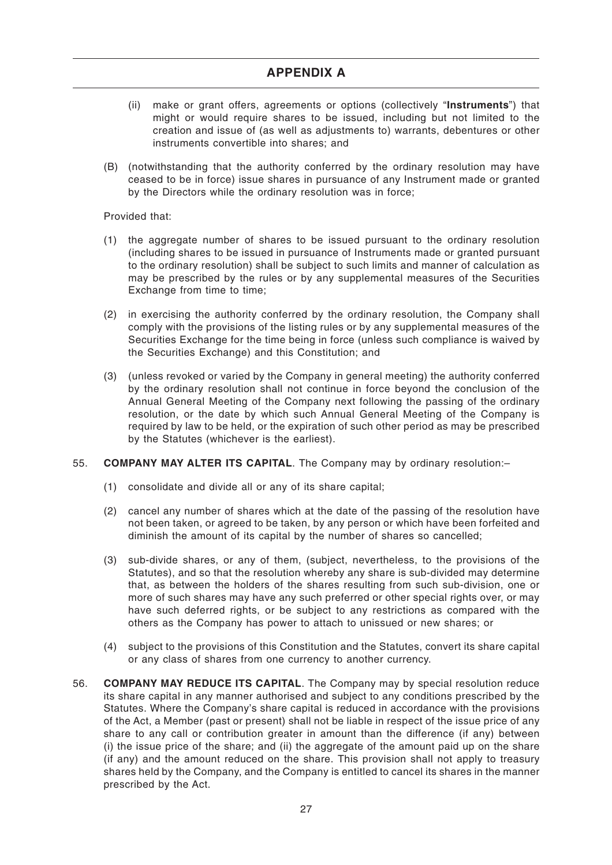- (ii) make or grant offers, agreements or options (collectively "**Instruments**") that might or would require shares to be issued, including but not limited to the creation and issue of (as well as adjustments to) warrants, debentures or other instruments convertible into shares; and
- (B) (notwithstanding that the authority conferred by the ordinary resolution may have ceased to be in force) issue shares in pursuance of any Instrument made or granted by the Directors while the ordinary resolution was in force;

Provided that:

- (1) the aggregate number of shares to be issued pursuant to the ordinary resolution (including shares to be issued in pursuance of Instruments made or granted pursuant to the ordinary resolution) shall be subject to such limits and manner of calculation as may be prescribed by the rules or by any supplemental measures of the Securities Exchange from time to time;
- (2) in exercising the authority conferred by the ordinary resolution, the Company shall comply with the provisions of the listing rules or by any supplemental measures of the Securities Exchange for the time being in force (unless such compliance is waived by the Securities Exchange) and this Constitution; and
- (3) (unless revoked or varied by the Company in general meeting) the authority conferred by the ordinary resolution shall not continue in force beyond the conclusion of the Annual General Meeting of the Company next following the passing of the ordinary resolution, or the date by which such Annual General Meeting of the Company is required by law to be held, or the expiration of such other period as may be prescribed by the Statutes (whichever is the earliest).

## 55. **COMPANY MAY ALTER ITS CAPITAL**. The Company may by ordinary resolution:–

- (1) consolidate and divide all or any of its share capital;
- (2) cancel any number of shares which at the date of the passing of the resolution have not been taken, or agreed to be taken, by any person or which have been forfeited and diminish the amount of its capital by the number of shares so cancelled;
- (3) sub-divide shares, or any of them, (subject, nevertheless, to the provisions of the Statutes), and so that the resolution whereby any share is sub-divided may determine that, as between the holders of the shares resulting from such sub-division, one or more of such shares may have any such preferred or other special rights over, or may have such deferred rights, or be subject to any restrictions as compared with the others as the Company has power to attach to unissued or new shares; or
- (4) subject to the provisions of this Constitution and the Statutes, convert its share capital or any class of shares from one currency to another currency.
- 56. **COMPANY MAY REDUCE ITS CAPITAL**. The Company may by special resolution reduce its share capital in any manner authorised and subject to any conditions prescribed by the Statutes. Where the Company's share capital is reduced in accordance with the provisions of the Act, a Member (past or present) shall not be liable in respect of the issue price of any share to any call or contribution greater in amount than the difference (if any) between (i) the issue price of the share; and (ii) the aggregate of the amount paid up on the share (if any) and the amount reduced on the share. This provision shall not apply to treasury shares held by the Company, and the Company is entitled to cancel its shares in the manner prescribed by the Act.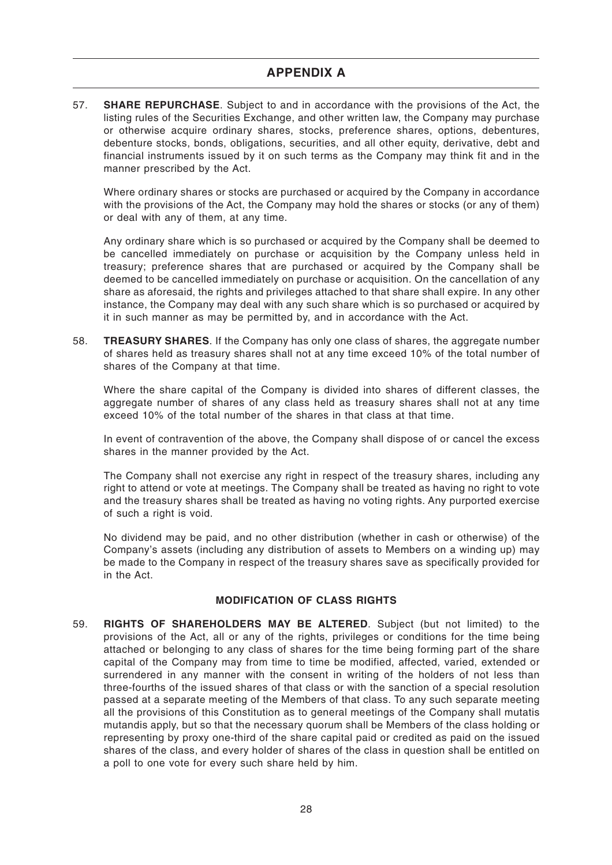57. **SHARE REPURCHASE**. Subject to and in accordance with the provisions of the Act, the listing rules of the Securities Exchange, and other written law, the Company may purchase or otherwise acquire ordinary shares, stocks, preference shares, options, debentures, debenture stocks, bonds, obligations, securities, and all other equity, derivative, debt and financial instruments issued by it on such terms as the Company may think fit and in the manner prescribed by the Act.

Where ordinary shares or stocks are purchased or acquired by the Company in accordance with the provisions of the Act, the Company may hold the shares or stocks (or any of them) or deal with any of them, at any time.

Any ordinary share which is so purchased or acquired by the Company shall be deemed to be cancelled immediately on purchase or acquisition by the Company unless held in treasury; preference shares that are purchased or acquired by the Company shall be deemed to be cancelled immediately on purchase or acquisition. On the cancellation of any share as aforesaid, the rights and privileges attached to that share shall expire. In any other instance, the Company may deal with any such share which is so purchased or acquired by it in such manner as may be permitted by, and in accordance with the Act.

58. **TREASURY SHARES**. If the Company has only one class of shares, the aggregate number of shares held as treasury shares shall not at any time exceed 10% of the total number of shares of the Company at that time.

Where the share capital of the Company is divided into shares of different classes, the aggregate number of shares of any class held as treasury shares shall not at any time exceed 10% of the total number of the shares in that class at that time.

In event of contravention of the above, the Company shall dispose of or cancel the excess shares in the manner provided by the Act.

The Company shall not exercise any right in respect of the treasury shares, including any right to attend or vote at meetings. The Company shall be treated as having no right to vote and the treasury shares shall be treated as having no voting rights. Any purported exercise of such a right is void.

No dividend may be paid, and no other distribution (whether in cash or otherwise) of the Company's assets (including any distribution of assets to Members on a winding up) may be made to the Company in respect of the treasury shares save as specifically provided for in the Act.

## **MODIFICATION OF CLASS RIGHTS**

59. **RIGHTS OF SHAREHOLDERS MAY BE ALTERED**. Subject (but not limited) to the provisions of the Act, all or any of the rights, privileges or conditions for the time being attached or belonging to any class of shares for the time being forming part of the share capital of the Company may from time to time be modified, affected, varied, extended or surrendered in any manner with the consent in writing of the holders of not less than three-fourths of the issued shares of that class or with the sanction of a special resolution passed at a separate meeting of the Members of that class. To any such separate meeting all the provisions of this Constitution as to general meetings of the Company shall mutatis mutandis apply, but so that the necessary quorum shall be Members of the class holding or representing by proxy one-third of the share capital paid or credited as paid on the issued shares of the class, and every holder of shares of the class in question shall be entitled on a poll to one vote for every such share held by him.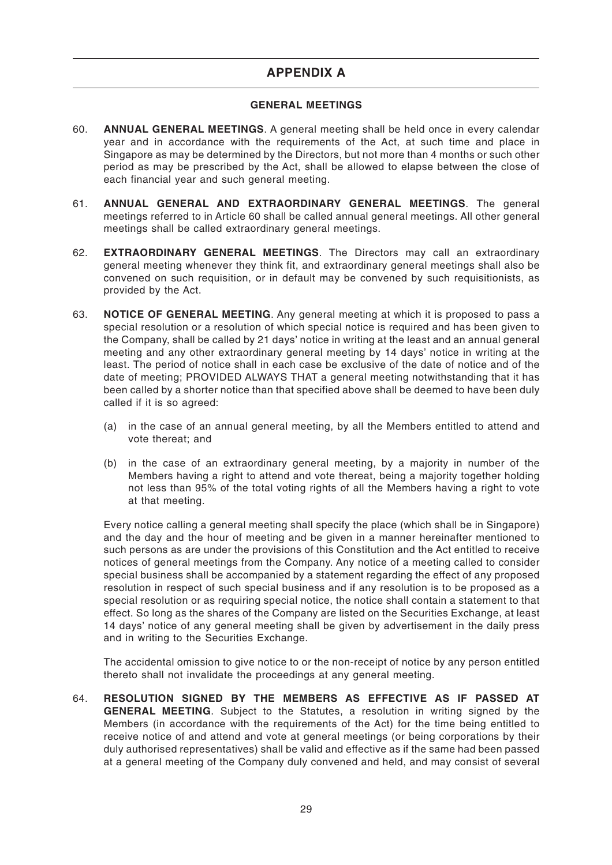# **APPENDIX A**

## **GENERAL MEETINGS**

- 60. **ANNUAL GENERAL MEETINGS**. A general meeting shall be held once in every calendar year and in accordance with the requirements of the Act, at such time and place in Singapore as may be determined by the Directors, but not more than 4 months or such other period as may be prescribed by the Act, shall be allowed to elapse between the close of each financial year and such general meeting.
- 61. **ANNUAL GENERAL AND EXTRAORDINARY GENERAL MEETINGS**. The general meetings referred to in Article 60 shall be called annual general meetings. All other general meetings shall be called extraordinary general meetings.
- 62. **EXTRAORDINARY GENERAL MEETINGS**. The Directors may call an extraordinary general meeting whenever they think fit, and extraordinary general meetings shall also be convened on such requisition, or in default may be convened by such requisitionists, as provided by the Act.
- 63. **NOTICE OF GENERAL MEETING**. Any general meeting at which it is proposed to pass a special resolution or a resolution of which special notice is required and has been given to the Company, shall be called by 21 days' notice in writing at the least and an annual general meeting and any other extraordinary general meeting by 14 days' notice in writing at the least. The period of notice shall in each case be exclusive of the date of notice and of the date of meeting; PROVIDED ALWAYS THAT a general meeting notwithstanding that it has been called by a shorter notice than that specified above shall be deemed to have been duly called if it is so agreed:
	- (a) in the case of an annual general meeting, by all the Members entitled to attend and vote thereat; and
	- (b) in the case of an extraordinary general meeting, by a majority in number of the Members having a right to attend and vote thereat, being a majority together holding not less than 95% of the total voting rights of all the Members having a right to vote at that meeting.

Every notice calling a general meeting shall specify the place (which shall be in Singapore) and the day and the hour of meeting and be given in a manner hereinafter mentioned to such persons as are under the provisions of this Constitution and the Act entitled to receive notices of general meetings from the Company. Any notice of a meeting called to consider special business shall be accompanied by a statement regarding the effect of any proposed resolution in respect of such special business and if any resolution is to be proposed as a special resolution or as requiring special notice, the notice shall contain a statement to that effect. So long as the shares of the Company are listed on the Securities Exchange, at least 14 days' notice of any general meeting shall be given by advertisement in the daily press and in writing to the Securities Exchange.

The accidental omission to give notice to or the non-receipt of notice by any person entitled thereto shall not invalidate the proceedings at any general meeting.

64. **RESOLUTION SIGNED BY THE MEMBERS AS EFFECTIVE AS IF PASSED AT GENERAL MEETING**. Subject to the Statutes, a resolution in writing signed by the Members (in accordance with the requirements of the Act) for the time being entitled to receive notice of and attend and vote at general meetings (or being corporations by their duly authorised representatives) shall be valid and effective as if the same had been passed at a general meeting of the Company duly convened and held, and may consist of several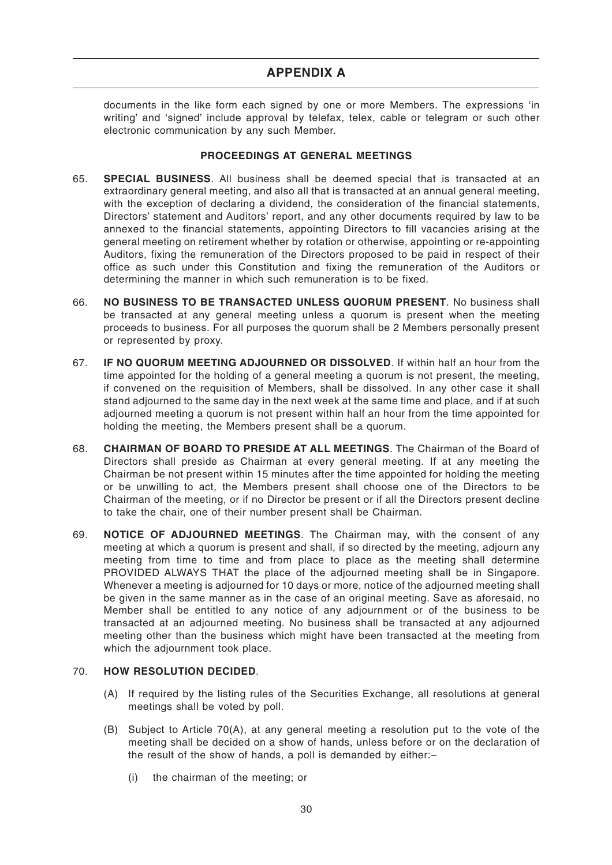documents in the like form each signed by one or more Members. The expressions 'in writing' and 'signed' include approval by telefax, telex, cable or telegram or such other electronic communication by any such Member.

## **PROCEEDINGS AT GENERAL MEETINGS**

- 65. **SPECIAL BUSINESS**. All business shall be deemed special that is transacted at an extraordinary general meeting, and also all that is transacted at an annual general meeting, with the exception of declaring a dividend, the consideration of the financial statements, Directors' statement and Auditors' report, and any other documents required by law to be annexed to the financial statements, appointing Directors to fill vacancies arising at the general meeting on retirement whether by rotation or otherwise, appointing or re-appointing Auditors, fixing the remuneration of the Directors proposed to be paid in respect of their office as such under this Constitution and fixing the remuneration of the Auditors or determining the manner in which such remuneration is to be fixed.
- 66. **NO BUSINESS TO BE TRANSACTED UNLESS QUORUM PRESENT**. No business shall be transacted at any general meeting unless a quorum is present when the meeting proceeds to business. For all purposes the quorum shall be 2 Members personally present or represented by proxy.
- 67. **IF NO QUORUM MEETING ADJOURNED OR DISSOLVED**. If within half an hour from the time appointed for the holding of a general meeting a quorum is not present, the meeting, if convened on the requisition of Members, shall be dissolved. In any other case it shall stand adjourned to the same day in the next week at the same time and place, and if at such adjourned meeting a quorum is not present within half an hour from the time appointed for holding the meeting, the Members present shall be a quorum.
- 68. **CHAIRMAN OF BOARD TO PRESIDE AT ALL MEETINGS**. The Chairman of the Board of Directors shall preside as Chairman at every general meeting. If at any meeting the Chairman be not present within 15 minutes after the time appointed for holding the meeting or be unwilling to act, the Members present shall choose one of the Directors to be Chairman of the meeting, or if no Director be present or if all the Directors present decline to take the chair, one of their number present shall be Chairman.
- 69. **NOTICE OF ADJOURNED MEETINGS**. The Chairman may, with the consent of any meeting at which a quorum is present and shall, if so directed by the meeting, adjourn any meeting from time to time and from place to place as the meeting shall determine PROVIDED ALWAYS THAT the place of the adjourned meeting shall be in Singapore. Whenever a meeting is adjourned for 10 days or more, notice of the adjourned meeting shall be given in the same manner as in the case of an original meeting. Save as aforesaid, no Member shall be entitled to any notice of any adjournment or of the business to be transacted at an adjourned meeting. No business shall be transacted at any adjourned meeting other than the business which might have been transacted at the meeting from which the adjournment took place.

# 70. **HOW RESOLUTION DECIDED**.

- (A) If required by the listing rules of the Securities Exchange, all resolutions at general meetings shall be voted by poll.
- (B) Subject to Article 70(A), at any general meeting a resolution put to the vote of the meeting shall be decided on a show of hands, unless before or on the declaration of the result of the show of hands, a poll is demanded by either:–
	- (i) the chairman of the meeting; or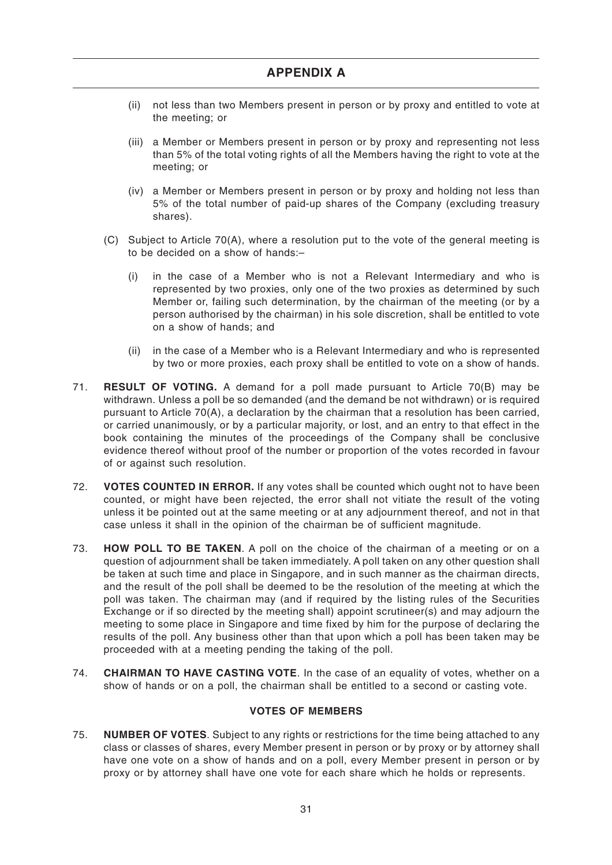- (ii) not less than two Members present in person or by proxy and entitled to vote at the meeting; or
- (iii) a Member or Members present in person or by proxy and representing not less than 5% of the total voting rights of all the Members having the right to vote at the meeting; or
- (iv) a Member or Members present in person or by proxy and holding not less than 5% of the total number of paid-up shares of the Company (excluding treasury shares).
- (C) Subject to Article 70(A), where a resolution put to the vote of the general meeting is to be decided on a show of hands:–
	- (i) in the case of a Member who is not a Relevant Intermediary and who is represented by two proxies, only one of the two proxies as determined by such Member or, failing such determination, by the chairman of the meeting (or by a person authorised by the chairman) in his sole discretion, shall be entitled to vote on a show of hands; and
	- (ii) in the case of a Member who is a Relevant Intermediary and who is represented by two or more proxies, each proxy shall be entitled to vote on a show of hands.
- 71. **RESULT OF VOTING.** A demand for a poll made pursuant to Article 70(B) may be withdrawn. Unless a poll be so demanded (and the demand be not withdrawn) or is required pursuant to Article 70(A), a declaration by the chairman that a resolution has been carried, or carried unanimously, or by a particular majority, or lost, and an entry to that effect in the book containing the minutes of the proceedings of the Company shall be conclusive evidence thereof without proof of the number or proportion of the votes recorded in favour of or against such resolution.
- 72. **VOTES COUNTED IN ERROR.** If any votes shall be counted which ought not to have been counted, or might have been rejected, the error shall not vitiate the result of the voting unless it be pointed out at the same meeting or at any adjournment thereof, and not in that case unless it shall in the opinion of the chairman be of sufficient magnitude.
- 73. **HOW POLL TO BE TAKEN**. A poll on the choice of the chairman of a meeting or on a question of adjournment shall be taken immediately. A poll taken on any other question shall be taken at such time and place in Singapore, and in such manner as the chairman directs, and the result of the poll shall be deemed to be the resolution of the meeting at which the poll was taken. The chairman may (and if required by the listing rules of the Securities Exchange or if so directed by the meeting shall) appoint scrutineer(s) and may adjourn the meeting to some place in Singapore and time fixed by him for the purpose of declaring the results of the poll. Any business other than that upon which a poll has been taken may be proceeded with at a meeting pending the taking of the poll.
- 74. **CHAIRMAN TO HAVE CASTING VOTE**. In the case of an equality of votes, whether on a show of hands or on a poll, the chairman shall be entitled to a second or casting vote.

## **VOTES OF MEMBERS**

75. **NUMBER OF VOTES**. Subject to any rights or restrictions for the time being attached to any class or classes of shares, every Member present in person or by proxy or by attorney shall have one vote on a show of hands and on a poll, every Member present in person or by proxy or by attorney shall have one vote for each share which he holds or represents.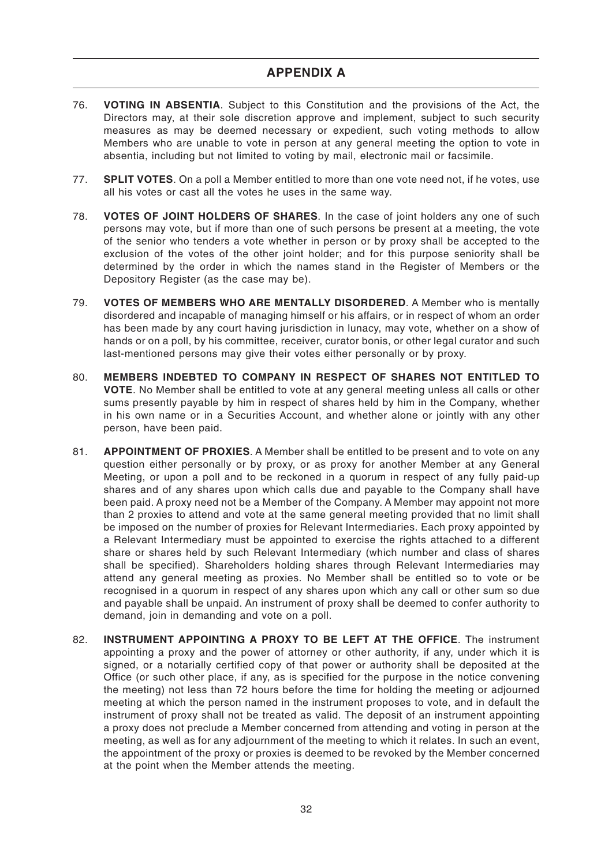- 76. **VOTING IN ABSENTIA**. Subject to this Constitution and the provisions of the Act, the Directors may, at their sole discretion approve and implement, subject to such security measures as may be deemed necessary or expedient, such voting methods to allow Members who are unable to vote in person at any general meeting the option to vote in absentia, including but not limited to voting by mail, electronic mail or facsimile.
- 77. **SPLIT VOTES**. On a poll a Member entitled to more than one vote need not, if he votes, use all his votes or cast all the votes he uses in the same way.
- 78. **VOTES OF JOINT HOLDERS OF SHARES**. In the case of joint holders any one of such persons may vote, but if more than one of such persons be present at a meeting, the vote of the senior who tenders a vote whether in person or by proxy shall be accepted to the exclusion of the votes of the other joint holder; and for this purpose seniority shall be determined by the order in which the names stand in the Register of Members or the Depository Register (as the case may be).
- 79. **VOTES OF MEMBERS WHO ARE MENTALLY DISORDERED**. A Member who is mentally disordered and incapable of managing himself or his affairs, or in respect of whom an order has been made by any court having jurisdiction in lunacy, may vote, whether on a show of hands or on a poll, by his committee, receiver, curator bonis, or other legal curator and such last-mentioned persons may give their votes either personally or by proxy.
- 80. **MEMBERS INDEBTED TO COMPANY IN RESPECT OF SHARES NOT ENTITLED TO VOTE**. No Member shall be entitled to vote at any general meeting unless all calls or other sums presently payable by him in respect of shares held by him in the Company, whether in his own name or in a Securities Account, and whether alone or jointly with any other person, have been paid.
- 81. **APPOINTMENT OF PROXIES**. A Member shall be entitled to be present and to vote on any question either personally or by proxy, or as proxy for another Member at any General Meeting, or upon a poll and to be reckoned in a quorum in respect of any fully paid-up shares and of any shares upon which calls due and payable to the Company shall have been paid. A proxy need not be a Member of the Company. A Member may appoint not more than 2 proxies to attend and vote at the same general meeting provided that no limit shall be imposed on the number of proxies for Relevant Intermediaries. Each proxy appointed by a Relevant Intermediary must be appointed to exercise the rights attached to a different share or shares held by such Relevant Intermediary (which number and class of shares shall be specified). Shareholders holding shares through Relevant Intermediaries may attend any general meeting as proxies. No Member shall be entitled so to vote or be recognised in a quorum in respect of any shares upon which any call or other sum so due and payable shall be unpaid. An instrument of proxy shall be deemed to confer authority to demand, join in demanding and vote on a poll.
- 82. **INSTRUMENT APPOINTING A PROXY TO BE LEFT AT THE OFFICE**. The instrument appointing a proxy and the power of attorney or other authority, if any, under which it is signed, or a notarially certified copy of that power or authority shall be deposited at the Office (or such other place, if any, as is specified for the purpose in the notice convening the meeting) not less than 72 hours before the time for holding the meeting or adjourned meeting at which the person named in the instrument proposes to vote, and in default the instrument of proxy shall not be treated as valid. The deposit of an instrument appointing a proxy does not preclude a Member concerned from attending and voting in person at the meeting, as well as for any adjournment of the meeting to which it relates. In such an event, the appointment of the proxy or proxies is deemed to be revoked by the Member concerned at the point when the Member attends the meeting.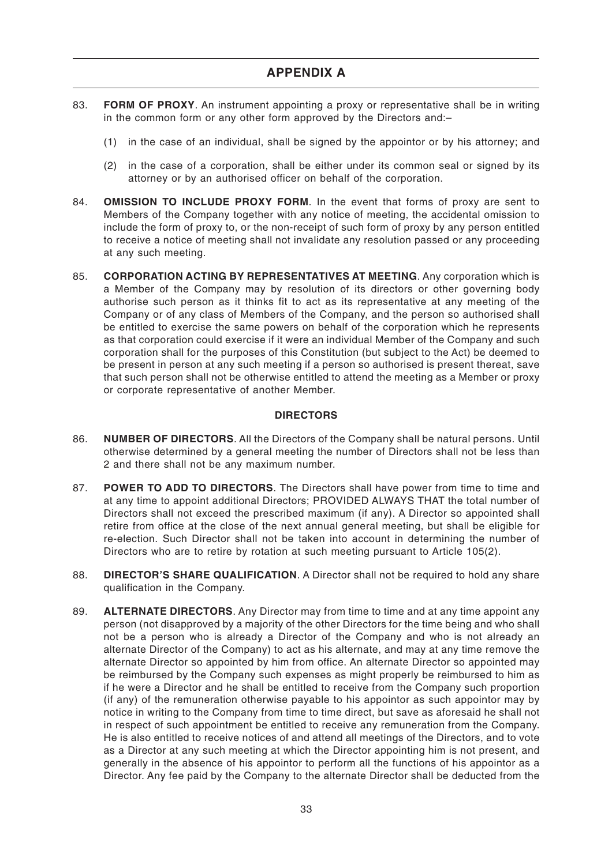- 83. **FORM OF PROXY**. An instrument appointing a proxy or representative shall be in writing in the common form or any other form approved by the Directors and:–
	- (1) in the case of an individual, shall be signed by the appointor or by his attorney; and
	- (2) in the case of a corporation, shall be either under its common seal or signed by its attorney or by an authorised officer on behalf of the corporation.
- 84. **OMISSION TO INCLUDE PROXY FORM**. In the event that forms of proxy are sent to Members of the Company together with any notice of meeting, the accidental omission to include the form of proxy to, or the non-receipt of such form of proxy by any person entitled to receive a notice of meeting shall not invalidate any resolution passed or any proceeding at any such meeting.
- 85. **CORPORATION ACTING BY REPRESENTATIVES AT MEETING**. Any corporation which is a Member of the Company may by resolution of its directors or other governing body authorise such person as it thinks fit to act as its representative at any meeting of the Company or of any class of Members of the Company, and the person so authorised shall be entitled to exercise the same powers on behalf of the corporation which he represents as that corporation could exercise if it were an individual Member of the Company and such corporation shall for the purposes of this Constitution (but subject to the Act) be deemed to be present in person at any such meeting if a person so authorised is present thereat, save that such person shall not be otherwise entitled to attend the meeting as a Member or proxy or corporate representative of another Member.

#### **DIRECTORS**

- 86. **NUMBER OF DIRECTORS**. All the Directors of the Company shall be natural persons. Until otherwise determined by a general meeting the number of Directors shall not be less than 2 and there shall not be any maximum number.
- 87. **POWER TO ADD TO DIRECTORS**. The Directors shall have power from time to time and at any time to appoint additional Directors; PROVIDED ALWAYS THAT the total number of Directors shall not exceed the prescribed maximum (if any). A Director so appointed shall retire from office at the close of the next annual general meeting, but shall be eligible for re-election. Such Director shall not be taken into account in determining the number of Directors who are to retire by rotation at such meeting pursuant to Article 105(2).
- 88. **DIRECTOR'S SHARE QUALIFICATION**. A Director shall not be required to hold any share qualification in the Company.
- 89. **ALTERNATE DIRECTORS**. Any Director may from time to time and at any time appoint any person (not disapproved by a majority of the other Directors for the time being and who shall not be a person who is already a Director of the Company and who is not already an alternate Director of the Company) to act as his alternate, and may at any time remove the alternate Director so appointed by him from office. An alternate Director so appointed may be reimbursed by the Company such expenses as might properly be reimbursed to him as if he were a Director and he shall be entitled to receive from the Company such proportion (if any) of the remuneration otherwise payable to his appointor as such appointor may by notice in writing to the Company from time to time direct, but save as aforesaid he shall not in respect of such appointment be entitled to receive any remuneration from the Company. He is also entitled to receive notices of and attend all meetings of the Directors, and to vote as a Director at any such meeting at which the Director appointing him is not present, and generally in the absence of his appointor to perform all the functions of his appointor as a Director. Any fee paid by the Company to the alternate Director shall be deducted from the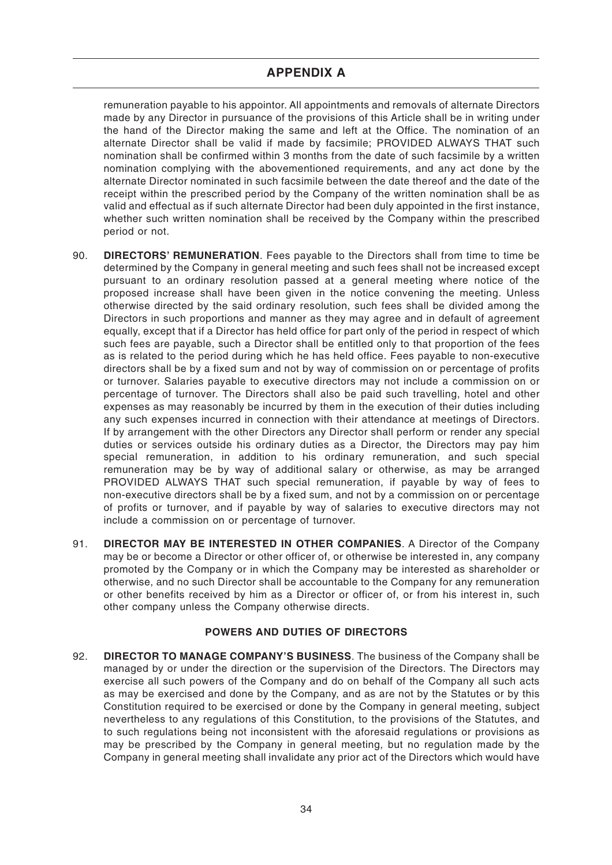# **APPENDIX A**

remuneration payable to his appointor. All appointments and removals of alternate Directors made by any Director in pursuance of the provisions of this Article shall be in writing under the hand of the Director making the same and left at the Office. The nomination of an alternate Director shall be valid if made by facsimile; PROVIDED ALWAYS THAT such nomination shall be confirmed within 3 months from the date of such facsimile by a written nomination complying with the abovementioned requirements, and any act done by the alternate Director nominated in such facsimile between the date thereof and the date of the receipt within the prescribed period by the Company of the written nomination shall be as valid and effectual as if such alternate Director had been duly appointed in the first instance, whether such written nomination shall be received by the Company within the prescribed period or not.

- 90. **DIRECTORS' REMUNERATION**. Fees payable to the Directors shall from time to time be determined by the Company in general meeting and such fees shall not be increased except pursuant to an ordinary resolution passed at a general meeting where notice of the proposed increase shall have been given in the notice convening the meeting. Unless otherwise directed by the said ordinary resolution, such fees shall be divided among the Directors in such proportions and manner as they may agree and in default of agreement equally, except that if a Director has held office for part only of the period in respect of which such fees are payable, such a Director shall be entitled only to that proportion of the fees as is related to the period during which he has held office. Fees payable to non-executive directors shall be by a fixed sum and not by way of commission on or percentage of profits or turnover. Salaries payable to executive directors may not include a commission on or percentage of turnover. The Directors shall also be paid such travelling, hotel and other expenses as may reasonably be incurred by them in the execution of their duties including any such expenses incurred in connection with their attendance at meetings of Directors. If by arrangement with the other Directors any Director shall perform or render any special duties or services outside his ordinary duties as a Director, the Directors may pay him special remuneration, in addition to his ordinary remuneration, and such special remuneration may be by way of additional salary or otherwise, as may be arranged PROVIDED ALWAYS THAT such special remuneration, if payable by way of fees to non-executive directors shall be by a fixed sum, and not by a commission on or percentage of profits or turnover, and if payable by way of salaries to executive directors may not include a commission on or percentage of turnover.
- 91. **DIRECTOR MAY BE INTERESTED IN OTHER COMPANIES**. A Director of the Company may be or become a Director or other officer of, or otherwise be interested in, any company promoted by the Company or in which the Company may be interested as shareholder or otherwise, and no such Director shall be accountable to the Company for any remuneration or other benefits received by him as a Director or officer of, or from his interest in, such other company unless the Company otherwise directs.

## **POWERS AND DUTIES OF DIRECTORS**

92. **DIRECTOR TO MANAGE COMPANY'S BUSINESS**. The business of the Company shall be managed by or under the direction or the supervision of the Directors. The Directors may exercise all such powers of the Company and do on behalf of the Company all such acts as may be exercised and done by the Company, and as are not by the Statutes or by this Constitution required to be exercised or done by the Company in general meeting, subject nevertheless to any regulations of this Constitution, to the provisions of the Statutes, and to such regulations being not inconsistent with the aforesaid regulations or provisions as may be prescribed by the Company in general meeting, but no regulation made by the Company in general meeting shall invalidate any prior act of the Directors which would have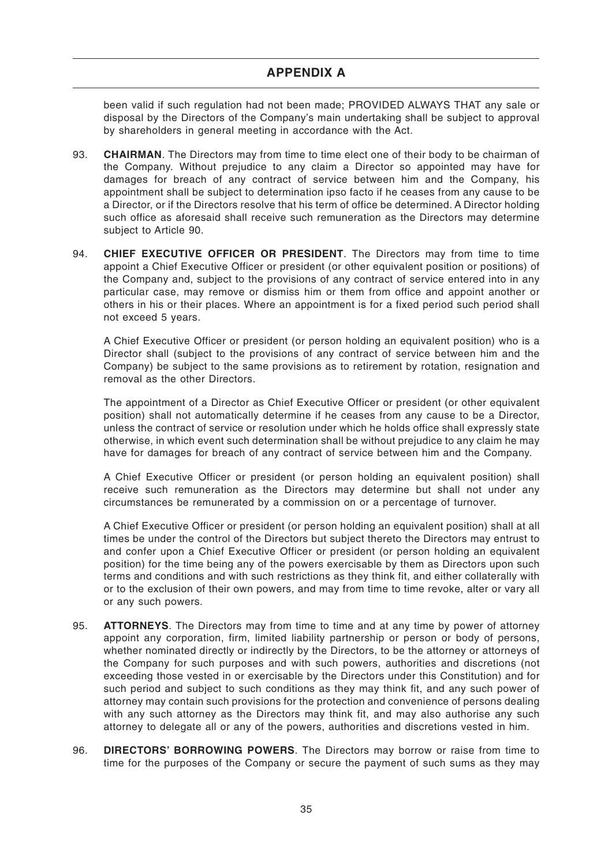been valid if such regulation had not been made; PROVIDED ALWAYS THAT any sale or disposal by the Directors of the Company's main undertaking shall be subject to approval by shareholders in general meeting in accordance with the Act.

- 93. **CHAIRMAN**. The Directors may from time to time elect one of their body to be chairman of the Company. Without prejudice to any claim a Director so appointed may have for damages for breach of any contract of service between him and the Company, his appointment shall be subject to determination ipso facto if he ceases from any cause to be a Director, or if the Directors resolve that his term of office be determined. A Director holding such office as aforesaid shall receive such remuneration as the Directors may determine subject to Article 90.
- 94. **CHIEF EXECUTIVE OFFICER OR PRESIDENT**. The Directors may from time to time appoint a Chief Executive Officer or president (or other equivalent position or positions) of the Company and, subject to the provisions of any contract of service entered into in any particular case, may remove or dismiss him or them from office and appoint another or others in his or their places. Where an appointment is for a fixed period such period shall not exceed 5 years.

A Chief Executive Officer or president (or person holding an equivalent position) who is a Director shall (subject to the provisions of any contract of service between him and the Company) be subject to the same provisions as to retirement by rotation, resignation and removal as the other Directors.

The appointment of a Director as Chief Executive Officer or president (or other equivalent position) shall not automatically determine if he ceases from any cause to be a Director, unless the contract of service or resolution under which he holds office shall expressly state otherwise, in which event such determination shall be without prejudice to any claim he may have for damages for breach of any contract of service between him and the Company.

A Chief Executive Officer or president (or person holding an equivalent position) shall receive such remuneration as the Directors may determine but shall not under any circumstances be remunerated by a commission on or a percentage of turnover.

A Chief Executive Officer or president (or person holding an equivalent position) shall at all times be under the control of the Directors but subject thereto the Directors may entrust to and confer upon a Chief Executive Officer or president (or person holding an equivalent position) for the time being any of the powers exercisable by them as Directors upon such terms and conditions and with such restrictions as they think fit, and either collaterally with or to the exclusion of their own powers, and may from time to time revoke, alter or vary all or any such powers.

- 95. **ATTORNEYS**. The Directors may from time to time and at any time by power of attorney appoint any corporation, firm, limited liability partnership or person or body of persons, whether nominated directly or indirectly by the Directors, to be the attorney or attorneys of the Company for such purposes and with such powers, authorities and discretions (not exceeding those vested in or exercisable by the Directors under this Constitution) and for such period and subject to such conditions as they may think fit, and any such power of attorney may contain such provisions for the protection and convenience of persons dealing with any such attorney as the Directors may think fit, and may also authorise any such attorney to delegate all or any of the powers, authorities and discretions vested in him.
- 96. **DIRECTORS' BORROWING POWERS**. The Directors may borrow or raise from time to time for the purposes of the Company or secure the payment of such sums as they may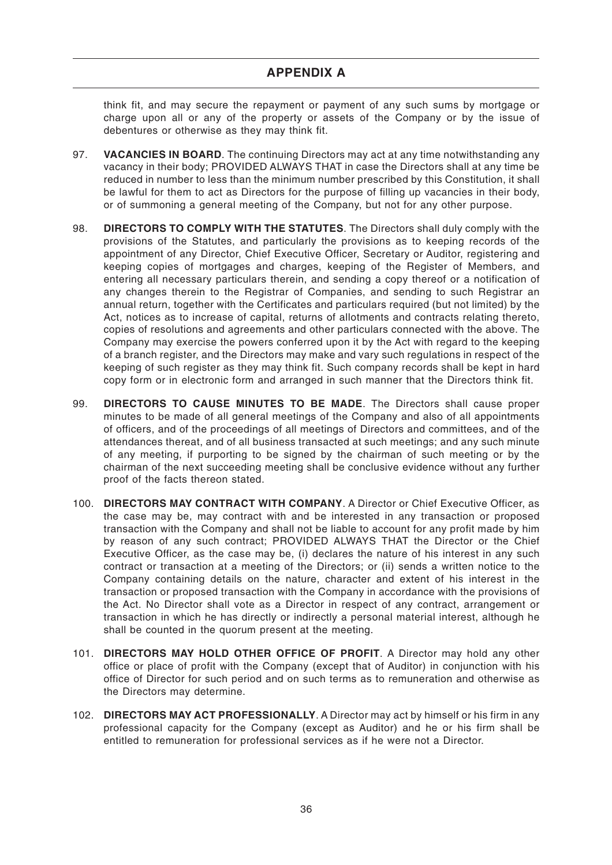think fit, and may secure the repayment or payment of any such sums by mortgage or charge upon all or any of the property or assets of the Company or by the issue of debentures or otherwise as they may think fit.

- 97. **VACANCIES IN BOARD**. The continuing Directors may act at any time notwithstanding any vacancy in their body; PROVIDED ALWAYS THAT in case the Directors shall at any time be reduced in number to less than the minimum number prescribed by this Constitution, it shall be lawful for them to act as Directors for the purpose of filling up vacancies in their body, or of summoning a general meeting of the Company, but not for any other purpose.
- 98. **DIRECTORS TO COMPLY WITH THE STATUTES**. The Directors shall duly comply with the provisions of the Statutes, and particularly the provisions as to keeping records of the appointment of any Director, Chief Executive Officer, Secretary or Auditor, registering and keeping copies of mortgages and charges, keeping of the Register of Members, and entering all necessary particulars therein, and sending a copy thereof or a notification of any changes therein to the Registrar of Companies, and sending to such Registrar an annual return, together with the Certificates and particulars required (but not limited) by the Act, notices as to increase of capital, returns of allotments and contracts relating thereto, copies of resolutions and agreements and other particulars connected with the above. The Company may exercise the powers conferred upon it by the Act with regard to the keeping of a branch register, and the Directors may make and vary such regulations in respect of the keeping of such register as they may think fit. Such company records shall be kept in hard copy form or in electronic form and arranged in such manner that the Directors think fit.
- 99. **DIRECTORS TO CAUSE MINUTES TO BE MADE**. The Directors shall cause proper minutes to be made of all general meetings of the Company and also of all appointments of officers, and of the proceedings of all meetings of Directors and committees, and of the attendances thereat, and of all business transacted at such meetings; and any such minute of any meeting, if purporting to be signed by the chairman of such meeting or by the chairman of the next succeeding meeting shall be conclusive evidence without any further proof of the facts thereon stated.
- 100. **DIRECTORS MAY CONTRACT WITH COMPANY**. A Director or Chief Executive Officer, as the case may be, may contract with and be interested in any transaction or proposed transaction with the Company and shall not be liable to account for any profit made by him by reason of any such contract; PROVIDED ALWAYS THAT the Director or the Chief Executive Officer, as the case may be, (i) declares the nature of his interest in any such contract or transaction at a meeting of the Directors; or (ii) sends a written notice to the Company containing details on the nature, character and extent of his interest in the transaction or proposed transaction with the Company in accordance with the provisions of the Act. No Director shall vote as a Director in respect of any contract, arrangement or transaction in which he has directly or indirectly a personal material interest, although he shall be counted in the quorum present at the meeting.
- 101. **DIRECTORS MAY HOLD OTHER OFFICE OF PROFIT**. A Director may hold any other office or place of profit with the Company (except that of Auditor) in conjunction with his office of Director for such period and on such terms as to remuneration and otherwise as the Directors may determine.
- 102. **DIRECTORS MAY ACT PROFESSIONALLY**. A Director may act by himself or his firm in any professional capacity for the Company (except as Auditor) and he or his firm shall be entitled to remuneration for professional services as if he were not a Director.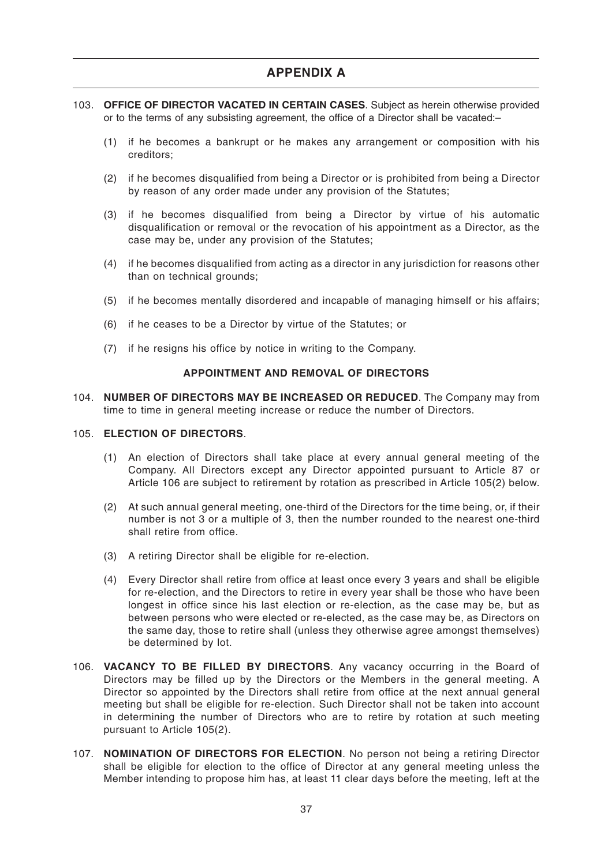- 103. **OFFICE OF DIRECTOR VACATED IN CERTAIN CASES**. Subject as herein otherwise provided or to the terms of any subsisting agreement, the office of a Director shall be vacated:–
	- (1) if he becomes a bankrupt or he makes any arrangement or composition with his creditors;
	- (2) if he becomes disqualified from being a Director or is prohibited from being a Director by reason of any order made under any provision of the Statutes;
	- (3) if he becomes disqualified from being a Director by virtue of his automatic disqualification or removal or the revocation of his appointment as a Director, as the case may be, under any provision of the Statutes;
	- (4) if he becomes disqualified from acting as a director in any jurisdiction for reasons other than on technical grounds:
	- (5) if he becomes mentally disordered and incapable of managing himself or his affairs;
	- (6) if he ceases to be a Director by virtue of the Statutes; or
	- (7) if he resigns his office by notice in writing to the Company.

#### **APPOINTMENT AND REMOVAL OF DIRECTORS**

104. **NUMBER OF DIRECTORS MAY BE INCREASED OR REDUCED**. The Company may from time to time in general meeting increase or reduce the number of Directors.

#### 105. **ELECTION OF DIRECTORS**.

- (1) An election of Directors shall take place at every annual general meeting of the Company. All Directors except any Director appointed pursuant to Article 87 or Article 106 are subject to retirement by rotation as prescribed in Article 105(2) below.
- (2) At such annual general meeting, one-third of the Directors for the time being, or, if their number is not 3 or a multiple of 3, then the number rounded to the nearest one-third shall retire from office.
- (3) A retiring Director shall be eligible for re-election.
- (4) Every Director shall retire from office at least once every 3 years and shall be eligible for re-election, and the Directors to retire in every year shall be those who have been longest in office since his last election or re-election, as the case may be, but as between persons who were elected or re-elected, as the case may be, as Directors on the same day, those to retire shall (unless they otherwise agree amongst themselves) be determined by lot.
- 106. **VACANCY TO BE FILLED BY DIRECTORS**. Any vacancy occurring in the Board of Directors may be filled up by the Directors or the Members in the general meeting. A Director so appointed by the Directors shall retire from office at the next annual general meeting but shall be eligible for re-election. Such Director shall not be taken into account in determining the number of Directors who are to retire by rotation at such meeting pursuant to Article 105(2).
- 107. **NOMINATION OF DIRECTORS FOR ELECTION**. No person not being a retiring Director shall be eligible for election to the office of Director at any general meeting unless the Member intending to propose him has, at least 11 clear days before the meeting, left at the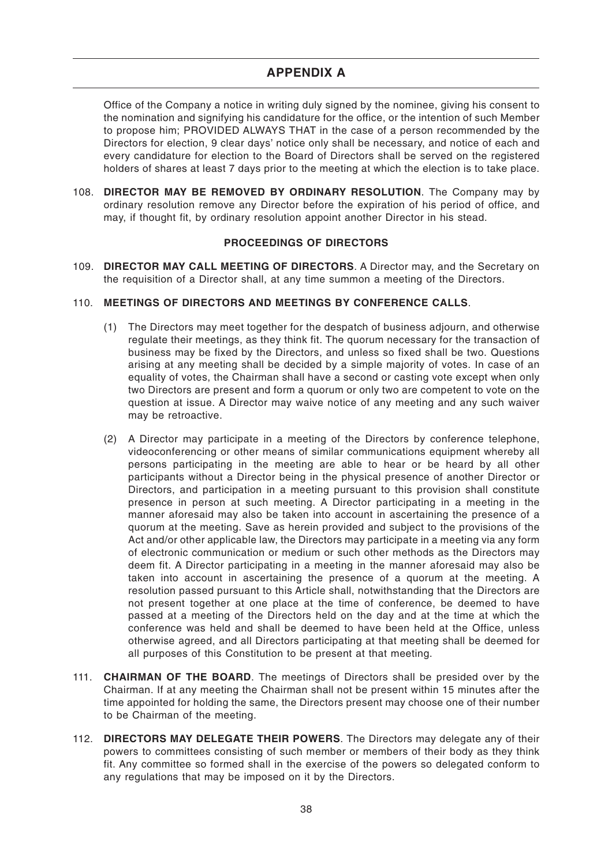Office of the Company a notice in writing duly signed by the nominee, giving his consent to the nomination and signifying his candidature for the office, or the intention of such Member to propose him; PROVIDED ALWAYS THAT in the case of a person recommended by the Directors for election, 9 clear days' notice only shall be necessary, and notice of each and every candidature for election to the Board of Directors shall be served on the registered holders of shares at least 7 days prior to the meeting at which the election is to take place.

108. **DIRECTOR MAY BE REMOVED BY ORDINARY RESOLUTION**. The Company may by ordinary resolution remove any Director before the expiration of his period of office, and may, if thought fit, by ordinary resolution appoint another Director in his stead.

# **PROCEEDINGS OF DIRECTORS**

109. **DIRECTOR MAY CALL MEETING OF DIRECTORS**. A Director may, and the Secretary on the requisition of a Director shall, at any time summon a meeting of the Directors.

# 110. **MEETINGS OF DIRECTORS AND MEETINGS BY CONFERENCE CALLS**.

- (1) The Directors may meet together for the despatch of business adjourn, and otherwise regulate their meetings, as they think fit. The quorum necessary for the transaction of business may be fixed by the Directors, and unless so fixed shall be two. Questions arising at any meeting shall be decided by a simple majority of votes. In case of an equality of votes, the Chairman shall have a second or casting vote except when only two Directors are present and form a quorum or only two are competent to vote on the question at issue. A Director may waive notice of any meeting and any such waiver may be retroactive.
- (2) A Director may participate in a meeting of the Directors by conference telephone, videoconferencing or other means of similar communications equipment whereby all persons participating in the meeting are able to hear or be heard by all other participants without a Director being in the physical presence of another Director or Directors, and participation in a meeting pursuant to this provision shall constitute presence in person at such meeting. A Director participating in a meeting in the manner aforesaid may also be taken into account in ascertaining the presence of a quorum at the meeting. Save as herein provided and subject to the provisions of the Act and/or other applicable law, the Directors may participate in a meeting via any form of electronic communication or medium or such other methods as the Directors may deem fit. A Director participating in a meeting in the manner aforesaid may also be taken into account in ascertaining the presence of a quorum at the meeting. A resolution passed pursuant to this Article shall, notwithstanding that the Directors are not present together at one place at the time of conference, be deemed to have passed at a meeting of the Directors held on the day and at the time at which the conference was held and shall be deemed to have been held at the Office, unless otherwise agreed, and all Directors participating at that meeting shall be deemed for all purposes of this Constitution to be present at that meeting.
- 111. **CHAIRMAN OF THE BOARD**. The meetings of Directors shall be presided over by the Chairman. If at any meeting the Chairman shall not be present within 15 minutes after the time appointed for holding the same, the Directors present may choose one of their number to be Chairman of the meeting.
- 112. **DIRECTORS MAY DELEGATE THEIR POWERS**. The Directors may delegate any of their powers to committees consisting of such member or members of their body as they think fit. Any committee so formed shall in the exercise of the powers so delegated conform to any regulations that may be imposed on it by the Directors.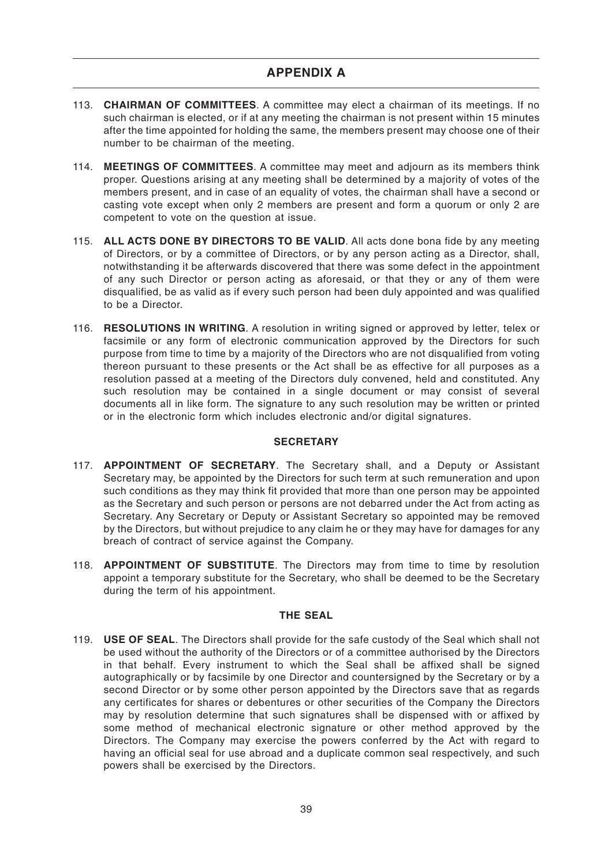- 113. **CHAIRMAN OF COMMITTEES**. A committee may elect a chairman of its meetings. If no such chairman is elected, or if at any meeting the chairman is not present within 15 minutes after the time appointed for holding the same, the members present may choose one of their number to be chairman of the meeting.
- 114. **MEETINGS OF COMMITTEES**. A committee may meet and adjourn as its members think proper. Questions arising at any meeting shall be determined by a majority of votes of the members present, and in case of an equality of votes, the chairman shall have a second or casting vote except when only 2 members are present and form a quorum or only 2 are competent to vote on the question at issue.
- 115. **ALL ACTS DONE BY DIRECTORS TO BE VALID**. All acts done bona fide by any meeting of Directors, or by a committee of Directors, or by any person acting as a Director, shall, notwithstanding it be afterwards discovered that there was some defect in the appointment of any such Director or person acting as aforesaid, or that they or any of them were disqualified, be as valid as if every such person had been duly appointed and was qualified to be a Director.
- 116. **RESOLUTIONS IN WRITING**. A resolution in writing signed or approved by letter, telex or facsimile or any form of electronic communication approved by the Directors for such purpose from time to time by a majority of the Directors who are not disqualified from voting thereon pursuant to these presents or the Act shall be as effective for all purposes as a resolution passed at a meeting of the Directors duly convened, held and constituted. Any such resolution may be contained in a single document or may consist of several documents all in like form. The signature to any such resolution may be written or printed or in the electronic form which includes electronic and/or digital signatures.

# **SECRETARY**

- 117. **APPOINTMENT OF SECRETARY**. The Secretary shall, and a Deputy or Assistant Secretary may, be appointed by the Directors for such term at such remuneration and upon such conditions as they may think fit provided that more than one person may be appointed as the Secretary and such person or persons are not debarred under the Act from acting as Secretary. Any Secretary or Deputy or Assistant Secretary so appointed may be removed by the Directors, but without prejudice to any claim he or they may have for damages for any breach of contract of service against the Company.
- 118. **APPOINTMENT OF SUBSTITUTE**. The Directors may from time to time by resolution appoint a temporary substitute for the Secretary, who shall be deemed to be the Secretary during the term of his appointment.

# **THE SEAL**

119. **USE OF SEAL**. The Directors shall provide for the safe custody of the Seal which shall not be used without the authority of the Directors or of a committee authorised by the Directors in that behalf. Every instrument to which the Seal shall be affixed shall be signed autographically or by facsimile by one Director and countersigned by the Secretary or by a second Director or by some other person appointed by the Directors save that as regards any certificates for shares or debentures or other securities of the Company the Directors may by resolution determine that such signatures shall be dispensed with or affixed by some method of mechanical electronic signature or other method approved by the Directors. The Company may exercise the powers conferred by the Act with regard to having an official seal for use abroad and a duplicate common seal respectively, and such powers shall be exercised by the Directors.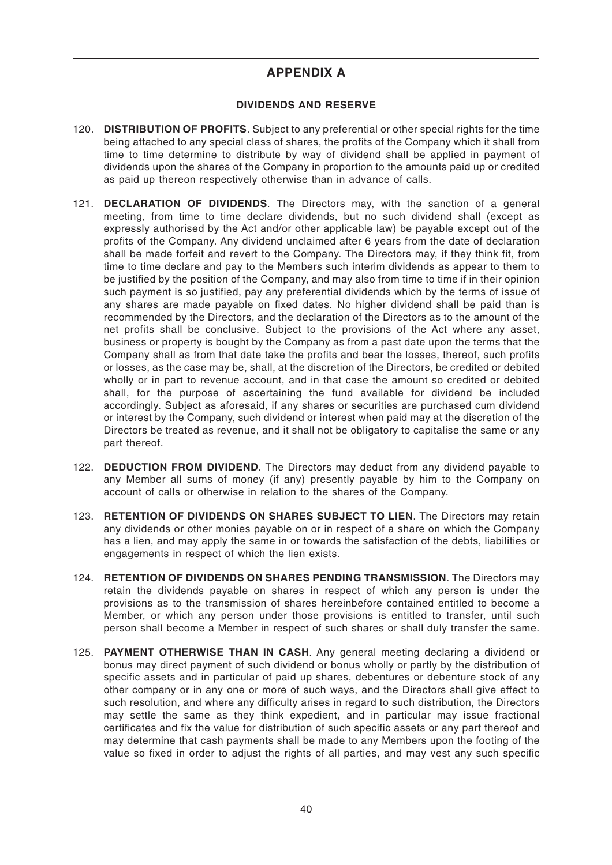# **DIVIDENDS AND RESERVE**

- 120. **DISTRIBUTION OF PROFITS**. Subject to any preferential or other special rights for the time being attached to any special class of shares, the profits of the Company which it shall from time to time determine to distribute by way of dividend shall be applied in payment of dividends upon the shares of the Company in proportion to the amounts paid up or credited as paid up thereon respectively otherwise than in advance of calls.
- 121. **DECLARATION OF DIVIDENDS**. The Directors may, with the sanction of a general meeting, from time to time declare dividends, but no such dividend shall (except as expressly authorised by the Act and/or other applicable law) be payable except out of the profits of the Company. Any dividend unclaimed after 6 years from the date of declaration shall be made forfeit and revert to the Company. The Directors may, if they think fit, from time to time declare and pay to the Members such interim dividends as appear to them to be justified by the position of the Company, and may also from time to time if in their opinion such payment is so justified, pay any preferential dividends which by the terms of issue of any shares are made payable on fixed dates. No higher dividend shall be paid than is recommended by the Directors, and the declaration of the Directors as to the amount of the net profits shall be conclusive. Subject to the provisions of the Act where any asset, business or property is bought by the Company as from a past date upon the terms that the Company shall as from that date take the profits and bear the losses, thereof, such profits or losses, as the case may be, shall, at the discretion of the Directors, be credited or debited wholly or in part to revenue account, and in that case the amount so credited or debited shall, for the purpose of ascertaining the fund available for dividend be included accordingly. Subject as aforesaid, if any shares or securities are purchased cum dividend or interest by the Company, such dividend or interest when paid may at the discretion of the Directors be treated as revenue, and it shall not be obligatory to capitalise the same or any part thereof.
- 122. **DEDUCTION FROM DIVIDEND**. The Directors may deduct from any dividend payable to any Member all sums of money (if any) presently payable by him to the Company on account of calls or otherwise in relation to the shares of the Company.
- 123. **RETENTION OF DIVIDENDS ON SHARES SUBJECT TO LIEN**. The Directors may retain any dividends or other monies payable on or in respect of a share on which the Company has a lien, and may apply the same in or towards the satisfaction of the debts, liabilities or engagements in respect of which the lien exists.
- 124. **RETENTION OF DIVIDENDS ON SHARES PENDING TRANSMISSION**. The Directors may retain the dividends payable on shares in respect of which any person is under the provisions as to the transmission of shares hereinbefore contained entitled to become a Member, or which any person under those provisions is entitled to transfer, until such person shall become a Member in respect of such shares or shall duly transfer the same.
- 125. **PAYMENT OTHERWISE THAN IN CASH**. Any general meeting declaring a dividend or bonus may direct payment of such dividend or bonus wholly or partly by the distribution of specific assets and in particular of paid up shares, debentures or debenture stock of any other company or in any one or more of such ways, and the Directors shall give effect to such resolution, and where any difficulty arises in regard to such distribution, the Directors may settle the same as they think expedient, and in particular may issue fractional certificates and fix the value for distribution of such specific assets or any part thereof and may determine that cash payments shall be made to any Members upon the footing of the value so fixed in order to adjust the rights of all parties, and may vest any such specific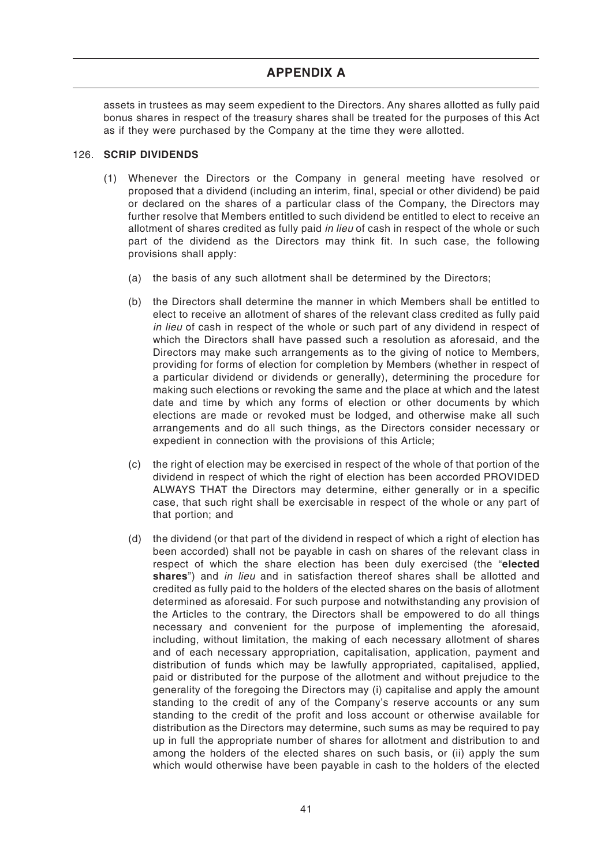assets in trustees as may seem expedient to the Directors. Any shares allotted as fully paid bonus shares in respect of the treasury shares shall be treated for the purposes of this Act as if they were purchased by the Company at the time they were allotted.

### 126. **SCRIP DIVIDENDS**

- (1) Whenever the Directors or the Company in general meeting have resolved or proposed that a dividend (including an interim, final, special or other dividend) be paid or declared on the shares of a particular class of the Company, the Directors may further resolve that Members entitled to such dividend be entitled to elect to receive an allotment of shares credited as fully paid in lieu of cash in respect of the whole or such part of the dividend as the Directors may think fit. In such case, the following provisions shall apply:
	- (a) the basis of any such allotment shall be determined by the Directors;
	- (b) the Directors shall determine the manner in which Members shall be entitled to elect to receive an allotment of shares of the relevant class credited as fully paid in lieu of cash in respect of the whole or such part of any dividend in respect of which the Directors shall have passed such a resolution as aforesaid, and the Directors may make such arrangements as to the giving of notice to Members, providing for forms of election for completion by Members (whether in respect of a particular dividend or dividends or generally), determining the procedure for making such elections or revoking the same and the place at which and the latest date and time by which any forms of election or other documents by which elections are made or revoked must be lodged, and otherwise make all such arrangements and do all such things, as the Directors consider necessary or expedient in connection with the provisions of this Article;
	- (c) the right of election may be exercised in respect of the whole of that portion of the dividend in respect of which the right of election has been accorded PROVIDED ALWAYS THAT the Directors may determine, either generally or in a specific case, that such right shall be exercisable in respect of the whole or any part of that portion; and
	- (d) the dividend (or that part of the dividend in respect of which a right of election has been accorded) shall not be payable in cash on shares of the relevant class in respect of which the share election has been duly exercised (the "**elected shares**") and in lieu and in satisfaction thereof shares shall be allotted and credited as fully paid to the holders of the elected shares on the basis of allotment determined as aforesaid. For such purpose and notwithstanding any provision of the Articles to the contrary, the Directors shall be empowered to do all things necessary and convenient for the purpose of implementing the aforesaid, including, without limitation, the making of each necessary allotment of shares and of each necessary appropriation, capitalisation, application, payment and distribution of funds which may be lawfully appropriated, capitalised, applied, paid or distributed for the purpose of the allotment and without prejudice to the generality of the foregoing the Directors may (i) capitalise and apply the amount standing to the credit of any of the Company's reserve accounts or any sum standing to the credit of the profit and loss account or otherwise available for distribution as the Directors may determine, such sums as may be required to pay up in full the appropriate number of shares for allotment and distribution to and among the holders of the elected shares on such basis, or (ii) apply the sum which would otherwise have been payable in cash to the holders of the elected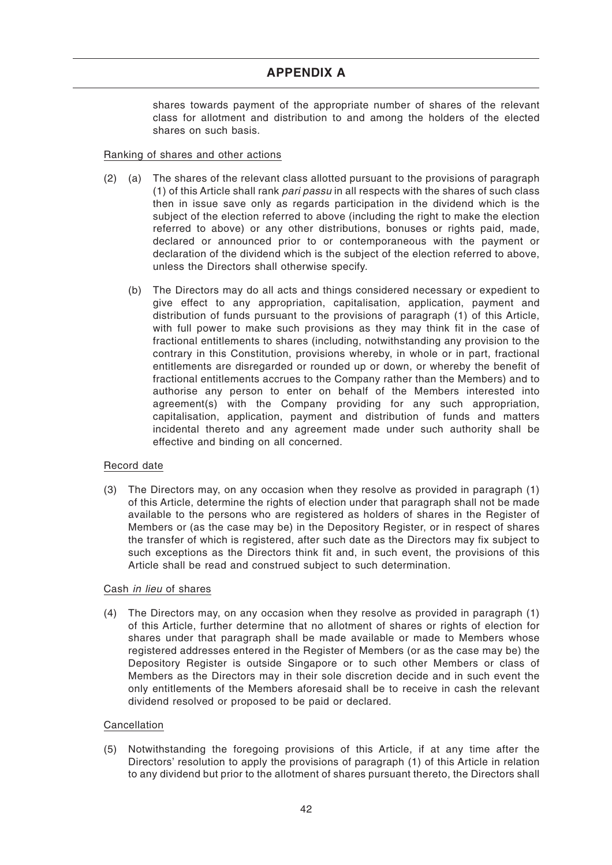shares towards payment of the appropriate number of shares of the relevant class for allotment and distribution to and among the holders of the elected shares on such basis.

### Ranking of shares and other actions

- (2) (a) The shares of the relevant class allotted pursuant to the provisions of paragraph (1) of this Article shall rank pari passu in all respects with the shares of such class then in issue save only as regards participation in the dividend which is the subject of the election referred to above (including the right to make the election referred to above) or any other distributions, bonuses or rights paid, made, declared or announced prior to or contemporaneous with the payment or declaration of the dividend which is the subject of the election referred to above, unless the Directors shall otherwise specify.
	- (b) The Directors may do all acts and things considered necessary or expedient to give effect to any appropriation, capitalisation, application, payment and distribution of funds pursuant to the provisions of paragraph (1) of this Article, with full power to make such provisions as they may think fit in the case of fractional entitlements to shares (including, notwithstanding any provision to the contrary in this Constitution, provisions whereby, in whole or in part, fractional entitlements are disregarded or rounded up or down, or whereby the benefit of fractional entitlements accrues to the Company rather than the Members) and to authorise any person to enter on behalf of the Members interested into agreement(s) with the Company providing for any such appropriation, capitalisation, application, payment and distribution of funds and matters incidental thereto and any agreement made under such authority shall be effective and binding on all concerned.

# Record date

(3) The Directors may, on any occasion when they resolve as provided in paragraph (1) of this Article, determine the rights of election under that paragraph shall not be made available to the persons who are registered as holders of shares in the Register of Members or (as the case may be) in the Depository Register, or in respect of shares the transfer of which is registered, after such date as the Directors may fix subject to such exceptions as the Directors think fit and, in such event, the provisions of this Article shall be read and construed subject to such determination.

#### Cash in lieu of shares

(4) The Directors may, on any occasion when they resolve as provided in paragraph (1) of this Article, further determine that no allotment of shares or rights of election for shares under that paragraph shall be made available or made to Members whose registered addresses entered in the Register of Members (or as the case may be) the Depository Register is outside Singapore or to such other Members or class of Members as the Directors may in their sole discretion decide and in such event the only entitlements of the Members aforesaid shall be to receive in cash the relevant dividend resolved or proposed to be paid or declared.

#### Cancellation

(5) Notwithstanding the foregoing provisions of this Article, if at any time after the Directors' resolution to apply the provisions of paragraph (1) of this Article in relation to any dividend but prior to the allotment of shares pursuant thereto, the Directors shall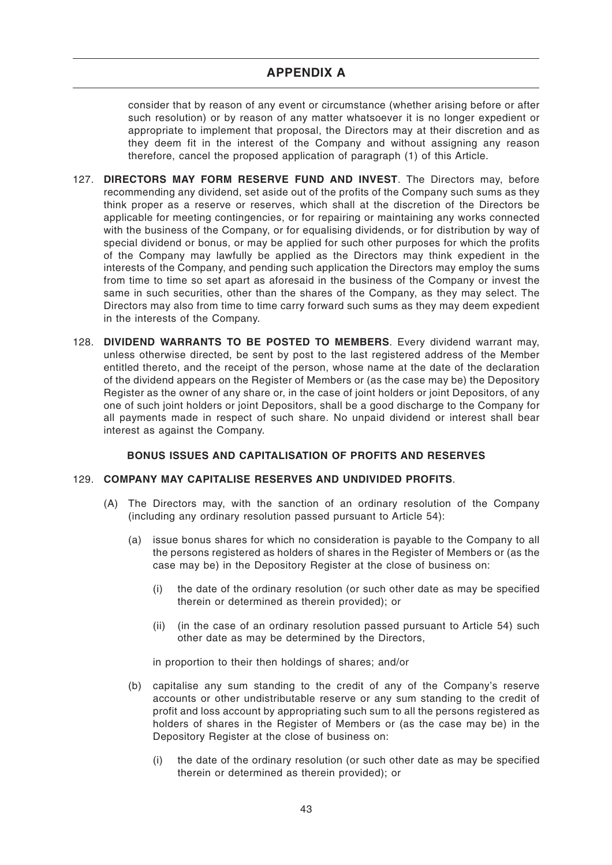consider that by reason of any event or circumstance (whether arising before or after such resolution) or by reason of any matter whatsoever it is no longer expedient or appropriate to implement that proposal, the Directors may at their discretion and as they deem fit in the interest of the Company and without assigning any reason therefore, cancel the proposed application of paragraph (1) of this Article.

- 127. **DIRECTORS MAY FORM RESERVE FUND AND INVEST**. The Directors may, before recommending any dividend, set aside out of the profits of the Company such sums as they think proper as a reserve or reserves, which shall at the discretion of the Directors be applicable for meeting contingencies, or for repairing or maintaining any works connected with the business of the Company, or for equalising dividends, or for distribution by way of special dividend or bonus, or may be applied for such other purposes for which the profits of the Company may lawfully be applied as the Directors may think expedient in the interests of the Company, and pending such application the Directors may employ the sums from time to time so set apart as aforesaid in the business of the Company or invest the same in such securities, other than the shares of the Company, as they may select. The Directors may also from time to time carry forward such sums as they may deem expedient in the interests of the Company.
- 128. **DIVIDEND WARRANTS TO BE POSTED TO MEMBERS**. Every dividend warrant may, unless otherwise directed, be sent by post to the last registered address of the Member entitled thereto, and the receipt of the person, whose name at the date of the declaration of the dividend appears on the Register of Members or (as the case may be) the Depository Register as the owner of any share or, in the case of joint holders or joint Depositors, of any one of such joint holders or joint Depositors, shall be a good discharge to the Company for all payments made in respect of such share. No unpaid dividend or interest shall bear interest as against the Company.

# **BONUS ISSUES AND CAPITALISATION OF PROFITS AND RESERVES**

#### 129. **COMPANY MAY CAPITALISE RESERVES AND UNDIVIDED PROFITS**.

- (A) The Directors may, with the sanction of an ordinary resolution of the Company (including any ordinary resolution passed pursuant to Article 54):
	- (a) issue bonus shares for which no consideration is payable to the Company to all the persons registered as holders of shares in the Register of Members or (as the case may be) in the Depository Register at the close of business on:
		- (i) the date of the ordinary resolution (or such other date as may be specified therein or determined as therein provided); or
		- (ii) (in the case of an ordinary resolution passed pursuant to Article 54) such other date as may be determined by the Directors,

in proportion to their then holdings of shares; and/or

- (b) capitalise any sum standing to the credit of any of the Company's reserve accounts or other undistributable reserve or any sum standing to the credit of profit and loss account by appropriating such sum to all the persons registered as holders of shares in the Register of Members or (as the case may be) in the Depository Register at the close of business on:
	- (i) the date of the ordinary resolution (or such other date as may be specified therein or determined as therein provided); or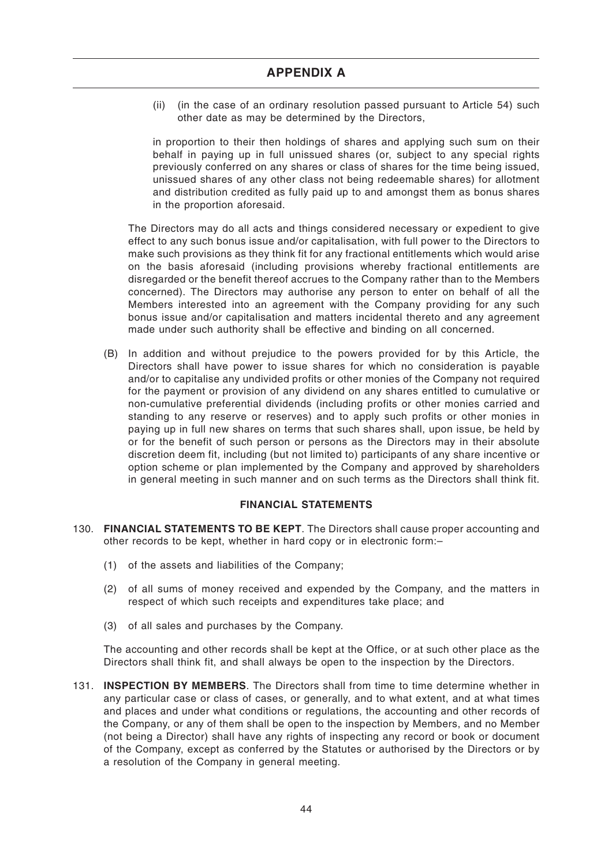(ii) (in the case of an ordinary resolution passed pursuant to Article 54) such other date as may be determined by the Directors,

in proportion to their then holdings of shares and applying such sum on their behalf in paying up in full unissued shares (or, subject to any special rights previously conferred on any shares or class of shares for the time being issued, unissued shares of any other class not being redeemable shares) for allotment and distribution credited as fully paid up to and amongst them as bonus shares in the proportion aforesaid.

The Directors may do all acts and things considered necessary or expedient to give effect to any such bonus issue and/or capitalisation, with full power to the Directors to make such provisions as they think fit for any fractional entitlements which would arise on the basis aforesaid (including provisions whereby fractional entitlements are disregarded or the benefit thereof accrues to the Company rather than to the Members concerned). The Directors may authorise any person to enter on behalf of all the Members interested into an agreement with the Company providing for any such bonus issue and/or capitalisation and matters incidental thereto and any agreement made under such authority shall be effective and binding on all concerned.

(B) In addition and without prejudice to the powers provided for by this Article, the Directors shall have power to issue shares for which no consideration is payable and/or to capitalise any undivided profits or other monies of the Company not required for the payment or provision of any dividend on any shares entitled to cumulative or non-cumulative preferential dividends (including profits or other monies carried and standing to any reserve or reserves) and to apply such profits or other monies in paying up in full new shares on terms that such shares shall, upon issue, be held by or for the benefit of such person or persons as the Directors may in their absolute discretion deem fit, including (but not limited to) participants of any share incentive or option scheme or plan implemented by the Company and approved by shareholders in general meeting in such manner and on such terms as the Directors shall think fit.

# **FINANCIAL STATEMENTS**

- 130. **FINANCIAL STATEMENTS TO BE KEPT**. The Directors shall cause proper accounting and other records to be kept, whether in hard copy or in electronic form:–
	- (1) of the assets and liabilities of the Company;
	- (2) of all sums of money received and expended by the Company, and the matters in respect of which such receipts and expenditures take place; and
	- (3) of all sales and purchases by the Company.

The accounting and other records shall be kept at the Office, or at such other place as the Directors shall think fit, and shall always be open to the inspection by the Directors.

131. **INSPECTION BY MEMBERS**. The Directors shall from time to time determine whether in any particular case or class of cases, or generally, and to what extent, and at what times and places and under what conditions or regulations, the accounting and other records of the Company, or any of them shall be open to the inspection by Members, and no Member (not being a Director) shall have any rights of inspecting any record or book or document of the Company, except as conferred by the Statutes or authorised by the Directors or by a resolution of the Company in general meeting.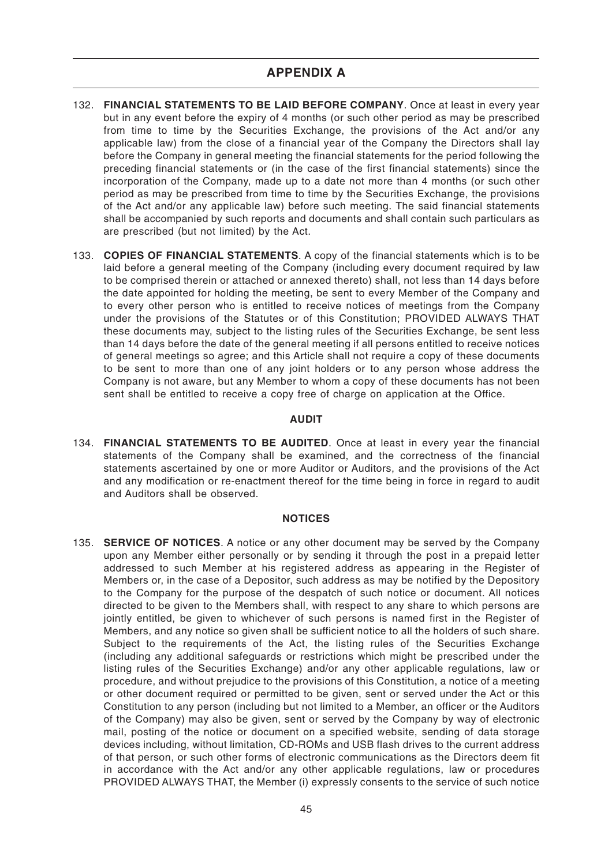- 132. **FINANCIAL STATEMENTS TO BE LAID BEFORE COMPANY**. Once at least in every year but in any event before the expiry of 4 months (or such other period as may be prescribed from time to time by the Securities Exchange, the provisions of the Act and/or any applicable law) from the close of a financial year of the Company the Directors shall lay before the Company in general meeting the financial statements for the period following the preceding financial statements or (in the case of the first financial statements) since the incorporation of the Company, made up to a date not more than 4 months (or such other period as may be prescribed from time to time by the Securities Exchange, the provisions of the Act and/or any applicable law) before such meeting. The said financial statements shall be accompanied by such reports and documents and shall contain such particulars as are prescribed (but not limited) by the Act.
- 133. **COPIES OF FINANCIAL STATEMENTS**. A copy of the financial statements which is to be laid before a general meeting of the Company (including every document required by law to be comprised therein or attached or annexed thereto) shall, not less than 14 days before the date appointed for holding the meeting, be sent to every Member of the Company and to every other person who is entitled to receive notices of meetings from the Company under the provisions of the Statutes or of this Constitution; PROVIDED ALWAYS THAT these documents may, subject to the listing rules of the Securities Exchange, be sent less than 14 days before the date of the general meeting if all persons entitled to receive notices of general meetings so agree; and this Article shall not require a copy of these documents to be sent to more than one of any joint holders or to any person whose address the Company is not aware, but any Member to whom a copy of these documents has not been sent shall be entitled to receive a copy free of charge on application at the Office.

#### **AUDIT**

134. **FINANCIAL STATEMENTS TO BE AUDITED**. Once at least in every year the financial statements of the Company shall be examined, and the correctness of the financial statements ascertained by one or more Auditor or Auditors, and the provisions of the Act and any modification or re-enactment thereof for the time being in force in regard to audit and Auditors shall be observed.

#### **NOTICES**

135. **SERVICE OF NOTICES**. A notice or any other document may be served by the Company upon any Member either personally or by sending it through the post in a prepaid letter addressed to such Member at his registered address as appearing in the Register of Members or, in the case of a Depositor, such address as may be notified by the Depository to the Company for the purpose of the despatch of such notice or document. All notices directed to be given to the Members shall, with respect to any share to which persons are jointly entitled, be given to whichever of such persons is named first in the Register of Members, and any notice so given shall be sufficient notice to all the holders of such share. Subject to the requirements of the Act, the listing rules of the Securities Exchange (including any additional safeguards or restrictions which might be prescribed under the listing rules of the Securities Exchange) and/or any other applicable regulations, law or procedure, and without prejudice to the provisions of this Constitution, a notice of a meeting or other document required or permitted to be given, sent or served under the Act or this Constitution to any person (including but not limited to a Member, an officer or the Auditors of the Company) may also be given, sent or served by the Company by way of electronic mail, posting of the notice or document on a specified website, sending of data storage devices including, without limitation, CD-ROMs and USB flash drives to the current address of that person, or such other forms of electronic communications as the Directors deem fit in accordance with the Act and/or any other applicable regulations, law or procedures PROVIDED ALWAYS THAT, the Member (i) expressly consents to the service of such notice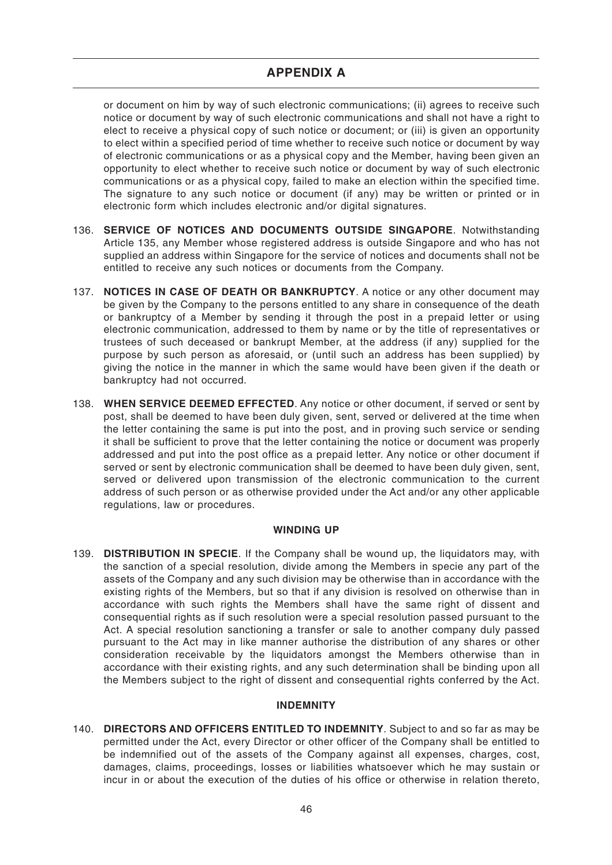or document on him by way of such electronic communications; (ii) agrees to receive such notice or document by way of such electronic communications and shall not have a right to elect to receive a physical copy of such notice or document; or (iii) is given an opportunity to elect within a specified period of time whether to receive such notice or document by way of electronic communications or as a physical copy and the Member, having been given an opportunity to elect whether to receive such notice or document by way of such electronic communications or as a physical copy, failed to make an election within the specified time. The signature to any such notice or document (if any) may be written or printed or in electronic form which includes electronic and/or digital signatures.

- 136. **SERVICE OF NOTICES AND DOCUMENTS OUTSIDE SINGAPORE**. Notwithstanding Article 135, any Member whose registered address is outside Singapore and who has not supplied an address within Singapore for the service of notices and documents shall not be entitled to receive any such notices or documents from the Company.
- 137. **NOTICES IN CASE OF DEATH OR BANKRUPTCY**. A notice or any other document may be given by the Company to the persons entitled to any share in consequence of the death or bankruptcy of a Member by sending it through the post in a prepaid letter or using electronic communication, addressed to them by name or by the title of representatives or trustees of such deceased or bankrupt Member, at the address (if any) supplied for the purpose by such person as aforesaid, or (until such an address has been supplied) by giving the notice in the manner in which the same would have been given if the death or bankruptcy had not occurred.
- 138. **WHEN SERVICE DEEMED EFFECTED**. Any notice or other document, if served or sent by post, shall be deemed to have been duly given, sent, served or delivered at the time when the letter containing the same is put into the post, and in proving such service or sending it shall be sufficient to prove that the letter containing the notice or document was properly addressed and put into the post office as a prepaid letter. Any notice or other document if served or sent by electronic communication shall be deemed to have been duly given, sent, served or delivered upon transmission of the electronic communication to the current address of such person or as otherwise provided under the Act and/or any other applicable regulations, law or procedures.

# **WINDING UP**

139. **DISTRIBUTION IN SPECIE**. If the Company shall be wound up, the liquidators may, with the sanction of a special resolution, divide among the Members in specie any part of the assets of the Company and any such division may be otherwise than in accordance with the existing rights of the Members, but so that if any division is resolved on otherwise than in accordance with such rights the Members shall have the same right of dissent and consequential rights as if such resolution were a special resolution passed pursuant to the Act. A special resolution sanctioning a transfer or sale to another company duly passed pursuant to the Act may in like manner authorise the distribution of any shares or other consideration receivable by the liquidators amongst the Members otherwise than in accordance with their existing rights, and any such determination shall be binding upon all the Members subject to the right of dissent and consequential rights conferred by the Act.

#### **INDEMNITY**

140. **DIRECTORS AND OFFICERS ENTITLED TO INDEMNITY**. Subject to and so far as may be permitted under the Act, every Director or other officer of the Company shall be entitled to be indemnified out of the assets of the Company against all expenses, charges, cost, damages, claims, proceedings, losses or liabilities whatsoever which he may sustain or incur in or about the execution of the duties of his office or otherwise in relation thereto,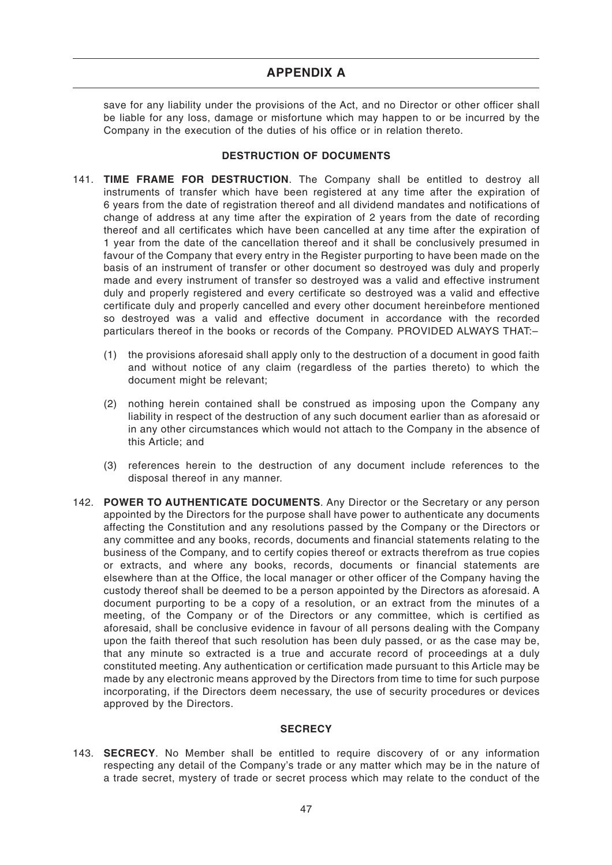save for any liability under the provisions of the Act, and no Director or other officer shall be liable for any loss, damage or misfortune which may happen to or be incurred by the Company in the execution of the duties of his office or in relation thereto.

### **DESTRUCTION OF DOCUMENTS**

- 141. **TIME FRAME FOR DESTRUCTION**. The Company shall be entitled to destroy all instruments of transfer which have been registered at any time after the expiration of 6 years from the date of registration thereof and all dividend mandates and notifications of change of address at any time after the expiration of 2 years from the date of recording thereof and all certificates which have been cancelled at any time after the expiration of 1 year from the date of the cancellation thereof and it shall be conclusively presumed in favour of the Company that every entry in the Register purporting to have been made on the basis of an instrument of transfer or other document so destroyed was duly and properly made and every instrument of transfer so destroyed was a valid and effective instrument duly and properly registered and every certificate so destroyed was a valid and effective certificate duly and properly cancelled and every other document hereinbefore mentioned so destroyed was a valid and effective document in accordance with the recorded particulars thereof in the books or records of the Company. PROVIDED ALWAYS THAT:–
	- (1) the provisions aforesaid shall apply only to the destruction of a document in good faith and without notice of any claim (regardless of the parties thereto) to which the document might be relevant;
	- (2) nothing herein contained shall be construed as imposing upon the Company any liability in respect of the destruction of any such document earlier than as aforesaid or in any other circumstances which would not attach to the Company in the absence of this Article; and
	- (3) references herein to the destruction of any document include references to the disposal thereof in any manner.
- 142. **POWER TO AUTHENTICATE DOCUMENTS**. Any Director or the Secretary or any person appointed by the Directors for the purpose shall have power to authenticate any documents affecting the Constitution and any resolutions passed by the Company or the Directors or any committee and any books, records, documents and financial statements relating to the business of the Company, and to certify copies thereof or extracts therefrom as true copies or extracts, and where any books, records, documents or financial statements are elsewhere than at the Office, the local manager or other officer of the Company having the custody thereof shall be deemed to be a person appointed by the Directors as aforesaid. A document purporting to be a copy of a resolution, or an extract from the minutes of a meeting, of the Company or of the Directors or any committee, which is certified as aforesaid, shall be conclusive evidence in favour of all persons dealing with the Company upon the faith thereof that such resolution has been duly passed, or as the case may be, that any minute so extracted is a true and accurate record of proceedings at a duly constituted meeting. Any authentication or certification made pursuant to this Article may be made by any electronic means approved by the Directors from time to time for such purpose incorporating, if the Directors deem necessary, the use of security procedures or devices approved by the Directors.

# **SECRECY**

143. **SECRECY**. No Member shall be entitled to require discovery of or any information respecting any detail of the Company's trade or any matter which may be in the nature of a trade secret, mystery of trade or secret process which may relate to the conduct of the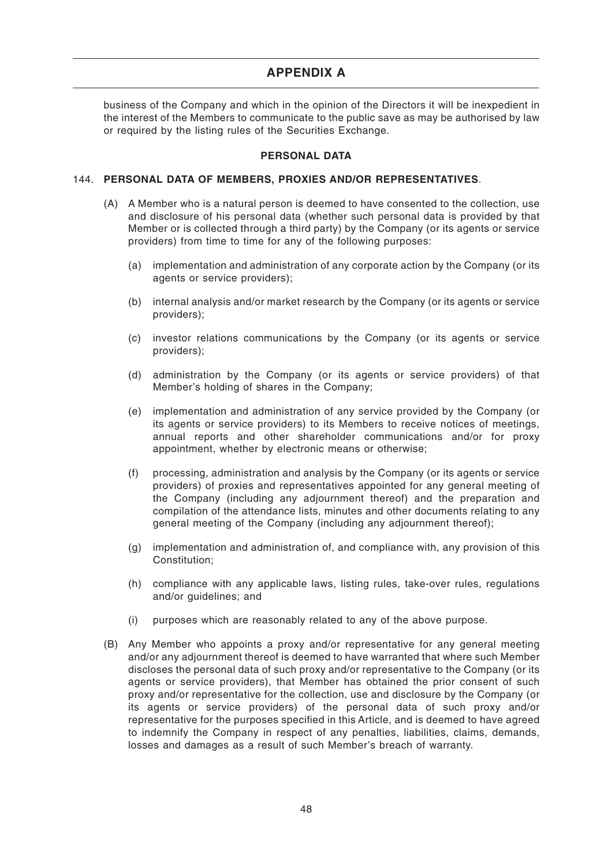business of the Company and which in the opinion of the Directors it will be inexpedient in the interest of the Members to communicate to the public save as may be authorised by law or required by the listing rules of the Securities Exchange.

### **PERSONAL DATA**

#### 144. **PERSONAL DATA OF MEMBERS, PROXIES AND/OR REPRESENTATIVES**.

- (A) A Member who is a natural person is deemed to have consented to the collection, use and disclosure of his personal data (whether such personal data is provided by that Member or is collected through a third party) by the Company (or its agents or service providers) from time to time for any of the following purposes:
	- (a) implementation and administration of any corporate action by the Company (or its agents or service providers);
	- (b) internal analysis and/or market research by the Company (or its agents or service providers);
	- (c) investor relations communications by the Company (or its agents or service providers);
	- (d) administration by the Company (or its agents or service providers) of that Member's holding of shares in the Company;
	- (e) implementation and administration of any service provided by the Company (or its agents or service providers) to its Members to receive notices of meetings, annual reports and other shareholder communications and/or for proxy appointment, whether by electronic means or otherwise;
	- (f) processing, administration and analysis by the Company (or its agents or service providers) of proxies and representatives appointed for any general meeting of the Company (including any adjournment thereof) and the preparation and compilation of the attendance lists, minutes and other documents relating to any general meeting of the Company (including any adjournment thereof);
	- (g) implementation and administration of, and compliance with, any provision of this Constitution;
	- (h) compliance with any applicable laws, listing rules, take-over rules, regulations and/or guidelines; and
	- (i) purposes which are reasonably related to any of the above purpose.
- (B) Any Member who appoints a proxy and/or representative for any general meeting and/or any adjournment thereof is deemed to have warranted that where such Member discloses the personal data of such proxy and/or representative to the Company (or its agents or service providers), that Member has obtained the prior consent of such proxy and/or representative for the collection, use and disclosure by the Company (or its agents or service providers) of the personal data of such proxy and/or representative for the purposes specified in this Article, and is deemed to have agreed to indemnify the Company in respect of any penalties, liabilities, claims, demands, losses and damages as a result of such Member's breach of warranty.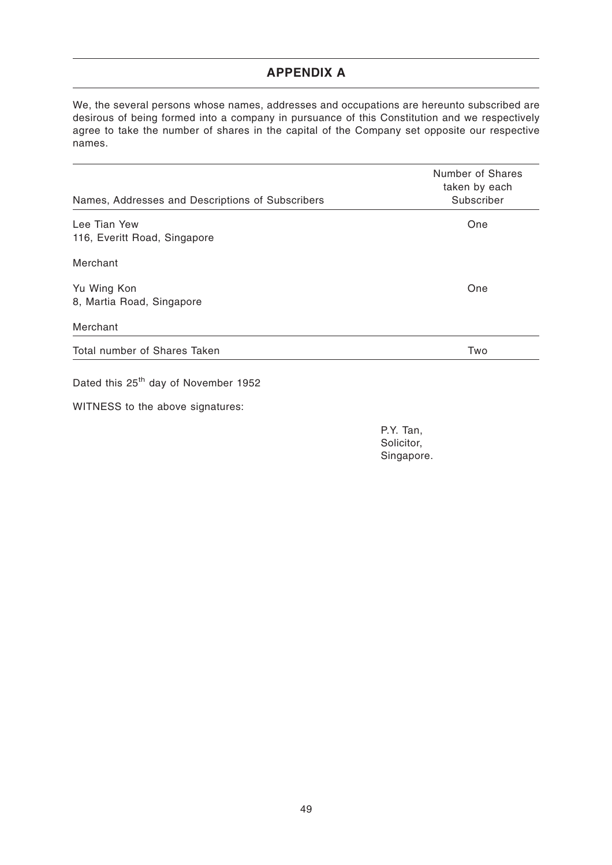We, the several persons whose names, addresses and occupations are hereunto subscribed are desirous of being formed into a company in pursuance of this Constitution and we respectively agree to take the number of shares in the capital of the Company set opposite our respective names.

| Names, Addresses and Descriptions of Subscribers | Number of Shares<br>taken by each<br>Subscriber |
|--------------------------------------------------|-------------------------------------------------|
| Lee Tian Yew                                     | One                                             |
| 116, Everitt Road, Singapore                     |                                                 |
| Merchant                                         |                                                 |
| Yu Wing Kon                                      | One                                             |
| 8, Martia Road, Singapore                        |                                                 |
| Merchant                                         |                                                 |
| Total number of Shares Taken                     | Two                                             |
| Dated this 25 <sup>th</sup> day of November 1952 |                                                 |

WITNESS to the above signatures:

P.Y. Tan, Solicitor, Singapore.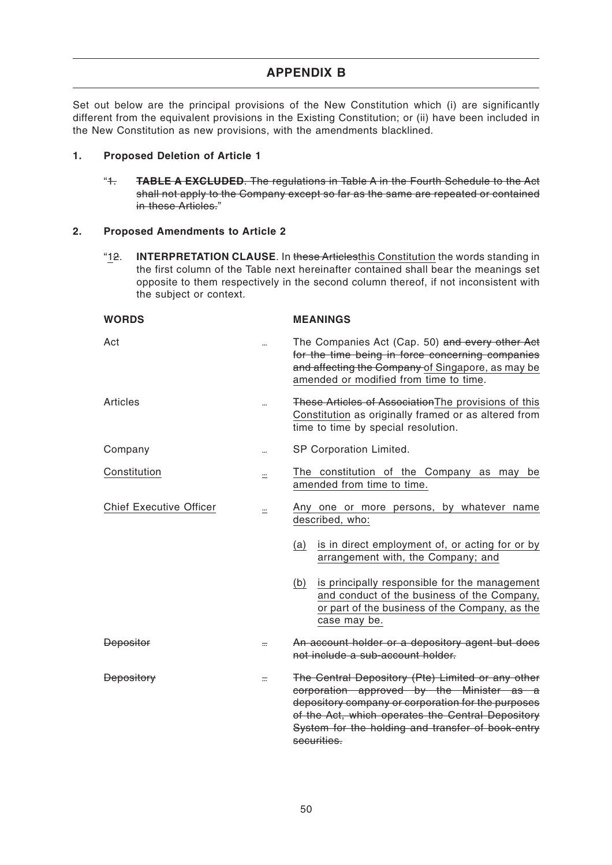Set out below are the principal provisions of the New Constitution which (i) are significantly different from the equivalent provisions in the Existing Constitution; or (ii) have been included in the New Constitution as new provisions, with the amendments blacklined.

# **1. Proposed Deletion of Article 1**

"1. **TABLE A EXCLUDED**. The regulations in Table A in the Fourth Schedule to the Act shall not apply to the Company except so far as the same are repeated or contained in these Articles."

# **2. Proposed Amendments to Article 2**

"12. **INTERPRETATION CLAUSE**. In these Articlesthis Constitution the words standing in the first column of the Table next hereinafter contained shall bear the meanings set opposite to them respectively in the second column thereof, if not inconsistent with the subject or context.

| <b>WORDS</b>                   |           | <b>MEANINGS</b>                                                                                                                                                                                                                                                               |
|--------------------------------|-----------|-------------------------------------------------------------------------------------------------------------------------------------------------------------------------------------------------------------------------------------------------------------------------------|
| Act                            |           | The Companies Act (Cap. 50) and every other Act<br>for the time being in force concerning companies<br>and affecting the Company of Singapore, as may be<br>amended or modified from time to time.                                                                            |
| Articles                       |           | These Articles of Association The provisions of this<br>Constitution as originally framed or as altered from<br>time to time by special resolution.                                                                                                                           |
| Company                        | $\ddotsc$ | SP Corporation Limited.                                                                                                                                                                                                                                                       |
| Constitution                   | <u></u>   | The constitution of the Company as may be<br>amended from time to time.                                                                                                                                                                                                       |
| <b>Chief Executive Officer</b> | <u>::</u> | Any one or more persons, by whatever name<br>described, who:                                                                                                                                                                                                                  |
|                                |           | is in direct employment of, or acting for or by<br>(a)<br>arrangement with, the Company; and                                                                                                                                                                                  |
|                                |           | (b)<br>is principally responsible for the management<br>and conduct of the business of the Company,<br>or part of the business of the Company, as the<br>case may be.                                                                                                         |
| <b>Depositor</b>               | $=$       | An account holder or a depository agent but does<br>not include a sub-account holder.                                                                                                                                                                                         |
| <b>Depository</b>              | $=$       | The Central Depository (Pte) Limited or any other<br>corporation approved by the Minister as a<br>depository company or corporation for the purposes<br>of the Act, which operates the Central Depository<br>System for the holding and transfer of book-entry<br>securities. |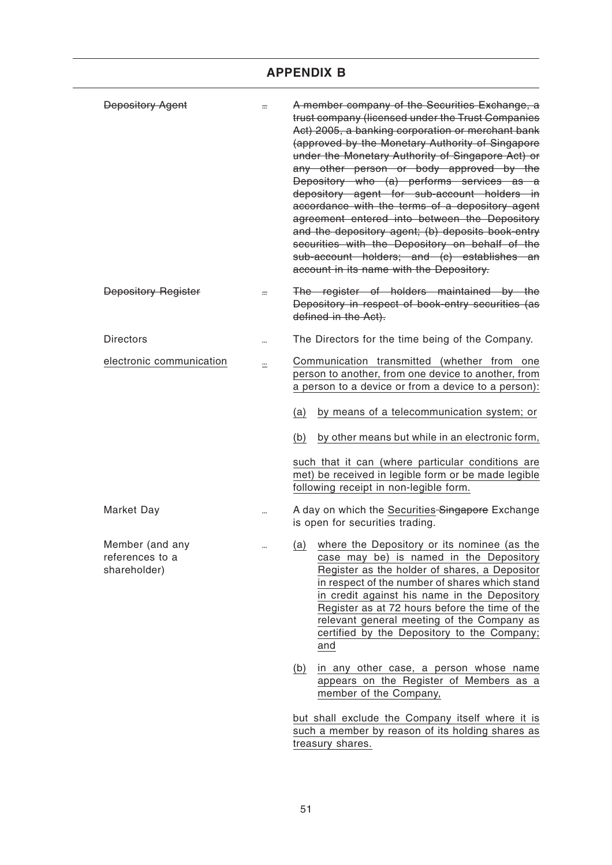| <b>Depository Agent</b>                            | $\equiv$      | A member company of the Securities Exchange, a<br>trust company (licensed under the Trust Companies<br>Act) 2005, a banking corporation or merchant bank<br>(approved by the Monetary Authority of Singapore<br>under the Monetary Authority of Singapore Act) or<br>any other person or body approved by the<br>Depository who (a) performs services as a<br>depository agent for sub-account holders in<br>accordance with the terms of a depository agent<br>agreement entered into between the Depository<br>and the depository agent; (b) deposits book-entry<br>securities with the Depository on behalf of the<br>sub-account holders; and (c) establishes an<br>account in its name with the Depository. |
|----------------------------------------------------|---------------|------------------------------------------------------------------------------------------------------------------------------------------------------------------------------------------------------------------------------------------------------------------------------------------------------------------------------------------------------------------------------------------------------------------------------------------------------------------------------------------------------------------------------------------------------------------------------------------------------------------------------------------------------------------------------------------------------------------|
| <b>Depository Register</b>                         | $\overline{}$ | The register of holders maintained by the<br>Depository in respect of book-entry securities (as<br>defined in the Act).                                                                                                                                                                                                                                                                                                                                                                                                                                                                                                                                                                                          |
| <b>Directors</b>                                   |               | The Directors for the time being of the Company.                                                                                                                                                                                                                                                                                                                                                                                                                                                                                                                                                                                                                                                                 |
| electronic communication                           | $\ddot{}$     | Communication transmitted (whether from one<br>person to another, from one device to another, from<br>a person to a device or from a device to a person):<br>by means of a telecommunication system; or<br>(a)<br>by other means but while in an electronic form,<br>(b)<br>such that it can (where particular conditions are<br>met) be received in legible form or be made legible<br>following receipt in non-legible form.                                                                                                                                                                                                                                                                                   |
| <b>Market Day</b>                                  |               | A day on which the Securities Singapore Exchange<br>is open for securities trading.                                                                                                                                                                                                                                                                                                                                                                                                                                                                                                                                                                                                                              |
| Member (and any<br>references to a<br>shareholder) |               | where the Depository or its nominee (as the<br>(a)<br>case may be) is named in the Depository<br>Register as the holder of shares, a Depositor<br>in respect of the number of shares which stand<br>in credit against his name in the Depository<br>Register as at 72 hours before the time of the<br>relevant general meeting of the Company as<br>certified by the Depository to the Company;<br>and                                                                                                                                                                                                                                                                                                           |
|                                                    |               | (b)<br>in any other case, a person whose name<br>appears on the Register of Members as a<br>member of the Company,                                                                                                                                                                                                                                                                                                                                                                                                                                                                                                                                                                                               |
|                                                    |               | but shall exclude the Company itself where it is                                                                                                                                                                                                                                                                                                                                                                                                                                                                                                                                                                                                                                                                 |

such a member by reason of its holding shares as treasury shares.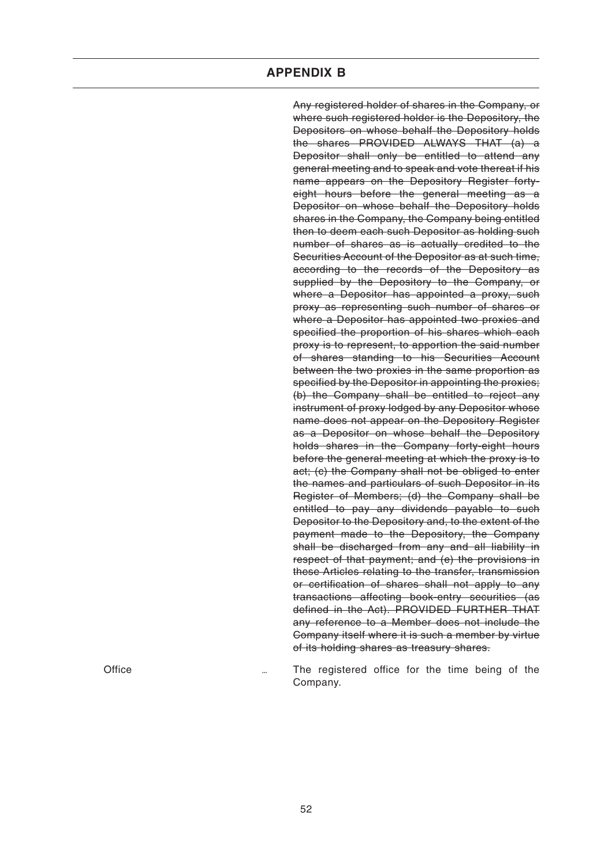Any registered holder of shares in the Company, or where such registered holder is the Depository, the Depositors on whose behalf the Depository holds the shares PROVIDED ALWAYS THAT (a) a Depositor shall only be entitled to attend any general meeting and to speak and vote thereat if his name appears on the Depository Register fortyeight hours before the general meeting as a Depositor on whose behalf the Depository holds shares in the Company, the Company being entitled then to deem each such Depositor as holding such number of shares as is actually credited to the Securities Account of the Depositor as at such time, according to the records of the Depository as supplied by the Depository to the Company, or where a Depositor has appointed a proxy, such proxy as representing such number of shares or where a Depositor has appointed two proxies and specified the proportion of his shares which each proxy is to represent, to apportion the said number of shares standing to his Securities Account between the two proxies in the same proportion as specified by the Depositor in appointing the proxies; (b) the Company shall be entitled to reject any instrument of proxy lodged by any Depositor whose name does not appear on the Depository Register as a Depositor on whose behalf the Depository holds shares in the Company forty-eight hours before the general meeting at which the proxy is to act; (c) the Company shall not be obliged to enter the names and particulars of such Depositor in its Register of Members; (d) the Company shall be entitled to pay any dividends payable to such Depositor to the Depository and, to the extent of the payment made to the Depository, the Company shall be discharged from any and all liability in respect of that payment; and (e) the provisions in these Articles relating to the transfer, transmission or certification of shares shall not apply to any transactions affecting book-entry securities (as defined in the Act). PROVIDED FURTHER THAT any reference to a Member does not include the Company itself where it is such a member by virtue of its holding shares as treasury shares.

Office The registered office for the time being of the Company.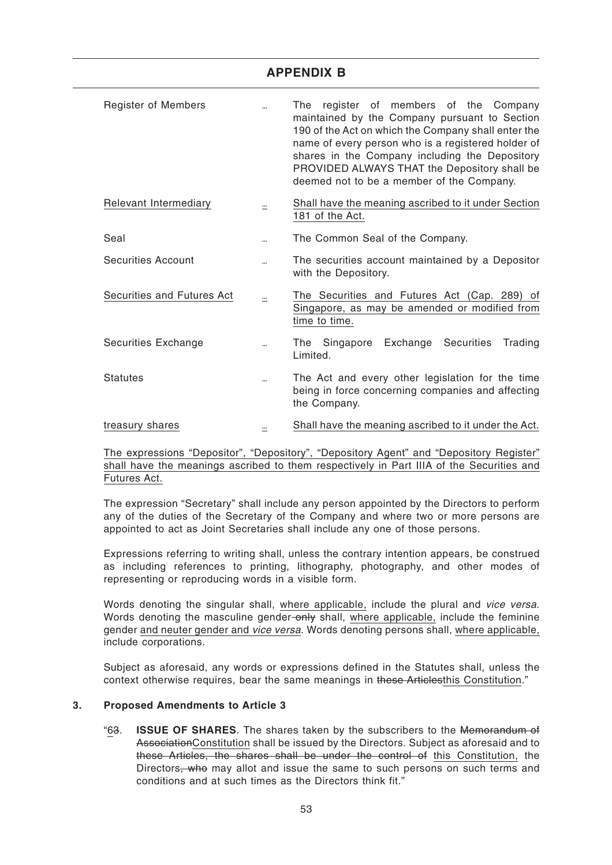| <b>APPENDIX B</b> |  |  |
|-------------------|--|--|
|                   |  |  |

| <b>Register of Members</b> |           | register of members of the Company<br>The<br>maintained by the Company pursuant to Section<br>190 of the Act on which the Company shall enter the<br>name of every person who is a registered holder of<br>shares in the Company including the Depository<br>PROVIDED ALWAYS THAT the Depository shall be<br>deemed not to be a member of the Company. |
|----------------------------|-----------|--------------------------------------------------------------------------------------------------------------------------------------------------------------------------------------------------------------------------------------------------------------------------------------------------------------------------------------------------------|
| Relevant Intermediary      | ≕         | Shall have the meaning ascribed to it under Section<br>181 of the Act.                                                                                                                                                                                                                                                                                 |
| Seal                       | $\ddotsc$ | The Common Seal of the Company.                                                                                                                                                                                                                                                                                                                        |
| <b>Securities Account</b>  |           | The securities account maintained by a Depositor<br>with the Depository.                                                                                                                                                                                                                                                                               |
| Securities and Futures Act | $\equiv$  | The Securities and Futures Act (Cap. 289) of<br>Singapore, as may be amended or modified from<br>time to time.                                                                                                                                                                                                                                         |
| Securities Exchange        |           | Exchange Securities<br>The Singapore<br>Trading<br>Limited.                                                                                                                                                                                                                                                                                            |
| <b>Statutes</b>            |           | The Act and every other legislation for the time<br>being in force concerning companies and affecting<br>the Company.                                                                                                                                                                                                                                  |
| treasury shares            | $\ddot{}$ | Shall have the meaning ascribed to it under the Act.                                                                                                                                                                                                                                                                                                   |

The expressions "Depositor", "Depository", "Depository Agent" and "Depository Register" shall have the meanings ascribed to them respectively in Part IIIA of the Securities and Futures Act.

The expression "Secretary" shall include any person appointed by the Directors to perform any of the duties of the Secretary of the Company and where two or more persons are appointed to act as Joint Secretaries shall include any one of those persons.

Expressions referring to writing shall, unless the contrary intention appears, be construed as including references to printing, lithography, photography, and other modes of representing or reproducing words in a visible form.

Words denoting the singular shall, where applicable, include the plural and vice versa. Words denoting the masculine gender-only shall, where applicable, include the feminine gender and neuter gender and vice versa. Words denoting persons shall, where applicable, include corporations.

Subject as aforesaid, any words or expressions defined in the Statutes shall, unless the context otherwise requires, bear the same meanings in these Articlesthis Constitution."

# **3. Proposed Amendments to Article 3**

"63. **ISSUE OF SHARES**. The shares taken by the subscribers to the Memorandum of AssociationConstitution shall be issued by the Directors. Subject as aforesaid and to these Articles, the shares shall be under the control of this Constitution, the Directors, who may allot and issue the same to such persons on such terms and conditions and at such times as the Directors think fit."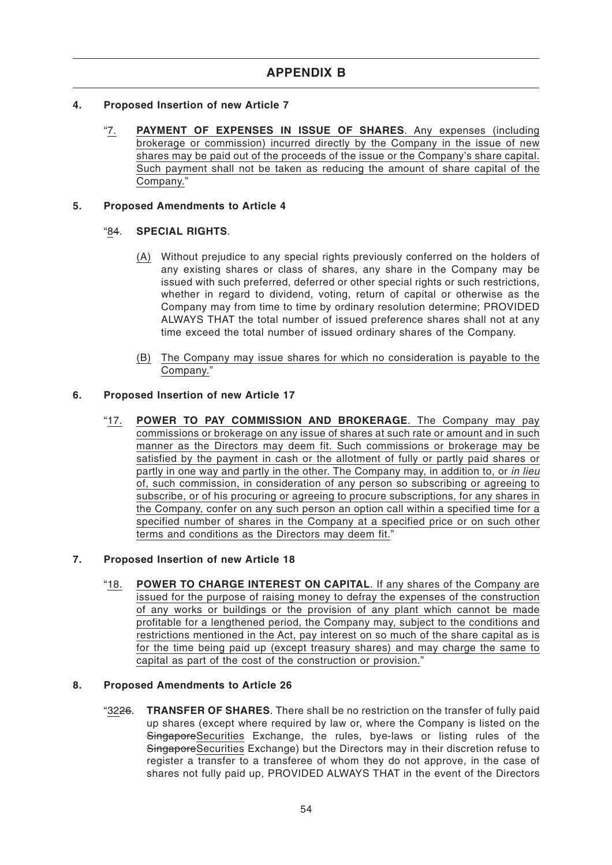- **4. Proposed Insertion of new Article 7**
	- "7. **PAYMENT OF EXPENSES IN ISSUE OF SHARES**. Any expenses (including brokerage or commission) incurred directly by the Company in the issue of new shares may be paid out of the proceeds of the issue or the Company's share capital. Such payment shall not be taken as reducing the amount of share capital of the Company."

#### **5. Proposed Amendments to Article 4**

#### "84. **SPECIAL RIGHTS**.

- (A) Without prejudice to any special rights previously conferred on the holders of any existing shares or class of shares, any share in the Company may be issued with such preferred, deferred or other special rights or such restrictions, whether in regard to dividend, voting, return of capital or otherwise as the Company may from time to time by ordinary resolution determine; PROVIDED ALWAYS THAT the total number of issued preference shares shall not at any time exceed the total number of issued ordinary shares of the Company.
- (B) The Company may issue shares for which no consideration is payable to the Company."

#### **6. Proposed Insertion of new Article 17**

"17. **POWER TO PAY COMMISSION AND BROKERAGE**. The Company may pay commissions or brokerage on any issue of shares at such rate or amount and in such manner as the Directors may deem fit. Such commissions or brokerage may be satisfied by the payment in cash or the allotment of fully or partly paid shares or partly in one way and partly in the other. The Company may, in addition to, or in lieu of, such commission, in consideration of any person so subscribing or agreeing to subscribe, or of his procuring or agreeing to procure subscriptions, for any shares in the Company, confer on any such person an option call within a specified time for a specified number of shares in the Company at a specified price or on such other terms and conditions as the Directors may deem fit."

#### **7. Proposed Insertion of new Article 18**

"18. **POWER TO CHARGE INTEREST ON CAPITAL**. If any shares of the Company are issued for the purpose of raising money to defray the expenses of the construction of any works or buildings or the provision of any plant which cannot be made profitable for a lengthened period, the Company may, subject to the conditions and restrictions mentioned in the Act, pay interest on so much of the share capital as is for the time being paid up (except treasury shares) and may charge the same to capital as part of the cost of the construction or provision."

### **8. Proposed Amendments to Article 26**

"3226. **TRANSFER OF SHARES**. There shall be no restriction on the transfer of fully paid up shares (except where required by law or, where the Company is listed on the SingaporeSecurities Exchange, the rules, bye-laws or listing rules of the SingaporeSecurities Exchange) but the Directors may in their discretion refuse to register a transfer to a transferee of whom they do not approve, in the case of shares not fully paid up, PROVIDED ALWAYS THAT in the event of the Directors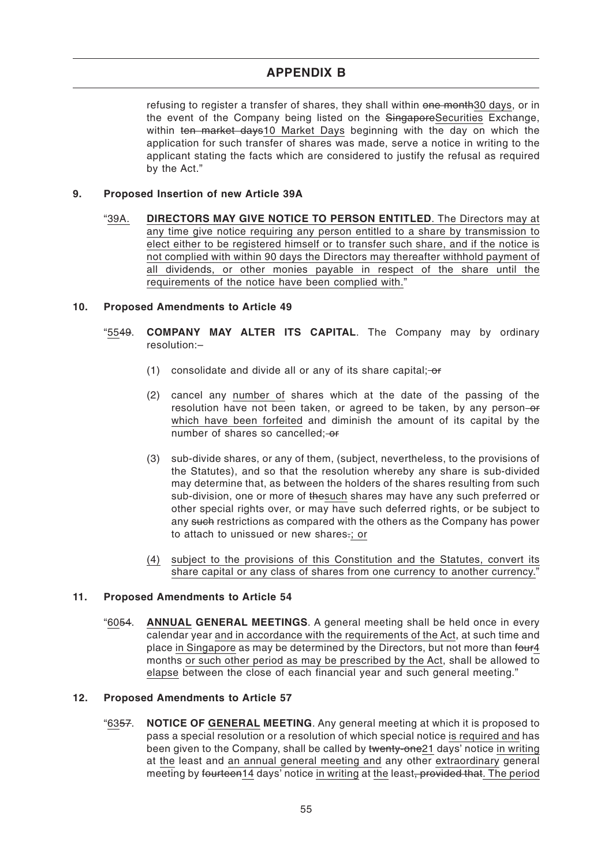refusing to register a transfer of shares, they shall within one month30 days, or in the event of the Company being listed on the SingaporeSecurities Exchange, within ten market days10 Market Days beginning with the day on which the application for such transfer of shares was made, serve a notice in writing to the applicant stating the facts which are considered to justify the refusal as required by the Act."

### **9. Proposed Insertion of new Article 39A**

"39A. **DIRECTORS MAY GIVE NOTICE TO PERSON ENTITLED**. The Directors may at any time give notice requiring any person entitled to a share by transmission to elect either to be registered himself or to transfer such share, and if the notice is not complied with within 90 days the Directors may thereafter withhold payment of all dividends, or other monies payable in respect of the share until the requirements of the notice have been complied with."

#### **10. Proposed Amendments to Article 49**

- "5549. **COMPANY MAY ALTER ITS CAPITAL**. The Company may by ordinary resolution:–
	- (1) consolidate and divide all or any of its share capital;  $-$ or
	- (2) cancel any number of shares which at the date of the passing of the resolution have not been taken, or agreed to be taken, by any person-or which have been forfeited and diminish the amount of its capital by the number of shares so cancelled; or
	- (3) sub-divide shares, or any of them, (subject, nevertheless, to the provisions of the Statutes), and so that the resolution whereby any share is sub-divided may determine that, as between the holders of the shares resulting from such sub-division, one or more of thesuch shares may have any such preferred or other special rights over, or may have such deferred rights, or be subject to any such restrictions as compared with the others as the Company has power to attach to unissued or new shares-; or
	- (4) subject to the provisions of this Constitution and the Statutes, convert its share capital or any class of shares from one currency to another currency."

#### **11. Proposed Amendments to Article 54**

"6054. **ANNUAL GENERAL MEETINGS**. A general meeting shall be held once in every calendar year and in accordance with the requirements of the Act, at such time and place in Singapore as may be determined by the Directors, but not more than four 4 months or such other period as may be prescribed by the Act, shall be allowed to elapse between the close of each financial year and such general meeting."

#### **12. Proposed Amendments to Article 57**

"6357. **NOTICE OF GENERAL MEETING**. Any general meeting at which it is proposed to pass a special resolution or a resolution of which special notice is required and has been given to the Company, shall be called by twenty-one21 days' notice in writing at the least and an annual general meeting and any other extraordinary general meeting by fourteen14 days' notice in writing at the least, provided that. The period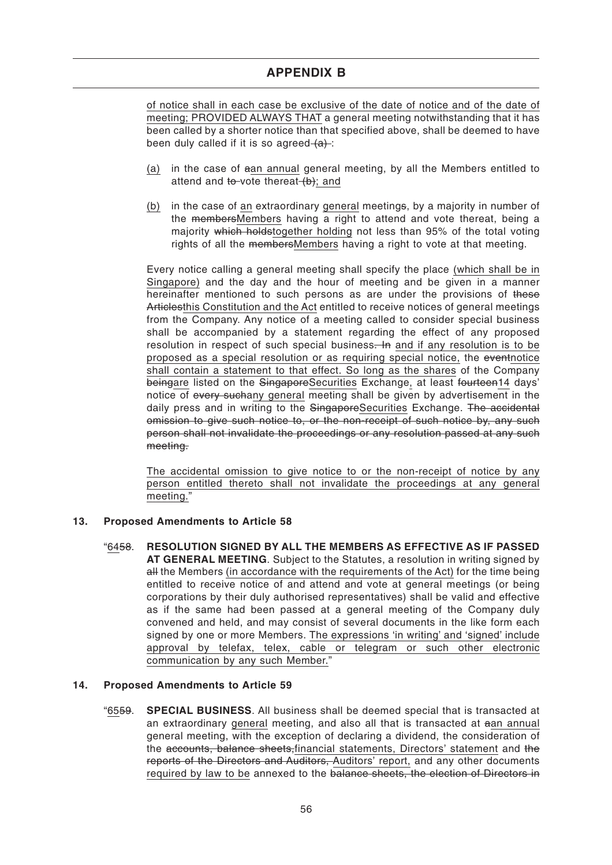of notice shall in each case be exclusive of the date of notice and of the date of meeting; PROVIDED ALWAYS THAT a general meeting notwithstanding that it has been called by a shorter notice than that specified above, shall be deemed to have been duly called if it is so agreed  $(a)$ :

- (a) in the case of aan annual general meeting, by all the Members entitled to attend and to vote thereat  $(b)$ ; and
- (b) in the case of an extraordinary general meetings, by a majority in number of the membersMembers having a right to attend and vote thereat, being a majority which holdstogether holding not less than 95% of the total voting rights of all the membersMembers having a right to vote at that meeting.

Every notice calling a general meeting shall specify the place (which shall be in Singapore) and the day and the hour of meeting and be given in a manner hereinafter mentioned to such persons as are under the provisions of these Articlesthis Constitution and the Act entitled to receive notices of general meetings from the Company. Any notice of a meeting called to consider special business shall be accompanied by a statement regarding the effect of any proposed resolution in respect of such special business. In and if any resolution is to be proposed as a special resolution or as requiring special notice, the eventnotice shall contain a statement to that effect. So long as the shares of the Company beingare listed on the SingaporeSecurities Exchange, at least fourteen14 days' notice of every suchany general meeting shall be given by advertisement in the daily press and in writing to the SingaporeSecurities Exchange. The accidental omission to give such notice to, or the non-receipt of such notice by, any such person shall not invalidate the proceedings or any resolution passed at any such meeting.

The accidental omission to give notice to or the non-receipt of notice by any person entitled thereto shall not invalidate the proceedings at any general meeting."

# **13. Proposed Amendments to Article 58**

"6458. **RESOLUTION SIGNED BY ALL THE MEMBERS AS EFFECTIVE AS IF PASSED AT GENERAL MEETING**. Subject to the Statutes, a resolution in writing signed by all the Members (in accordance with the requirements of the Act) for the time being entitled to receive notice of and attend and vote at general meetings (or being corporations by their duly authorised representatives) shall be valid and effective as if the same had been passed at a general meeting of the Company duly convened and held, and may consist of several documents in the like form each signed by one or more Members. The expressions 'in writing' and 'signed' include approval by telefax, telex, cable or telegram or such other electronic communication by any such Member."

#### **14. Proposed Amendments to Article 59**

"6559. **SPECIAL BUSINESS**. All business shall be deemed special that is transacted at an extraordinary general meeting, and also all that is transacted at aan annual general meeting, with the exception of declaring a dividend, the consideration of the accounts, balance sheets, financial statements, Directors' statement and the reports of the Directors and Auditors, Auditors' report, and any other documents required by law to be annexed to the balance sheets, the election of Directors in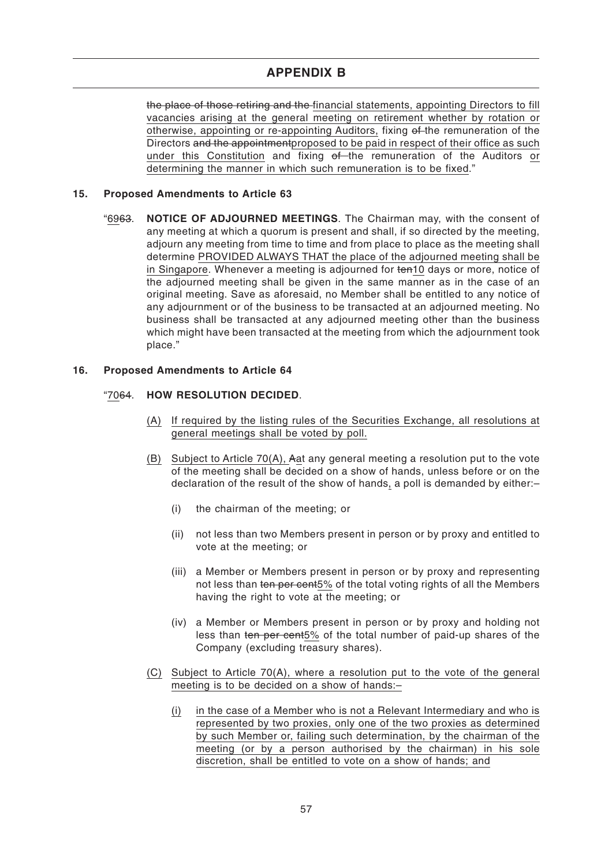the place of those retiring and the financial statements, appointing Directors to fill vacancies arising at the general meeting on retirement whether by rotation or otherwise, appointing or re-appointing Auditors, fixing of the remuneration of the Directors and the appointmentproposed to be paid in respect of their office as such under this Constitution and fixing of the remuneration of the Auditors or determining the manner in which such remuneration is to be fixed."

### **15. Proposed Amendments to Article 63**

"6963. **NOTICE OF ADJOURNED MEETINGS**. The Chairman may, with the consent of any meeting at which a quorum is present and shall, if so directed by the meeting, adjourn any meeting from time to time and from place to place as the meeting shall determine PROVIDED ALWAYS THAT the place of the adjourned meeting shall be in Singapore. Whenever a meeting is adjourned for ten10 days or more, notice of the adjourned meeting shall be given in the same manner as in the case of an original meeting. Save as aforesaid, no Member shall be entitled to any notice of any adjournment or of the business to be transacted at an adjourned meeting. No business shall be transacted at any adjourned meeting other than the business which might have been transacted at the meeting from which the adjournment took place."

#### **16. Proposed Amendments to Article 64**

# "7064. **HOW RESOLUTION DECIDED**.

- (A) If required by the listing rules of the Securities Exchange, all resolutions at general meetings shall be voted by poll.
- (B) Subject to Article 70(A), Aat any general meeting a resolution put to the vote of the meeting shall be decided on a show of hands, unless before or on the declaration of the result of the show of hands, a poll is demanded by either:–
	- (i) the chairman of the meeting; or
	- (ii) not less than two Members present in person or by proxy and entitled to vote at the meeting; or
	- (iii) a Member or Members present in person or by proxy and representing not less than ten per cent5% of the total voting rights of all the Members having the right to vote at the meeting; or
	- (iv) a Member or Members present in person or by proxy and holding not less than ten per cent5% of the total number of paid-up shares of the Company (excluding treasury shares).
- (C) Subject to Article 70(A), where a resolution put to the vote of the general meeting is to be decided on a show of hands:–
	- (i) in the case of a Member who is not a Relevant Intermediary and who is represented by two proxies, only one of the two proxies as determined by such Member or, failing such determination, by the chairman of the meeting (or by a person authorised by the chairman) in his sole discretion, shall be entitled to vote on a show of hands; and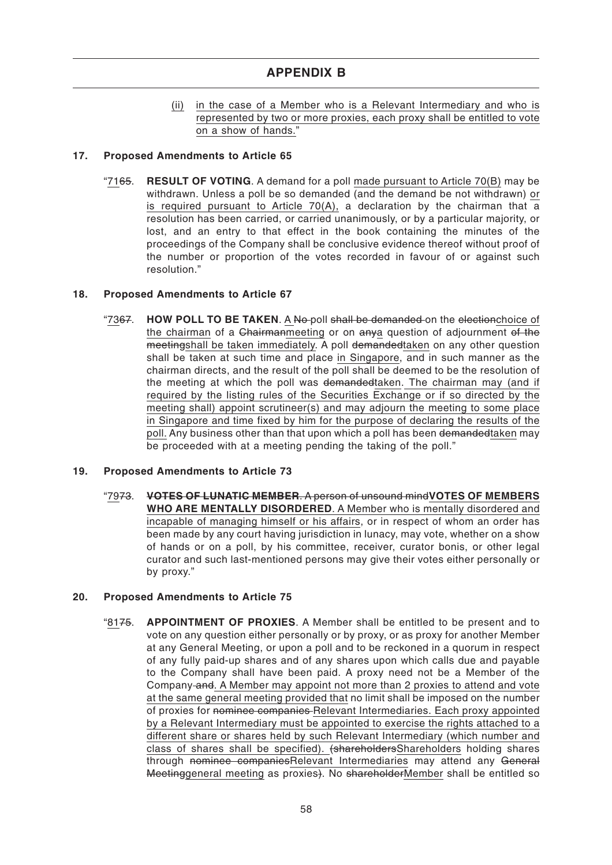(ii) in the case of a Member who is a Relevant Intermediary and who is represented by two or more proxies, each proxy shall be entitled to vote on a show of hands."

# **17. Proposed Amendments to Article 65**

"7165. **RESULT OF VOTING**. A demand for a poll made pursuant to Article 70(B) may be withdrawn. Unless a poll be so demanded (and the demand be not withdrawn) or is required pursuant to Article 70(A), a declaration by the chairman that a resolution has been carried, or carried unanimously, or by a particular majority, or lost, and an entry to that effect in the book containing the minutes of the proceedings of the Company shall be conclusive evidence thereof without proof of the number or proportion of the votes recorded in favour of or against such resolution."

# **18. Proposed Amendments to Article 67**

"7367. **HOW POLL TO BE TAKEN**. A No poll shall be demanded on the electionchoice of the chairman of a Chairmanmeeting or on anya question of adjournment of the meetingshall be taken immediately. A poll demandedtaken on any other question shall be taken at such time and place in Singapore, and in such manner as the chairman directs, and the result of the poll shall be deemed to be the resolution of the meeting at which the poll was demandedtaken. The chairman may (and if required by the listing rules of the Securities Exchange or if so directed by the meeting shall) appoint scrutineer(s) and may adjourn the meeting to some place in Singapore and time fixed by him for the purpose of declaring the results of the poll. Any business other than that upon which a poll has been demandedtaken may be proceeded with at a meeting pending the taking of the poll."

# **19. Proposed Amendments to Article 73**

"7973. **VOTES OF LUNATIC MEMBER**. A person of unsound mind**VOTES OF MEMBERS WHO ARE MENTALLY DISORDERED**. A Member who is mentally disordered and incapable of managing himself or his affairs, or in respect of whom an order has been made by any court having jurisdiction in lunacy, may vote, whether on a show of hands or on a poll, by his committee, receiver, curator bonis, or other legal curator and such last-mentioned persons may give their votes either personally or by proxy."

# **20. Proposed Amendments to Article 75**

"8175. **APPOINTMENT OF PROXIES**. A Member shall be entitled to be present and to vote on any question either personally or by proxy, or as proxy for another Member at any General Meeting, or upon a poll and to be reckoned in a quorum in respect of any fully paid-up shares and of any shares upon which calls due and payable to the Company shall have been paid. A proxy need not be a Member of the Company and. A Member may appoint not more than 2 proxies to attend and vote at the same general meeting provided that no limit shall be imposed on the number of proxies for nominee companies Relevant Intermediaries. Each proxy appointed by a Relevant Intermediary must be appointed to exercise the rights attached to a different share or shares held by such Relevant Intermediary (which number and class of shares shall be specified). (shareholdersShareholders holding shares through nominee companiesRelevant Intermediaries may attend any General Meetinggeneral meeting as proxies). No shareholderMember shall be entitled so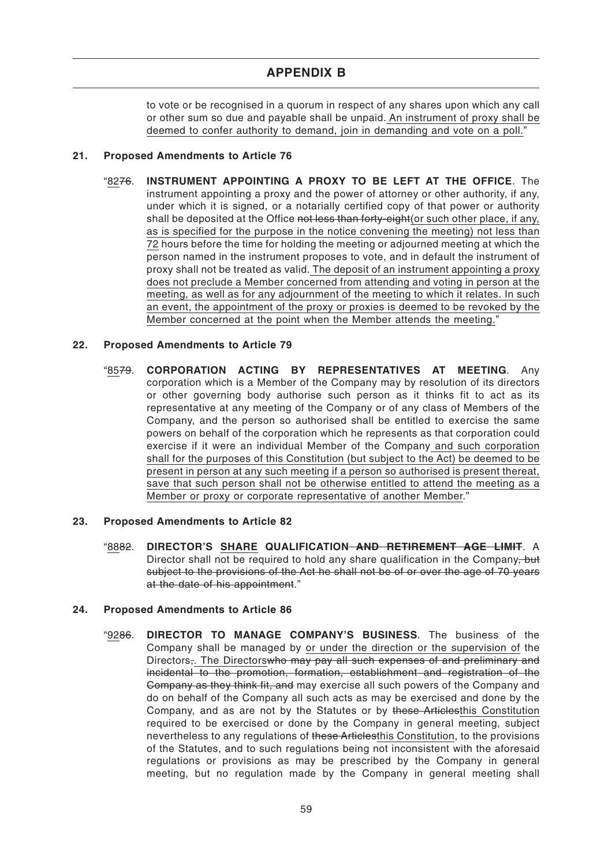to vote or be recognised in a quorum in respect of any shares upon which any call or other sum so due and payable shall be unpaid. An instrument of proxy shall be deemed to confer authority to demand, join in demanding and vote on a poll."

# **21. Proposed Amendments to Article 76**

"8276. **INSTRUMENT APPOINTING A PROXY TO BE LEFT AT THE OFFICE**. The instrument appointing a proxy and the power of attorney or other authority, if any, under which it is signed, or a notarially certified copy of that power or authority shall be deposited at the Office not less than forty-eight (or such other place, if any, as is specified for the purpose in the notice convening the meeting) not less than 72 hours before the time for holding the meeting or adjourned meeting at which the person named in the instrument proposes to vote, and in default the instrument of proxy shall not be treated as valid. The deposit of an instrument appointing a proxy does not preclude a Member concerned from attending and voting in person at the meeting, as well as for any adjournment of the meeting to which it relates. In such an event, the appointment of the proxy or proxies is deemed to be revoked by the Member concerned at the point when the Member attends the meeting."

# **22. Proposed Amendments to Article 79**

"8579. **CORPORATION ACTING BY REPRESENTATIVES AT MEETING**. Any corporation which is a Member of the Company may by resolution of its directors or other governing body authorise such person as it thinks fit to act as its representative at any meeting of the Company or of any class of Members of the Company, and the person so authorised shall be entitled to exercise the same powers on behalf of the corporation which he represents as that corporation could exercise if it were an individual Member of the Company and such corporation shall for the purposes of this Constitution (but subject to the Act) be deemed to be present in person at any such meeting if a person so authorised is present thereat, save that such person shall not be otherwise entitled to attend the meeting as a Member or proxy or corporate representative of another Member."

# **23. Proposed Amendments to Article 82**

"8882. **DIRECTOR'S SHARE QUALIFICATION AND RETIREMENT AGE LIMIT**. A Director shall not be required to hold any share qualification in the Company, but subject to the provisions of the Act he shall not be of or over the age of 70 years at the date of his appointment."

#### **24. Proposed Amendments to Article 86**

"9286. **DIRECTOR TO MANAGE COMPANY'S BUSINESS**. The business of the Company shall be managed by or under the direction or the supervision of the Directors<sub>7</sub>. The Directorswho may pay all such expenses of and preliminary and incidental to the promotion, formation, establishment and registration of the Company as they think fit, and may exercise all such powers of the Company and do on behalf of the Company all such acts as may be exercised and done by the Company, and as are not by the Statutes or by these Articlesthis Constitution required to be exercised or done by the Company in general meeting, subject nevertheless to any regulations of these Articlesthis Constitution, to the provisions of the Statutes, and to such regulations being not inconsistent with the aforesaid regulations or provisions as may be prescribed by the Company in general meeting, but no regulation made by the Company in general meeting shall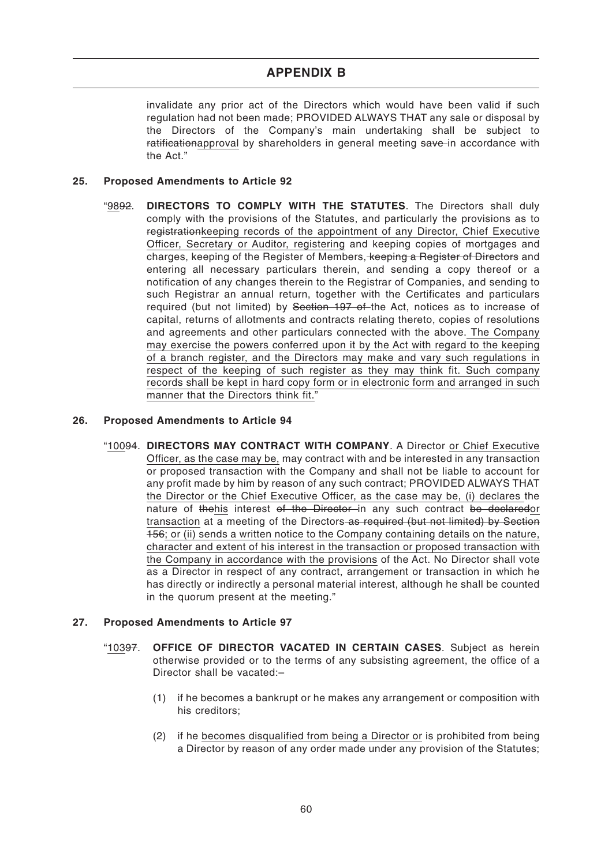invalidate any prior act of the Directors which would have been valid if such regulation had not been made; PROVIDED ALWAYS THAT any sale or disposal by the Directors of the Company's main undertaking shall be subject to ratificationapproval by shareholders in general meeting save in accordance with the Act."

#### **25. Proposed Amendments to Article 92**

"9892. **DIRECTORS TO COMPLY WITH THE STATUTES**. The Directors shall duly comply with the provisions of the Statutes, and particularly the provisions as to registrationkeeping records of the appointment of any Director, Chief Executive Officer, Secretary or Auditor, registering and keeping copies of mortgages and charges, keeping of the Register of Members, keeping a Register of Directors and entering all necessary particulars therein, and sending a copy thereof or a notification of any changes therein to the Registrar of Companies, and sending to such Registrar an annual return, together with the Certificates and particulars required (but not limited) by Section 197 of the Act, notices as to increase of capital, returns of allotments and contracts relating thereto, copies of resolutions and agreements and other particulars connected with the above. The Company may exercise the powers conferred upon it by the Act with regard to the keeping of a branch register, and the Directors may make and vary such regulations in respect of the keeping of such register as they may think fit. Such company records shall be kept in hard copy form or in electronic form and arranged in such manner that the Directors think fit."

#### **26. Proposed Amendments to Article 94**

"10094. **DIRECTORS MAY CONTRACT WITH COMPANY**. A Director or Chief Executive Officer, as the case may be, may contract with and be interested in any transaction or proposed transaction with the Company and shall not be liable to account for any profit made by him by reason of any such contract; PROVIDED ALWAYS THAT the Director or the Chief Executive Officer, as the case may be, (i) declares the nature of thehis interest of the Director in any such contract be declaredor transaction at a meeting of the Directors as required (but not limited) by Section 156; or (ii) sends a written notice to the Company containing details on the nature, character and extent of his interest in the transaction or proposed transaction with the Company in accordance with the provisions of the Act. No Director shall vote as a Director in respect of any contract, arrangement or transaction in which he has directly or indirectly a personal material interest, although he shall be counted in the quorum present at the meeting."

# **27. Proposed Amendments to Article 97**

- "10397. **OFFICE OF DIRECTOR VACATED IN CERTAIN CASES**. Subject as herein otherwise provided or to the terms of any subsisting agreement, the office of a Director shall be vacated:–
	- (1) if he becomes a bankrupt or he makes any arrangement or composition with his creditors;
	- (2) if he becomes disqualified from being a Director or is prohibited from being a Director by reason of any order made under any provision of the Statutes;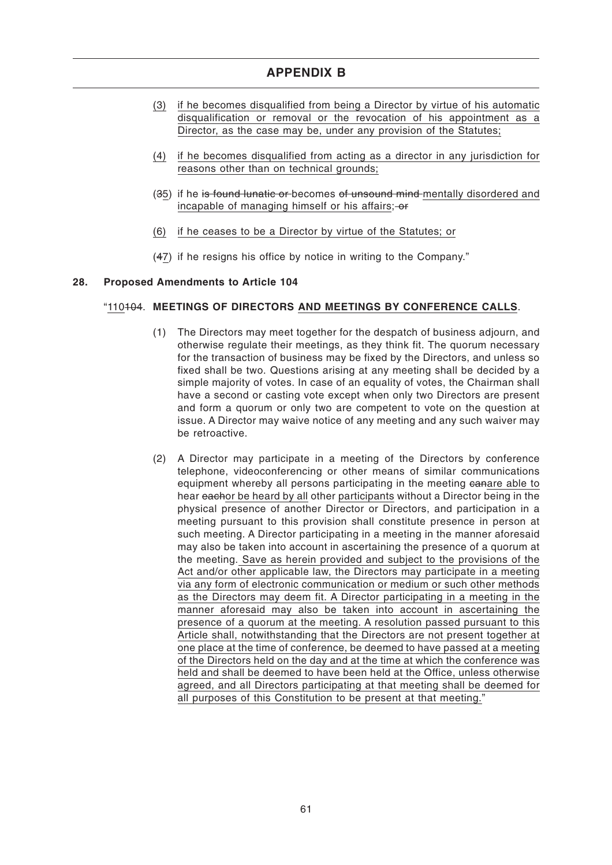- (3) if he becomes disqualified from being a Director by virtue of his automatic disqualification or removal or the revocation of his appointment as a Director, as the case may be, under any provision of the Statutes;
- (4) if he becomes disqualified from acting as a director in any jurisdiction for reasons other than on technical grounds;
- (35) if he is found lunatic or becomes of unsound mind mentally disordered and incapable of managing himself or his affairs;  $-$ or
- (6) if he ceases to be a Director by virtue of the Statutes; or
- (47) if he resigns his office by notice in writing to the Company."

# **28. Proposed Amendments to Article 104**

# "110104. **MEETINGS OF DIRECTORS AND MEETINGS BY CONFERENCE CALLS**.

- (1) The Directors may meet together for the despatch of business adjourn, and otherwise regulate their meetings, as they think fit. The quorum necessary for the transaction of business may be fixed by the Directors, and unless so fixed shall be two. Questions arising at any meeting shall be decided by a simple majority of votes. In case of an equality of votes, the Chairman shall have a second or casting vote except when only two Directors are present and form a quorum or only two are competent to vote on the question at issue. A Director may waive notice of any meeting and any such waiver may be retroactive.
- (2) A Director may participate in a meeting of the Directors by conference telephone, videoconferencing or other means of similar communications equipment whereby all persons participating in the meeting eanare able to hear eachor be heard by all other participants without a Director being in the physical presence of another Director or Directors, and participation in a meeting pursuant to this provision shall constitute presence in person at such meeting. A Director participating in a meeting in the manner aforesaid may also be taken into account in ascertaining the presence of a quorum at the meeting. Save as herein provided and subject to the provisions of the Act and/or other applicable law, the Directors may participate in a meeting via any form of electronic communication or medium or such other methods as the Directors may deem fit. A Director participating in a meeting in the manner aforesaid may also be taken into account in ascertaining the presence of a quorum at the meeting. A resolution passed pursuant to this Article shall, notwithstanding that the Directors are not present together at one place at the time of conference, be deemed to have passed at a meeting of the Directors held on the day and at the time at which the conference was held and shall be deemed to have been held at the Office, unless otherwise agreed, and all Directors participating at that meeting shall be deemed for all purposes of this Constitution to be present at that meeting."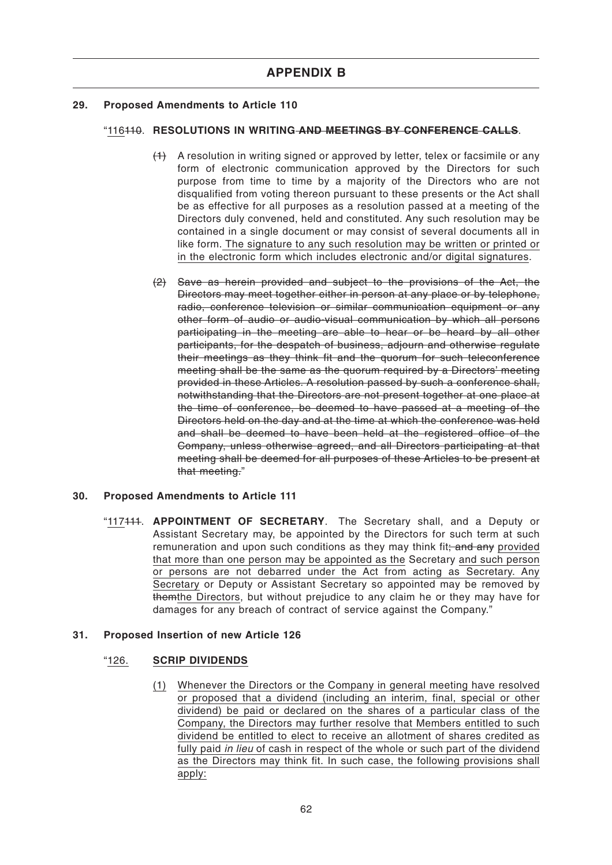# **29. Proposed Amendments to Article 110**

# "116110. **RESOLUTIONS IN WRITING AND MEETINGS BY CONFERENCE CALLS**.

- $(1)$  A resolution in writing signed or approved by letter, telex or facsimile or any form of electronic communication approved by the Directors for such purpose from time to time by a majority of the Directors who are not disqualified from voting thereon pursuant to these presents or the Act shall be as effective for all purposes as a resolution passed at a meeting of the Directors duly convened, held and constituted. Any such resolution may be contained in a single document or may consist of several documents all in like form. The signature to any such resolution may be written or printed or in the electronic form which includes electronic and/or digital signatures.
- (2) Save as herein provided and subject to the provisions of the Act, the Directors may meet together either in person at any place or by telephone, radio, conference television or similar communication equipment or any other form of audio or audio-visual communication by which all persons participating in the meeting are able to hear or be heard by all other participants, for the despatch of business, adjourn and otherwise regulate their meetings as they think fit and the quorum for such teleconference meeting shall be the same as the quorum required by a Directors' meeting provided in these Articles. A resolution passed by such a conference shall, notwithstanding that the Directors are not present together at one place at the time of conference, be deemed to have passed at a meeting of the Directors held on the day and at the time at which the conference was held and shall be deemed to have been held at the registered office of the Company, unless otherwise agreed, and all Directors participating at that meeting shall be deemed for all purposes of these Articles to be present at that meeting."

# **30. Proposed Amendments to Article 111**

"117111. **APPOINTMENT OF SECRETARY**. The Secretary shall, and a Deputy or Assistant Secretary may, be appointed by the Directors for such term at such remuneration and upon such conditions as they may think fit: and any provided that more than one person may be appointed as the Secretary and such person or persons are not debarred under the Act from acting as Secretary. Any Secretary or Deputy or Assistant Secretary so appointed may be removed by themthe Directors, but without prejudice to any claim he or they may have for damages for any breach of contract of service against the Company."

# **31. Proposed Insertion of new Article 126**

# "126. **SCRIP DIVIDENDS**

(1) Whenever the Directors or the Company in general meeting have resolved or proposed that a dividend (including an interim, final, special or other dividend) be paid or declared on the shares of a particular class of the Company, the Directors may further resolve that Members entitled to such dividend be entitled to elect to receive an allotment of shares credited as fully paid in lieu of cash in respect of the whole or such part of the dividend as the Directors may think fit. In such case, the following provisions shall apply: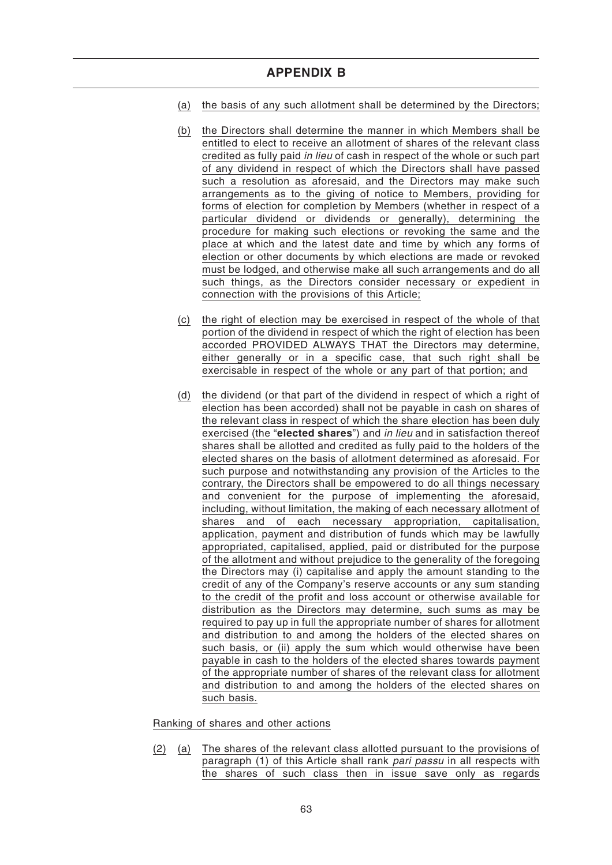- (a) the basis of any such allotment shall be determined by the Directors;
- (b) the Directors shall determine the manner in which Members shall be entitled to elect to receive an allotment of shares of the relevant class credited as fully paid in lieu of cash in respect of the whole or such part of any dividend in respect of which the Directors shall have passed such a resolution as aforesaid, and the Directors may make such arrangements as to the giving of notice to Members, providing for forms of election for completion by Members (whether in respect of a particular dividend or dividends or generally), determining the procedure for making such elections or revoking the same and the place at which and the latest date and time by which any forms of election or other documents by which elections are made or revoked must be lodged, and otherwise make all such arrangements and do all such things, as the Directors consider necessary or expedient in connection with the provisions of this Article;
- (c) the right of election may be exercised in respect of the whole of that portion of the dividend in respect of which the right of election has been accorded PROVIDED ALWAYS THAT the Directors may determine, either generally or in a specific case, that such right shall be exercisable in respect of the whole or any part of that portion; and
- (d) the dividend (or that part of the dividend in respect of which a right of election has been accorded) shall not be payable in cash on shares of the relevant class in respect of which the share election has been duly exercised (the "**elected shares**") and in lieu and in satisfaction thereof shares shall be allotted and credited as fully paid to the holders of the elected shares on the basis of allotment determined as aforesaid. For such purpose and notwithstanding any provision of the Articles to the contrary, the Directors shall be empowered to do all things necessary and convenient for the purpose of implementing the aforesaid, including, without limitation, the making of each necessary allotment of shares and of each necessary appropriation, capitalisation, application, payment and distribution of funds which may be lawfully appropriated, capitalised, applied, paid or distributed for the purpose of the allotment and without prejudice to the generality of the foregoing the Directors may (i) capitalise and apply the amount standing to the credit of any of the Company's reserve accounts or any sum standing to the credit of the profit and loss account or otherwise available for distribution as the Directors may determine, such sums as may be required to pay up in full the appropriate number of shares for allotment and distribution to and among the holders of the elected shares on such basis, or (ii) apply the sum which would otherwise have been payable in cash to the holders of the elected shares towards payment of the appropriate number of shares of the relevant class for allotment and distribution to and among the holders of the elected shares on such basis.

Ranking of shares and other actions

(2) (a) The shares of the relevant class allotted pursuant to the provisions of paragraph (1) of this Article shall rank pari passu in all respects with the shares of such class then in issue save only as regards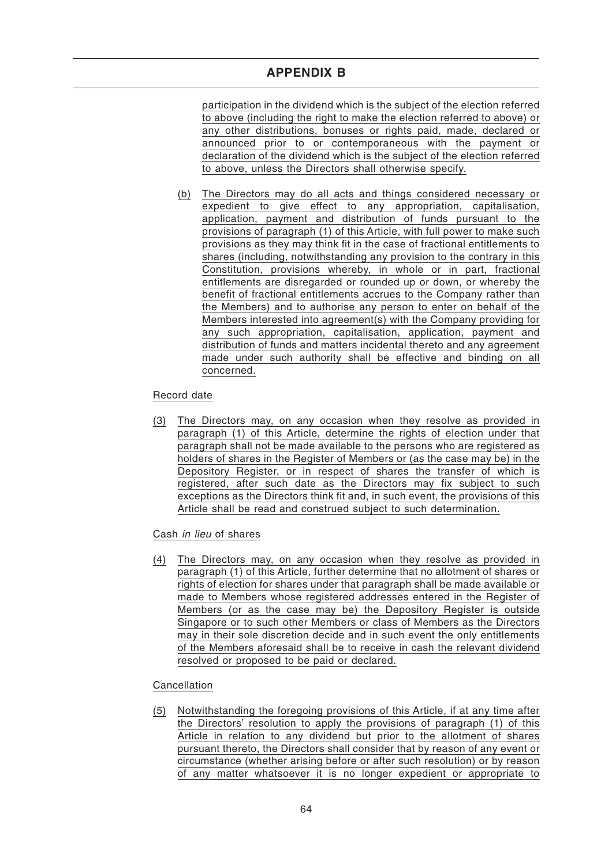participation in the dividend which is the subject of the election referred to above (including the right to make the election referred to above) or any other distributions, bonuses or rights paid, made, declared or announced prior to or contemporaneous with the payment or declaration of the dividend which is the subject of the election referred to above, unless the Directors shall otherwise specify.

(b) The Directors may do all acts and things considered necessary or expedient to give effect to any appropriation, capitalisation, application, payment and distribution of funds pursuant to the provisions of paragraph (1) of this Article, with full power to make such provisions as they may think fit in the case of fractional entitlements to shares (including, notwithstanding any provision to the contrary in this Constitution, provisions whereby, in whole or in part, fractional entitlements are disregarded or rounded up or down, or whereby the benefit of fractional entitlements accrues to the Company rather than the Members) and to authorise any person to enter on behalf of the Members interested into agreement(s) with the Company providing for any such appropriation, capitalisation, application, payment and distribution of funds and matters incidental thereto and any agreement made under such authority shall be effective and binding on all concerned.

# Record date

(3) The Directors may, on any occasion when they resolve as provided in paragraph (1) of this Article, determine the rights of election under that paragraph shall not be made available to the persons who are registered as holders of shares in the Register of Members or (as the case may be) in the Depository Register, or in respect of shares the transfer of which is registered, after such date as the Directors may fix subject to such exceptions as the Directors think fit and, in such event, the provisions of this Article shall be read and construed subject to such determination.

# Cash in lieu of shares

(4) The Directors may, on any occasion when they resolve as provided in paragraph (1) of this Article, further determine that no allotment of shares or rights of election for shares under that paragraph shall be made available or made to Members whose registered addresses entered in the Register of Members (or as the case may be) the Depository Register is outside Singapore or to such other Members or class of Members as the Directors may in their sole discretion decide and in such event the only entitlements of the Members aforesaid shall be to receive in cash the relevant dividend resolved or proposed to be paid or declared.

# Cancellation

(5) Notwithstanding the foregoing provisions of this Article, if at any time after the Directors' resolution to apply the provisions of paragraph (1) of this Article in relation to any dividend but prior to the allotment of shares pursuant thereto, the Directors shall consider that by reason of any event or circumstance (whether arising before or after such resolution) or by reason of any matter whatsoever it is no longer expedient or appropriate to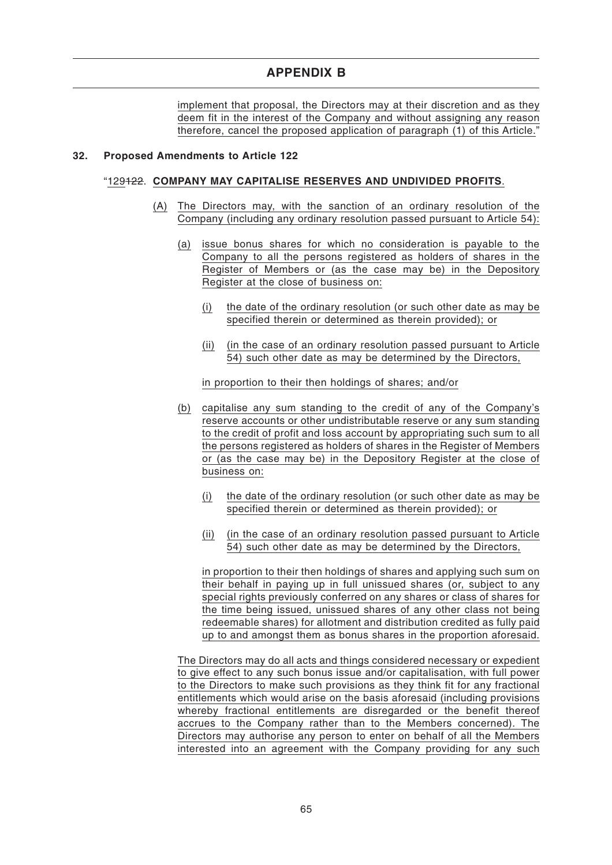implement that proposal, the Directors may at their discretion and as they deem fit in the interest of the Company and without assigning any reason therefore, cancel the proposed application of paragraph (1) of this Article."

#### **32. Proposed Amendments to Article 122**

#### "129122. **COMPANY MAY CAPITALISE RESERVES AND UNDIVIDED PROFITS**.

- (A) The Directors may, with the sanction of an ordinary resolution of the Company (including any ordinary resolution passed pursuant to Article 54):
	- (a) issue bonus shares for which no consideration is payable to the Company to all the persons registered as holders of shares in the Register of Members or (as the case may be) in the Depository Register at the close of business on:
		- (i) the date of the ordinary resolution (or such other date as may be specified therein or determined as therein provided); or
		- (ii) (in the case of an ordinary resolution passed pursuant to Article 54) such other date as may be determined by the Directors,

in proportion to their then holdings of shares; and/or

- (b) capitalise any sum standing to the credit of any of the Company's reserve accounts or other undistributable reserve or any sum standing to the credit of profit and loss account by appropriating such sum to all the persons registered as holders of shares in the Register of Members or (as the case may be) in the Depository Register at the close of business on:
	- (i) the date of the ordinary resolution (or such other date as may be specified therein or determined as therein provided); or
	- (ii) (in the case of an ordinary resolution passed pursuant to Article 54) such other date as may be determined by the Directors,

in proportion to their then holdings of shares and applying such sum on their behalf in paying up in full unissued shares (or, subject to any special rights previously conferred on any shares or class of shares for the time being issued, unissued shares of any other class not being redeemable shares) for allotment and distribution credited as fully paid up to and amongst them as bonus shares in the proportion aforesaid.

The Directors may do all acts and things considered necessary or expedient to give effect to any such bonus issue and/or capitalisation, with full power to the Directors to make such provisions as they think fit for any fractional entitlements which would arise on the basis aforesaid (including provisions whereby fractional entitlements are disregarded or the benefit thereof accrues to the Company rather than to the Members concerned). The Directors may authorise any person to enter on behalf of all the Members interested into an agreement with the Company providing for any such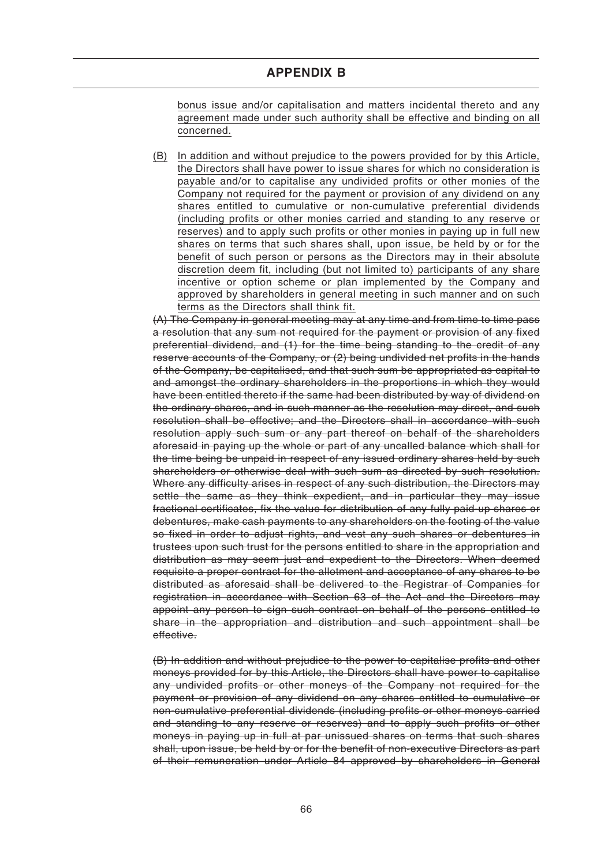bonus issue and/or capitalisation and matters incidental thereto and any agreement made under such authority shall be effective and binding on all concerned.

(B) In addition and without prejudice to the powers provided for by this Article, the Directors shall have power to issue shares for which no consideration is payable and/or to capitalise any undivided profits or other monies of the Company not required for the payment or provision of any dividend on any shares entitled to cumulative or non-cumulative preferential dividends (including profits or other monies carried and standing to any reserve or reserves) and to apply such profits or other monies in paying up in full new shares on terms that such shares shall, upon issue, be held by or for the benefit of such person or persons as the Directors may in their absolute discretion deem fit, including (but not limited to) participants of any share incentive or option scheme or plan implemented by the Company and approved by shareholders in general meeting in such manner and on such terms as the Directors shall think fit.

(A) The Company in general meeting may at any time and from time to time pass a resolution that any sum not required for the payment or provision of any fixed preferential dividend, and (1) for the time being standing to the credit of any reserve accounts of the Company, or (2) being undivided net profits in the hands of the Company, be capitalised, and that such sum be appropriated as capital to and amongst the ordinary shareholders in the proportions in which they would have been entitled thereto if the same had been distributed by way of dividend on the ordinary shares, and in such manner as the resolution may direct, and such resolution shall be effective; and the Directors shall in accordance with such resolution apply such sum or any part thereof on behalf of the shareholders aforesaid in paying up the whole or part of any uncalled balance which shall for the time being be unpaid in respect of any issued ordinary shares held by such shareholders or otherwise deal with such sum as directed by such resolution. Where any difficulty arises in respect of any such distribution, the Directors may settle the same as they think expedient, and in particular they may issue fractional certificates, fix the value for distribution of any fully paid-up shares or debentures, make cash payments to any shareholders on the footing of the value so fixed in order to adjust rights, and vest any such shares or debentures in trustees upon such trust for the persons entitled to share in the appropriation and distribution as may seem just and expedient to the Directors. When deemed requisite a proper contract for the allotment and acceptance of any shares to be distributed as aforesaid shall be delivered to the Registrar of Companies for registration in accordance with Section 63 of the Act and the Directors may appoint any person to sign such contract on behalf of the persons entitled to share in the appropriation and distribution and such appointment shall be effective.

(B) In addition and without prejudice to the power to capitalise profits and other moneys provided for by this Article, the Directors shall have power to capitalise any undivided profits or other moneys of the Company not required for the payment or provision of any dividend on any shares entitled to cumulative or non-cumulative preferential dividends (including profits or other moneys carried and standing to any reserve or reserves) and to apply such profits or other moneys in paying up in full at par unissued shares on terms that such shares shall, upon issue, be held by or for the benefit of non-executive Directors as part of their remuneration under Article 84 approved by shareholders in General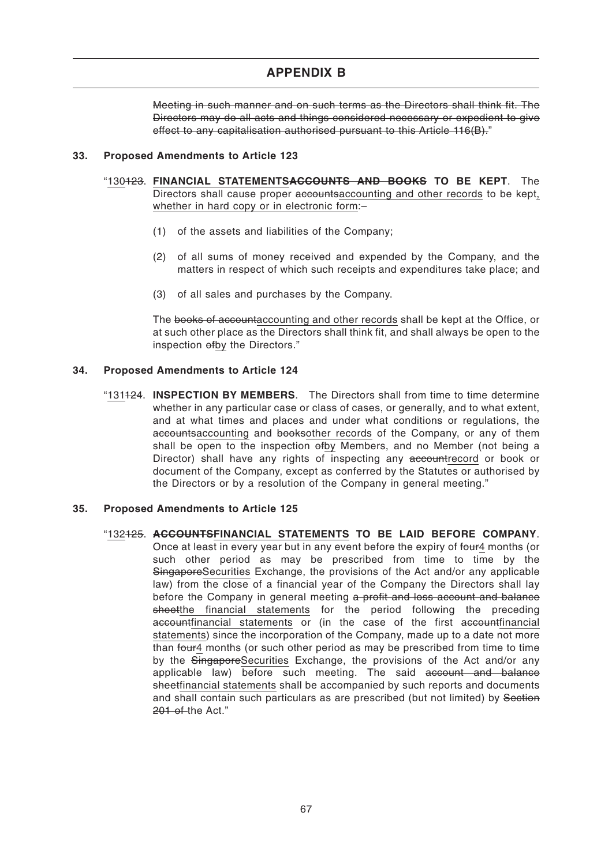Meeting in such manner and on such terms as the Directors shall think fit. The Directors may do all acts and things considered necessary or expedient to give effect to any capitalisation authorised pursuant to this Article 116(B)."

#### **33. Proposed Amendments to Article 123**

- "130123. **FINANCIAL STATEMENTSACCOUNTS AND BOOKS TO BE KEPT**. The Directors shall cause proper accountsaccounting and other records to be kept, whether in hard copy or in electronic form:–
	- (1) of the assets and liabilities of the Company;
	- (2) of all sums of money received and expended by the Company, and the matters in respect of which such receipts and expenditures take place; and
	- (3) of all sales and purchases by the Company.

The books of accountaccounting and other records shall be kept at the Office, or at such other place as the Directors shall think fit, and shall always be open to the inspection ofby the Directors."

#### **34. Proposed Amendments to Article 124**

"131124. **INSPECTION BY MEMBERS**. The Directors shall from time to time determine whether in any particular case or class of cases, or generally, and to what extent, and at what times and places and under what conditions or regulations, the accountsaccounting and booksother records of the Company, or any of them shall be open to the inspection of by Members, and no Member (not being a Director) shall have any rights of inspecting any accountrecord or book or document of the Company, except as conferred by the Statutes or authorised by the Directors or by a resolution of the Company in general meeting."

#### **35. Proposed Amendments to Article 125**

"132125. **ACCOUNTSFINANCIAL STATEMENTS TO BE LAID BEFORE COMPANY**. Once at least in every year but in any event before the expiry of four4 months (or such other period as may be prescribed from time to time by the SingaporeSecurities Exchange, the provisions of the Act and/or any applicable law) from the close of a financial year of the Company the Directors shall lay before the Company in general meeting a profit and loss account and balance sheetthe financial statements for the period following the preceding accountfinancial statements or (in the case of the first accountfinancial statements) since the incorporation of the Company, made up to a date not more than four4 months (or such other period as may be prescribed from time to time by the SingaporeSecurities Exchange, the provisions of the Act and/or any applicable law) before such meeting. The said account and balance sheetfinancial statements shall be accompanied by such reports and documents and shall contain such particulars as are prescribed (but not limited) by Section 201 of the Act."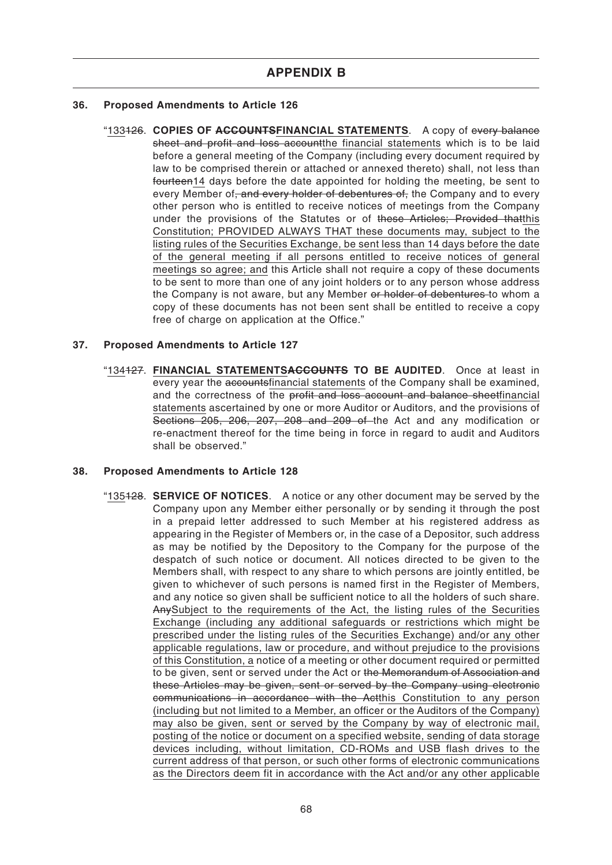#### **36. Proposed Amendments to Article 126**

"133126. **COPIES OF ACCOUNTSFINANCIAL STATEMENTS**. A copy of every balance sheet and profit and loss account the financial statements which is to be laid before a general meeting of the Company (including every document required by law to be comprised therein or attached or annexed thereto) shall, not less than fourteen14 days before the date appointed for holding the meeting, be sent to every Member of, and every holder of debentures of, the Company and to every other person who is entitled to receive notices of meetings from the Company under the provisions of the Statutes or of these Articles; Provided thatthis Constitution; PROVIDED ALWAYS THAT these documents may, subject to the listing rules of the Securities Exchange, be sent less than 14 days before the date of the general meeting if all persons entitled to receive notices of general meetings so agree; and this Article shall not require a copy of these documents to be sent to more than one of any joint holders or to any person whose address the Company is not aware, but any Member or holder of debentures to whom a copy of these documents has not been sent shall be entitled to receive a copy free of charge on application at the Office."

#### **37. Proposed Amendments to Article 127**

"134127. **FINANCIAL STATEMENTSACCOUNTS TO BE AUDITED**. Once at least in every year the accountsfinancial statements of the Company shall be examined, and the correctness of the profit and loss account and balance sheetfinancial statements ascertained by one or more Auditor or Auditors, and the provisions of Sections 205, 206, 207, 208 and 209 of the Act and any modification or re-enactment thereof for the time being in force in regard to audit and Auditors shall be observed."

# **38. Proposed Amendments to Article 128**

"135128. **SERVICE OF NOTICES**. A notice or any other document may be served by the Company upon any Member either personally or by sending it through the post in a prepaid letter addressed to such Member at his registered address as appearing in the Register of Members or, in the case of a Depositor, such address as may be notified by the Depository to the Company for the purpose of the despatch of such notice or document. All notices directed to be given to the Members shall, with respect to any share to which persons are jointly entitled, be given to whichever of such persons is named first in the Register of Members, and any notice so given shall be sufficient notice to all the holders of such share. AnySubject to the requirements of the Act, the listing rules of the Securities Exchange (including any additional safeguards or restrictions which might be prescribed under the listing rules of the Securities Exchange) and/or any other applicable regulations, law or procedure, and without prejudice to the provisions of this Constitution, a notice of a meeting or other document required or permitted to be given, sent or served under the Act or the Memorandum of Association and these Articles may be given, sent or served by the Company using electronic communications in accordance with the Actthis Constitution to any person (including but not limited to a Member, an officer or the Auditors of the Company) may also be given, sent or served by the Company by way of electronic mail, posting of the notice or document on a specified website, sending of data storage devices including, without limitation, CD-ROMs and USB flash drives to the current address of that person, or such other forms of electronic communications as the Directors deem fit in accordance with the Act and/or any other applicable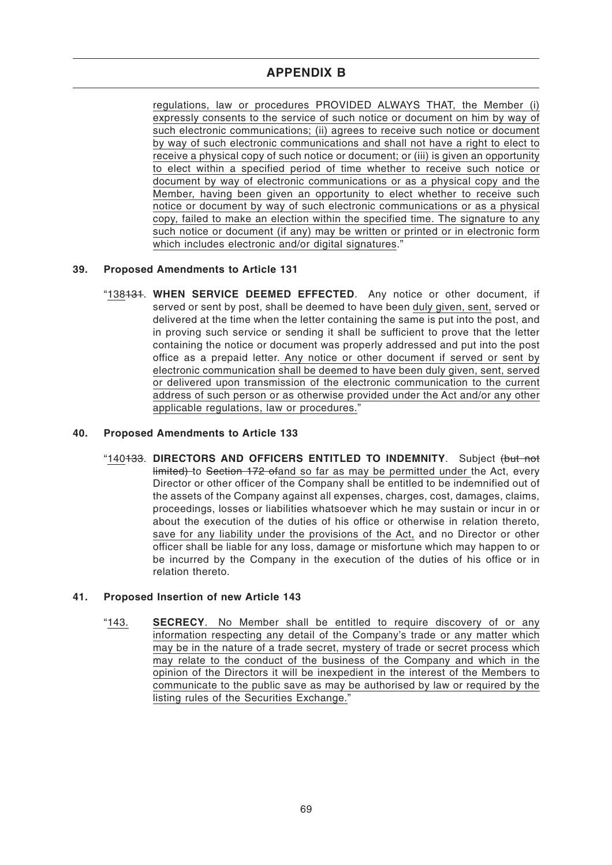regulations, law or procedures PROVIDED ALWAYS THAT, the Member (i) expressly consents to the service of such notice or document on him by way of such electronic communications; (ii) agrees to receive such notice or document by way of such electronic communications and shall not have a right to elect to receive a physical copy of such notice or document; or (iii) is given an opportunity to elect within a specified period of time whether to receive such notice or document by way of electronic communications or as a physical copy and the Member, having been given an opportunity to elect whether to receive such notice or document by way of such electronic communications or as a physical copy, failed to make an election within the specified time. The signature to any such notice or document (if any) may be written or printed or in electronic form which includes electronic and/or digital signatures."

# **39. Proposed Amendments to Article 131**

"138131. **WHEN SERVICE DEEMED EFFECTED**. Any notice or other document, if served or sent by post, shall be deemed to have been duly given, sent, served or delivered at the time when the letter containing the same is put into the post, and in proving such service or sending it shall be sufficient to prove that the letter containing the notice or document was properly addressed and put into the post office as a prepaid letter. Any notice or other document if served or sent by electronic communication shall be deemed to have been duly given, sent, served or delivered upon transmission of the electronic communication to the current address of such person or as otherwise provided under the Act and/or any other applicable regulations, law or procedures."

# **40. Proposed Amendments to Article 133**

"140133. **DIRECTORS AND OFFICERS ENTITLED TO INDEMNITY**. Subject (but not limited) to Section 172 ofand so far as may be permitted under the Act, every Director or other officer of the Company shall be entitled to be indemnified out of the assets of the Company against all expenses, charges, cost, damages, claims, proceedings, losses or liabilities whatsoever which he may sustain or incur in or about the execution of the duties of his office or otherwise in relation thereto, save for any liability under the provisions of the Act, and no Director or other officer shall be liable for any loss, damage or misfortune which may happen to or be incurred by the Company in the execution of the duties of his office or in relation thereto.

# **41. Proposed Insertion of new Article 143**

"143. **SECRECY**. No Member shall be entitled to require discovery of or any information respecting any detail of the Company's trade or any matter which may be in the nature of a trade secret, mystery of trade or secret process which may relate to the conduct of the business of the Company and which in the opinion of the Directors it will be inexpedient in the interest of the Members to communicate to the public save as may be authorised by law or required by the listing rules of the Securities Exchange."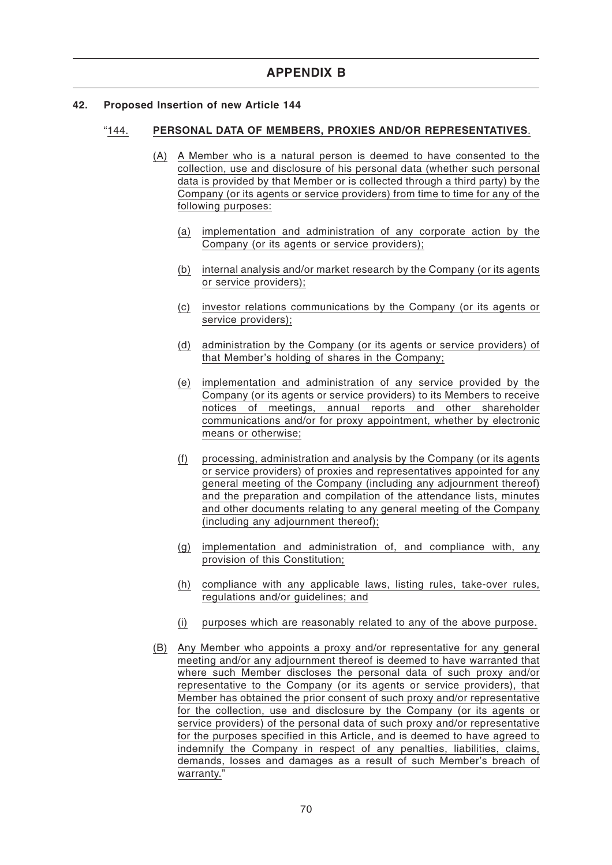#### **42. Proposed Insertion of new Article 144**

#### "144. **PERSONAL DATA OF MEMBERS, PROXIES AND/OR REPRESENTATIVES**.

- (A) A Member who is a natural person is deemed to have consented to the collection, use and disclosure of his personal data (whether such personal data is provided by that Member or is collected through a third party) by the Company (or its agents or service providers) from time to time for any of the following purposes:
	- (a) implementation and administration of any corporate action by the Company (or its agents or service providers);
	- (b) internal analysis and/or market research by the Company (or its agents or service providers);
	- (c) investor relations communications by the Company (or its agents or service providers);
	- (d) administration by the Company (or its agents or service providers) of that Member's holding of shares in the Company;
	- (e) implementation and administration of any service provided by the Company (or its agents or service providers) to its Members to receive notices of meetings, annual reports and other shareholder communications and/or for proxy appointment, whether by electronic means or otherwise;
	- (f) processing, administration and analysis by the Company (or its agents or service providers) of proxies and representatives appointed for any general meeting of the Company (including any adjournment thereof) and the preparation and compilation of the attendance lists, minutes and other documents relating to any general meeting of the Company (including any adjournment thereof);
	- (g) implementation and administration of, and compliance with, any provision of this Constitution;
	- (h) compliance with any applicable laws, listing rules, take-over rules, regulations and/or guidelines; and
	- (i) purposes which are reasonably related to any of the above purpose.
- (B) Any Member who appoints a proxy and/or representative for any general meeting and/or any adjournment thereof is deemed to have warranted that where such Member discloses the personal data of such proxy and/or representative to the Company (or its agents or service providers), that Member has obtained the prior consent of such proxy and/or representative for the collection, use and disclosure by the Company (or its agents or service providers) of the personal data of such proxy and/or representative for the purposes specified in this Article, and is deemed to have agreed to indemnify the Company in respect of any penalties, liabilities, claims, demands, losses and damages as a result of such Member's breach of warranty."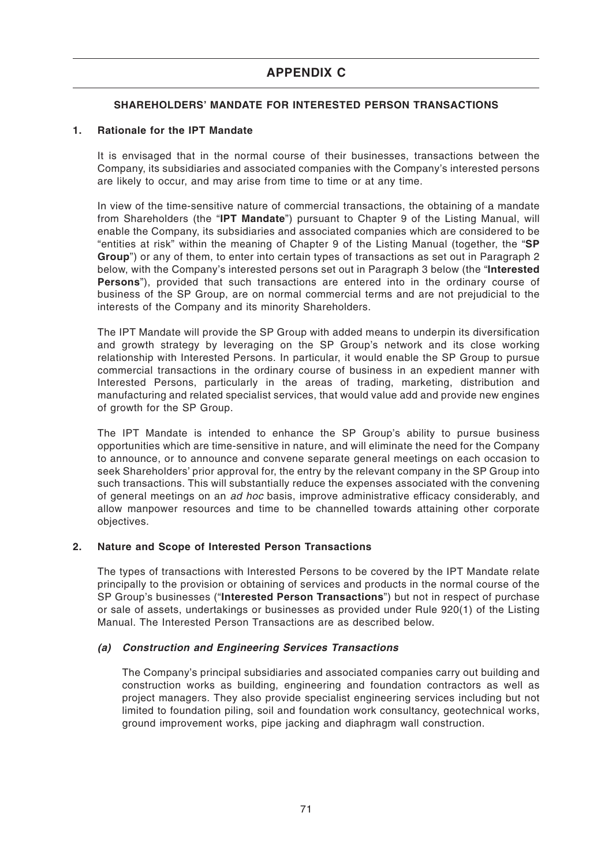# **APPENDIX C**

# **SHAREHOLDERS' MANDATE FOR INTERESTED PERSON TRANSACTIONS**

### **1. Rationale for the IPT Mandate**

It is envisaged that in the normal course of their businesses, transactions between the Company, its subsidiaries and associated companies with the Company's interested persons are likely to occur, and may arise from time to time or at any time.

In view of the time-sensitive nature of commercial transactions, the obtaining of a mandate from Shareholders (the "**IPT Mandate**") pursuant to Chapter 9 of the Listing Manual, will enable the Company, its subsidiaries and associated companies which are considered to be "entities at risk" within the meaning of Chapter 9 of the Listing Manual (together, the "**SP Group**") or any of them, to enter into certain types of transactions as set out in Paragraph 2 below, with the Company's interested persons set out in Paragraph 3 below (the "**Interested Persons**"), provided that such transactions are entered into in the ordinary course of business of the SP Group, are on normal commercial terms and are not prejudicial to the interests of the Company and its minority Shareholders.

The IPT Mandate will provide the SP Group with added means to underpin its diversification and growth strategy by leveraging on the SP Group's network and its close working relationship with Interested Persons. In particular, it would enable the SP Group to pursue commercial transactions in the ordinary course of business in an expedient manner with Interested Persons, particularly in the areas of trading, marketing, distribution and manufacturing and related specialist services, that would value add and provide new engines of growth for the SP Group.

The IPT Mandate is intended to enhance the SP Group's ability to pursue business opportunities which are time-sensitive in nature, and will eliminate the need for the Company to announce, or to announce and convene separate general meetings on each occasion to seek Shareholders' prior approval for, the entry by the relevant company in the SP Group into such transactions. This will substantially reduce the expenses associated with the convening of general meetings on an ad hoc basis, improve administrative efficacy considerably, and allow manpower resources and time to be channelled towards attaining other corporate objectives.

# **2. Nature and Scope of Interested Person Transactions**

The types of transactions with Interested Persons to be covered by the IPT Mandate relate principally to the provision or obtaining of services and products in the normal course of the SP Group's businesses ("**Interested Person Transactions**") but not in respect of purchase or sale of assets, undertakings or businesses as provided under Rule 920(1) of the Listing Manual. The Interested Person Transactions are as described below.

# **(a) Construction and Engineering Services Transactions**

The Company's principal subsidiaries and associated companies carry out building and construction works as building, engineering and foundation contractors as well as project managers. They also provide specialist engineering services including but not limited to foundation piling, soil and foundation work consultancy, geotechnical works, ground improvement works, pipe jacking and diaphragm wall construction.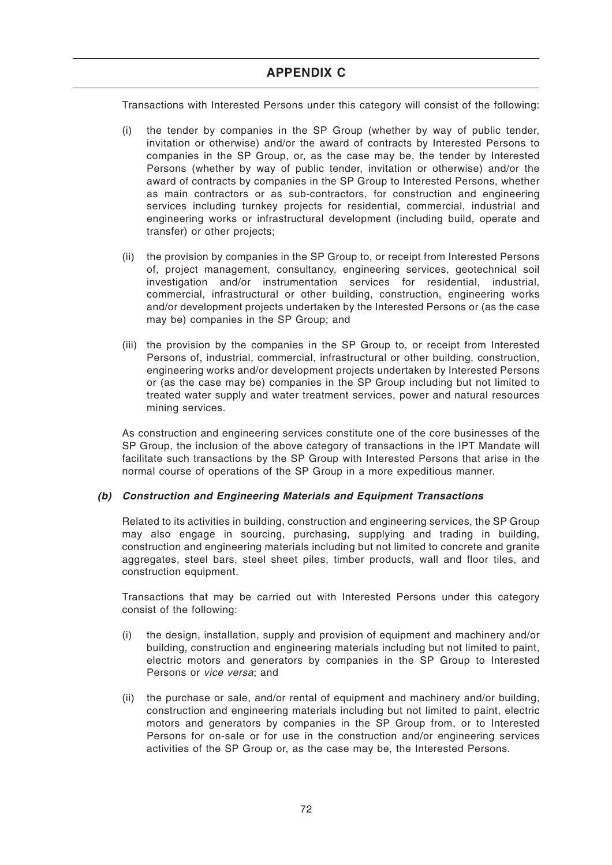Transactions with Interested Persons under this category will consist of the following:

- (i) the tender by companies in the SP Group (whether by way of public tender, invitation or otherwise) and/or the award of contracts by Interested Persons to companies in the SP Group, or, as the case may be, the tender by Interested Persons (whether by way of public tender, invitation or otherwise) and/or the award of contracts by companies in the SP Group to Interested Persons, whether as main contractors or as sub-contractors, for construction and engineering services including turnkey projects for residential, commercial, industrial and engineering works or infrastructural development (including build, operate and transfer) or other projects;
- (ii) the provision by companies in the SP Group to, or receipt from Interested Persons of, project management, consultancy, engineering services, geotechnical soil investigation and/or instrumentation services for residential, industrial, commercial, infrastructural or other building, construction, engineering works and/or development projects undertaken by the Interested Persons or (as the case may be) companies in the SP Group; and
- (iii) the provision by the companies in the SP Group to, or receipt from Interested Persons of, industrial, commercial, infrastructural or other building, construction, engineering works and/or development projects undertaken by Interested Persons or (as the case may be) companies in the SP Group including but not limited to treated water supply and water treatment services, power and natural resources mining services.

As construction and engineering services constitute one of the core businesses of the SP Group, the inclusion of the above category of transactions in the IPT Mandate will facilitate such transactions by the SP Group with Interested Persons that arise in the normal course of operations of the SP Group in a more expeditious manner.

# **(b) Construction and Engineering Materials and Equipment Transactions**

Related to its activities in building, construction and engineering services, the SP Group may also engage in sourcing, purchasing, supplying and trading in building, construction and engineering materials including but not limited to concrete and granite aggregates, steel bars, steel sheet piles, timber products, wall and floor tiles, and construction equipment.

Transactions that may be carried out with Interested Persons under this category consist of the following:

- (i) the design, installation, supply and provision of equipment and machinery and/or building, construction and engineering materials including but not limited to paint, electric motors and generators by companies in the SP Group to Interested Persons or vice versa; and
- (ii) the purchase or sale, and/or rental of equipment and machinery and/or building, construction and engineering materials including but not limited to paint, electric motors and generators by companies in the SP Group from, or to Interested Persons for on-sale or for use in the construction and/or engineering services activities of the SP Group or, as the case may be, the Interested Persons.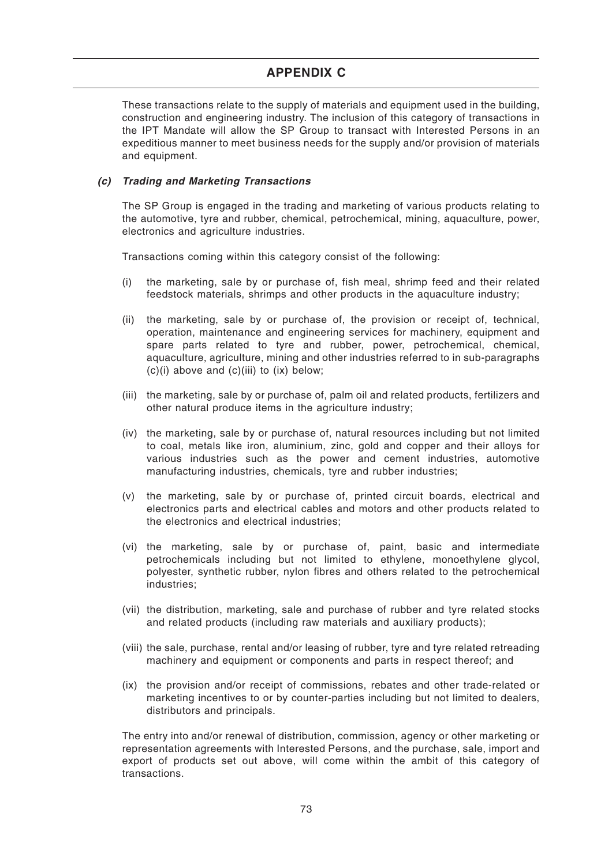# **APPENDIX C**

These transactions relate to the supply of materials and equipment used in the building, construction and engineering industry. The inclusion of this category of transactions in the IPT Mandate will allow the SP Group to transact with Interested Persons in an expeditious manner to meet business needs for the supply and/or provision of materials and equipment.

#### **(c) Trading and Marketing Transactions**

The SP Group is engaged in the trading and marketing of various products relating to the automotive, tyre and rubber, chemical, petrochemical, mining, aquaculture, power, electronics and agriculture industries.

Transactions coming within this category consist of the following:

- (i) the marketing, sale by or purchase of, fish meal, shrimp feed and their related feedstock materials, shrimps and other products in the aquaculture industry;
- (ii) the marketing, sale by or purchase of, the provision or receipt of, technical, operation, maintenance and engineering services for machinery, equipment and spare parts related to tyre and rubber, power, petrochemical, chemical, aquaculture, agriculture, mining and other industries referred to in sub-paragraphs  $(c)(i)$  above and  $(c)(iii)$  to  $(ix)$  below;
- (iii) the marketing, sale by or purchase of, palm oil and related products, fertilizers and other natural produce items in the agriculture industry;
- (iv) the marketing, sale by or purchase of, natural resources including but not limited to coal, metals like iron, aluminium, zinc, gold and copper and their alloys for various industries such as the power and cement industries, automotive manufacturing industries, chemicals, tyre and rubber industries;
- (v) the marketing, sale by or purchase of, printed circuit boards, electrical and electronics parts and electrical cables and motors and other products related to the electronics and electrical industries;
- (vi) the marketing, sale by or purchase of, paint, basic and intermediate petrochemicals including but not limited to ethylene, monoethylene glycol, polyester, synthetic rubber, nylon fibres and others related to the petrochemical industries;
- (vii) the distribution, marketing, sale and purchase of rubber and tyre related stocks and related products (including raw materials and auxiliary products);
- (viii) the sale, purchase, rental and/or leasing of rubber, tyre and tyre related retreading machinery and equipment or components and parts in respect thereof; and
- (ix) the provision and/or receipt of commissions, rebates and other trade-related or marketing incentives to or by counter-parties including but not limited to dealers, distributors and principals.

The entry into and/or renewal of distribution, commission, agency or other marketing or representation agreements with Interested Persons, and the purchase, sale, import and export of products set out above, will come within the ambit of this category of transactions.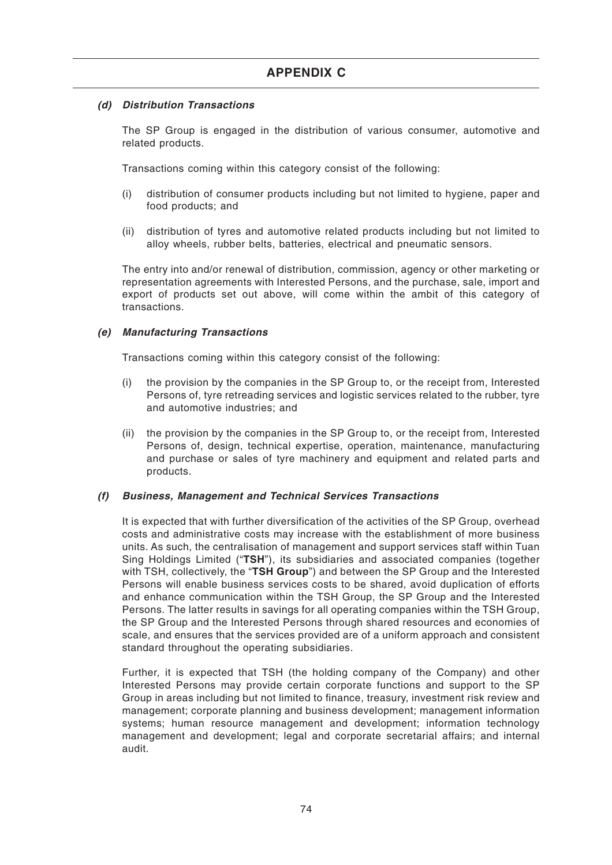## **(d) Distribution Transactions**

The SP Group is engaged in the distribution of various consumer, automotive and related products.

Transactions coming within this category consist of the following:

- (i) distribution of consumer products including but not limited to hygiene, paper and food products; and
- (ii) distribution of tyres and automotive related products including but not limited to alloy wheels, rubber belts, batteries, electrical and pneumatic sensors.

The entry into and/or renewal of distribution, commission, agency or other marketing or representation agreements with Interested Persons, and the purchase, sale, import and export of products set out above, will come within the ambit of this category of transactions.

## **(e) Manufacturing Transactions**

Transactions coming within this category consist of the following:

- (i) the provision by the companies in the SP Group to, or the receipt from, Interested Persons of, tyre retreading services and logistic services related to the rubber, tyre and automotive industries; and
- (ii) the provision by the companies in the SP Group to, or the receipt from, Interested Persons of, design, technical expertise, operation, maintenance, manufacturing and purchase or sales of tyre machinery and equipment and related parts and products.

## **(f) Business, Management and Technical Services Transactions**

It is expected that with further diversification of the activities of the SP Group, overhead costs and administrative costs may increase with the establishment of more business units. As such, the centralisation of management and support services staff within Tuan Sing Holdings Limited ("**TSH**"), its subsidiaries and associated companies (together with TSH, collectively, the "**TSH Group**") and between the SP Group and the Interested Persons will enable business services costs to be shared, avoid duplication of efforts and enhance communication within the TSH Group, the SP Group and the Interested Persons. The latter results in savings for all operating companies within the TSH Group, the SP Group and the Interested Persons through shared resources and economies of scale, and ensures that the services provided are of a uniform approach and consistent standard throughout the operating subsidiaries.

Further, it is expected that TSH (the holding company of the Company) and other Interested Persons may provide certain corporate functions and support to the SP Group in areas including but not limited to finance, treasury, investment risk review and management; corporate planning and business development; management information systems; human resource management and development; information technology management and development; legal and corporate secretarial affairs; and internal audit.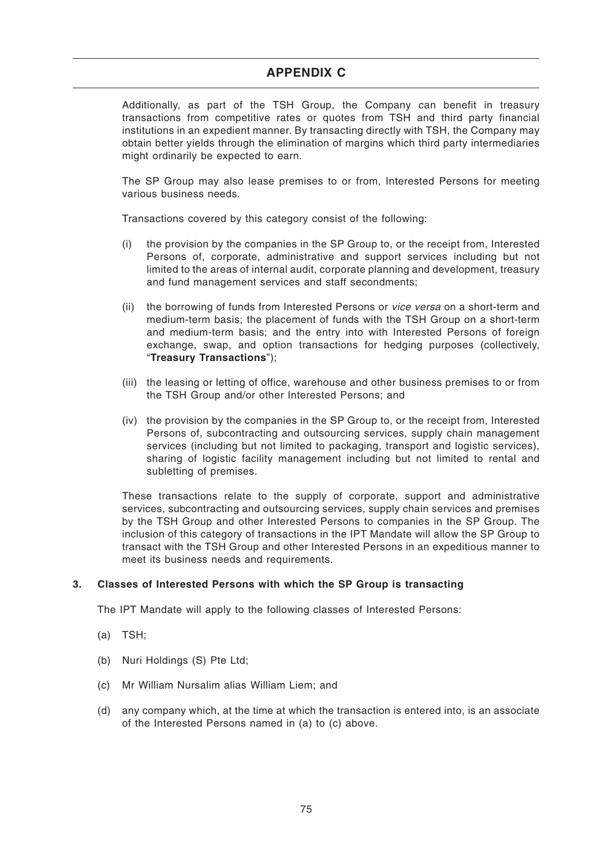Additionally, as part of the TSH Group, the Company can benefit in treasury transactions from competitive rates or quotes from TSH and third party financial institutions in an expedient manner. By transacting directly with TSH, the Company may obtain better yields through the elimination of margins which third party intermediaries might ordinarily be expected to earn.

The SP Group may also lease premises to or from, Interested Persons for meeting various business needs.

Transactions covered by this category consist of the following:

- (i) the provision by the companies in the SP Group to, or the receipt from, Interested Persons of, corporate, administrative and support services including but not limited to the areas of internal audit, corporate planning and development, treasury and fund management services and staff secondments;
- (ii) the borrowing of funds from Interested Persons or *vice versa* on a short-term and medium-term basis; the placement of funds with the TSH Group on a short-term and medium-term basis; and the entry into with Interested Persons of foreign exchange, swap, and option transactions for hedging purposes (collectively, "**Treasury Transactions**");
- (iii) the leasing or letting of office, warehouse and other business premises to or from the TSH Group and/or other Interested Persons; and
- (iv) the provision by the companies in the SP Group to, or the receipt from, Interested Persons of, subcontracting and outsourcing services, supply chain management services (including but not limited to packaging, transport and logistic services), sharing of logistic facility management including but not limited to rental and subletting of premises.

These transactions relate to the supply of corporate, support and administrative services, subcontracting and outsourcing services, supply chain services and premises by the TSH Group and other Interested Persons to companies in the SP Group. The inclusion of this category of transactions in the IPT Mandate will allow the SP Group to transact with the TSH Group and other Interested Persons in an expeditious manner to meet its business needs and requirements.

## **3. Classes of Interested Persons with which the SP Group is transacting**

The IPT Mandate will apply to the following classes of Interested Persons:

- (a) TSH;
- (b) Nuri Holdings (S) Pte Ltd;
- (c) Mr William Nursalim alias William Liem; and
- (d) any company which, at the time at which the transaction is entered into, is an associate of the Interested Persons named in (a) to (c) above.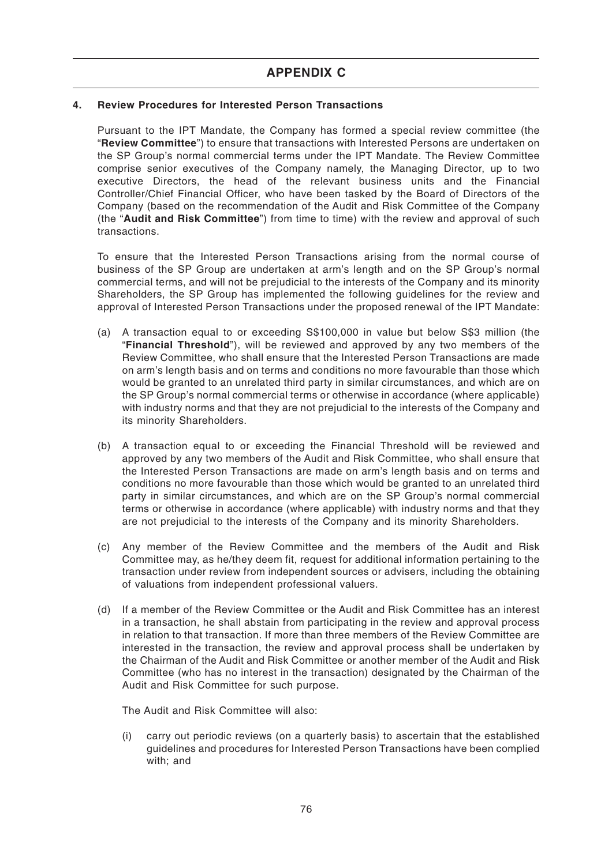### **4. Review Procedures for Interested Person Transactions**

Pursuant to the IPT Mandate, the Company has formed a special review committee (the "**Review Committee**") to ensure that transactions with Interested Persons are undertaken on the SP Group's normal commercial terms under the IPT Mandate. The Review Committee comprise senior executives of the Company namely, the Managing Director, up to two executive Directors, the head of the relevant business units and the Financial Controller/Chief Financial Officer, who have been tasked by the Board of Directors of the Company (based on the recommendation of the Audit and Risk Committee of the Company (the "**Audit and Risk Committee**") from time to time) with the review and approval of such transactions.

To ensure that the Interested Person Transactions arising from the normal course of business of the SP Group are undertaken at arm's length and on the SP Group's normal commercial terms, and will not be prejudicial to the interests of the Company and its minority Shareholders, the SP Group has implemented the following guidelines for the review and approval of Interested Person Transactions under the proposed renewal of the IPT Mandate:

- (a) A transaction equal to or exceeding S\$100,000 in value but below S\$3 million (the "**Financial Threshold**"), will be reviewed and approved by any two members of the Review Committee, who shall ensure that the Interested Person Transactions are made on arm's length basis and on terms and conditions no more favourable than those which would be granted to an unrelated third party in similar circumstances, and which are on the SP Group's normal commercial terms or otherwise in accordance (where applicable) with industry norms and that they are not prejudicial to the interests of the Company and its minority Shareholders.
- (b) A transaction equal to or exceeding the Financial Threshold will be reviewed and approved by any two members of the Audit and Risk Committee, who shall ensure that the Interested Person Transactions are made on arm's length basis and on terms and conditions no more favourable than those which would be granted to an unrelated third party in similar circumstances, and which are on the SP Group's normal commercial terms or otherwise in accordance (where applicable) with industry norms and that they are not prejudicial to the interests of the Company and its minority Shareholders.
- (c) Any member of the Review Committee and the members of the Audit and Risk Committee may, as he/they deem fit, request for additional information pertaining to the transaction under review from independent sources or advisers, including the obtaining of valuations from independent professional valuers.
- (d) If a member of the Review Committee or the Audit and Risk Committee has an interest in a transaction, he shall abstain from participating in the review and approval process in relation to that transaction. If more than three members of the Review Committee are interested in the transaction, the review and approval process shall be undertaken by the Chairman of the Audit and Risk Committee or another member of the Audit and Risk Committee (who has no interest in the transaction) designated by the Chairman of the Audit and Risk Committee for such purpose.

The Audit and Risk Committee will also:

(i) carry out periodic reviews (on a quarterly basis) to ascertain that the established guidelines and procedures for Interested Person Transactions have been complied with; and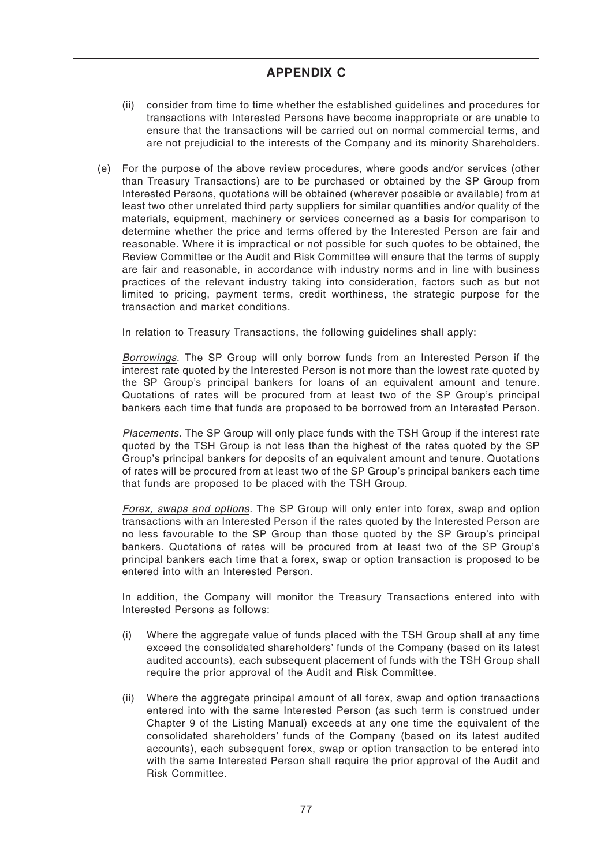- (ii) consider from time to time whether the established guidelines and procedures for transactions with Interested Persons have become inappropriate or are unable to ensure that the transactions will be carried out on normal commercial terms, and are not prejudicial to the interests of the Company and its minority Shareholders.
- (e) For the purpose of the above review procedures, where goods and/or services (other than Treasury Transactions) are to be purchased or obtained by the SP Group from Interested Persons, quotations will be obtained (wherever possible or available) from at least two other unrelated third party suppliers for similar quantities and/or quality of the materials, equipment, machinery or services concerned as a basis for comparison to determine whether the price and terms offered by the Interested Person are fair and reasonable. Where it is impractical or not possible for such quotes to be obtained, the Review Committee or the Audit and Risk Committee will ensure that the terms of supply are fair and reasonable, in accordance with industry norms and in line with business practices of the relevant industry taking into consideration, factors such as but not limited to pricing, payment terms, credit worthiness, the strategic purpose for the transaction and market conditions.

In relation to Treasury Transactions, the following guidelines shall apply:

Borrowings. The SP Group will only borrow funds from an Interested Person if the interest rate quoted by the Interested Person is not more than the lowest rate quoted by the SP Group's principal bankers for loans of an equivalent amount and tenure. Quotations of rates will be procured from at least two of the SP Group's principal bankers each time that funds are proposed to be borrowed from an Interested Person.

Placements. The SP Group will only place funds with the TSH Group if the interest rate quoted by the TSH Group is not less than the highest of the rates quoted by the SP Group's principal bankers for deposits of an equivalent amount and tenure. Quotations of rates will be procured from at least two of the SP Group's principal bankers each time that funds are proposed to be placed with the TSH Group.

Forex, swaps and options. The SP Group will only enter into forex, swap and option transactions with an Interested Person if the rates quoted by the Interested Person are no less favourable to the SP Group than those quoted by the SP Group's principal bankers. Quotations of rates will be procured from at least two of the SP Group's principal bankers each time that a forex, swap or option transaction is proposed to be entered into with an Interested Person.

In addition, the Company will monitor the Treasury Transactions entered into with Interested Persons as follows:

- (i) Where the aggregate value of funds placed with the TSH Group shall at any time exceed the consolidated shareholders' funds of the Company (based on its latest audited accounts), each subsequent placement of funds with the TSH Group shall require the prior approval of the Audit and Risk Committee.
- (ii) Where the aggregate principal amount of all forex, swap and option transactions entered into with the same Interested Person (as such term is construed under Chapter 9 of the Listing Manual) exceeds at any one time the equivalent of the consolidated shareholders' funds of the Company (based on its latest audited accounts), each subsequent forex, swap or option transaction to be entered into with the same Interested Person shall require the prior approval of the Audit and Risk Committee.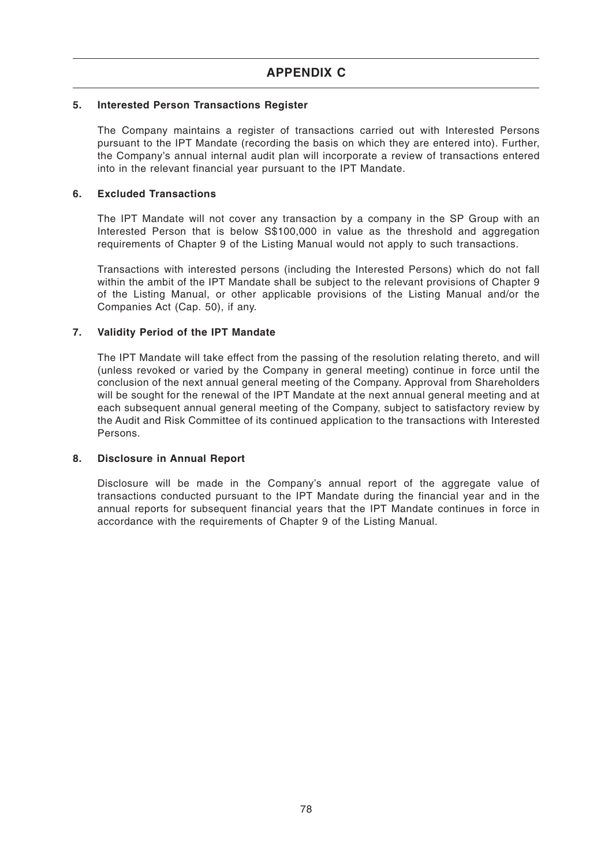## **5. Interested Person Transactions Register**

The Company maintains a register of transactions carried out with Interested Persons pursuant to the IPT Mandate (recording the basis on which they are entered into). Further, the Company's annual internal audit plan will incorporate a review of transactions entered into in the relevant financial year pursuant to the IPT Mandate.

#### **6. Excluded Transactions**

The IPT Mandate will not cover any transaction by a company in the SP Group with an Interested Person that is below S\$100,000 in value as the threshold and aggregation requirements of Chapter 9 of the Listing Manual would not apply to such transactions.

Transactions with interested persons (including the Interested Persons) which do not fall within the ambit of the IPT Mandate shall be subject to the relevant provisions of Chapter 9 of the Listing Manual, or other applicable provisions of the Listing Manual and/or the Companies Act (Cap. 50), if any.

## **7. Validity Period of the IPT Mandate**

The IPT Mandate will take effect from the passing of the resolution relating thereto, and will (unless revoked or varied by the Company in general meeting) continue in force until the conclusion of the next annual general meeting of the Company. Approval from Shareholders will be sought for the renewal of the IPT Mandate at the next annual general meeting and at each subsequent annual general meeting of the Company, subject to satisfactory review by the Audit and Risk Committee of its continued application to the transactions with Interested Persons.

## **8. Disclosure in Annual Report**

Disclosure will be made in the Company's annual report of the aggregate value of transactions conducted pursuant to the IPT Mandate during the financial year and in the annual reports for subsequent financial years that the IPT Mandate continues in force in accordance with the requirements of Chapter 9 of the Listing Manual.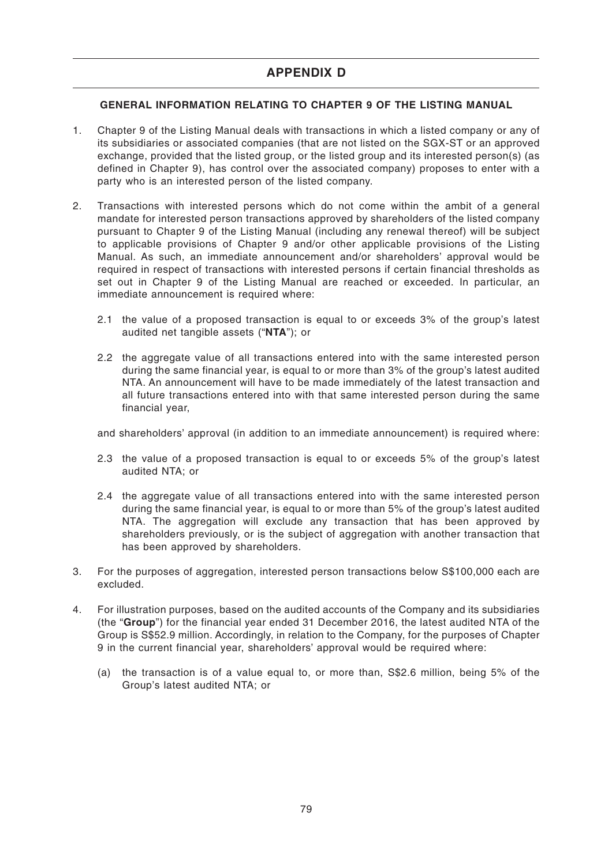## **GENERAL INFORMATION RELATING TO CHAPTER 9 OF THE LISTING MANUAL**

- 1. Chapter 9 of the Listing Manual deals with transactions in which a listed company or any of its subsidiaries or associated companies (that are not listed on the SGX-ST or an approved exchange, provided that the listed group, or the listed group and its interested person(s) (as defined in Chapter 9), has control over the associated company) proposes to enter with a party who is an interested person of the listed company.
- 2. Transactions with interested persons which do not come within the ambit of a general mandate for interested person transactions approved by shareholders of the listed company pursuant to Chapter 9 of the Listing Manual (including any renewal thereof) will be subject to applicable provisions of Chapter 9 and/or other applicable provisions of the Listing Manual. As such, an immediate announcement and/or shareholders' approval would be required in respect of transactions with interested persons if certain financial thresholds as set out in Chapter 9 of the Listing Manual are reached or exceeded. In particular, an immediate announcement is required where:
	- 2.1 the value of a proposed transaction is equal to or exceeds 3% of the group's latest audited net tangible assets ("**NTA**"); or
	- 2.2 the aggregate value of all transactions entered into with the same interested person during the same financial year, is equal to or more than 3% of the group's latest audited NTA. An announcement will have to be made immediately of the latest transaction and all future transactions entered into with that same interested person during the same financial year,

and shareholders' approval (in addition to an immediate announcement) is required where:

- 2.3 the value of a proposed transaction is equal to or exceeds 5% of the group's latest audited NTA; or
- 2.4 the aggregate value of all transactions entered into with the same interested person during the same financial year, is equal to or more than 5% of the group's latest audited NTA. The aggregation will exclude any transaction that has been approved by shareholders previously, or is the subject of aggregation with another transaction that has been approved by shareholders.
- 3. For the purposes of aggregation, interested person transactions below S\$100,000 each are excluded.
- 4. For illustration purposes, based on the audited accounts of the Company and its subsidiaries (the "**Group**") for the financial year ended 31 December 2016, the latest audited NTA of the Group is S\$52.9 million. Accordingly, in relation to the Company, for the purposes of Chapter 9 in the current financial year, shareholders' approval would be required where:
	- (a) the transaction is of a value equal to, or more than, S\$2.6 million, being 5% of the Group's latest audited NTA; or